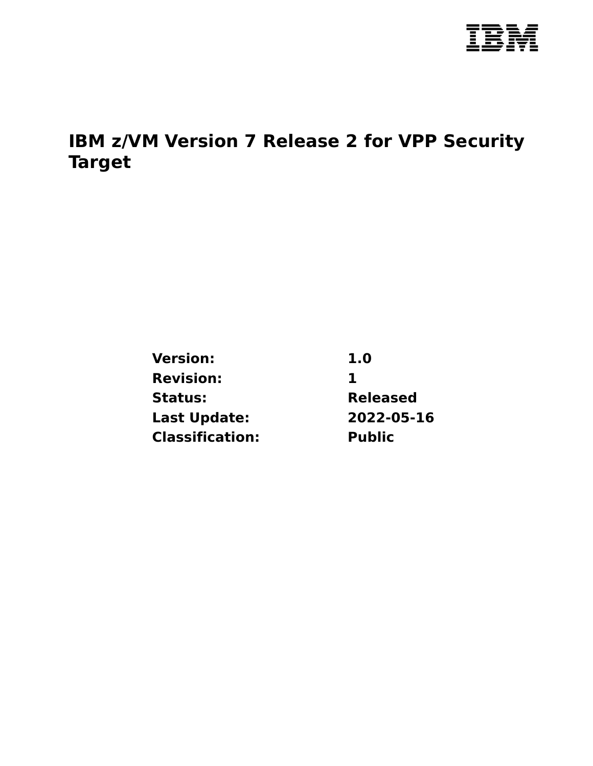

# **IBM z/VM Version 7 Release 2 for VPP Security Target**

| <b>Version:</b>        | 1.0             |  |
|------------------------|-----------------|--|
| <b>Revision:</b>       | Ъ               |  |
| Status:                | <b>Released</b> |  |
| <b>Last Update:</b>    | 2022-05-16      |  |
| <b>Classification:</b> | <b>Public</b>   |  |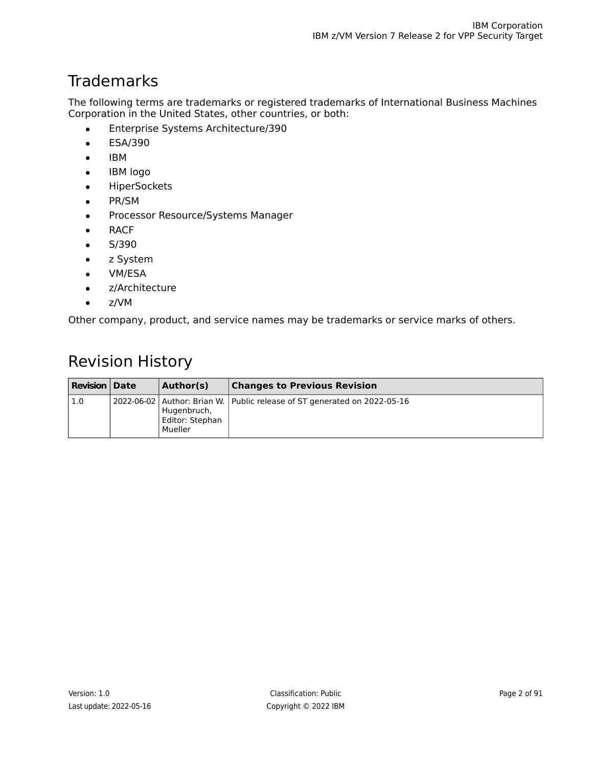# **Trademarks**

The following terms are trademarks or registered trademarks of International Business Machines Corporation in the United States, other countries, or both:

- Enterprise Systems Architecture/390
- ESA/390
- IBM
- IBM logo
- HiperSockets
- PR/SM
- Processor Resource/Systems Manager
- RACF
- $\bullet$  S/390
- z System
- VM/ESA
- z/Architecture
- $\bullet$  z/VM

Other company, product, and service names may be trademarks or service marks of others.

# Revision History

| <b>Revision   Date</b> | Author(s)                                 | <b>Changes to Previous Revision</b>                                          |
|------------------------|-------------------------------------------|------------------------------------------------------------------------------|
| 1.0                    | Hugenbruch,<br>Editor: Stephan<br>Mueller | 2022-06-02   Author: Brian W.   Public release of ST generated on 2022-05-16 |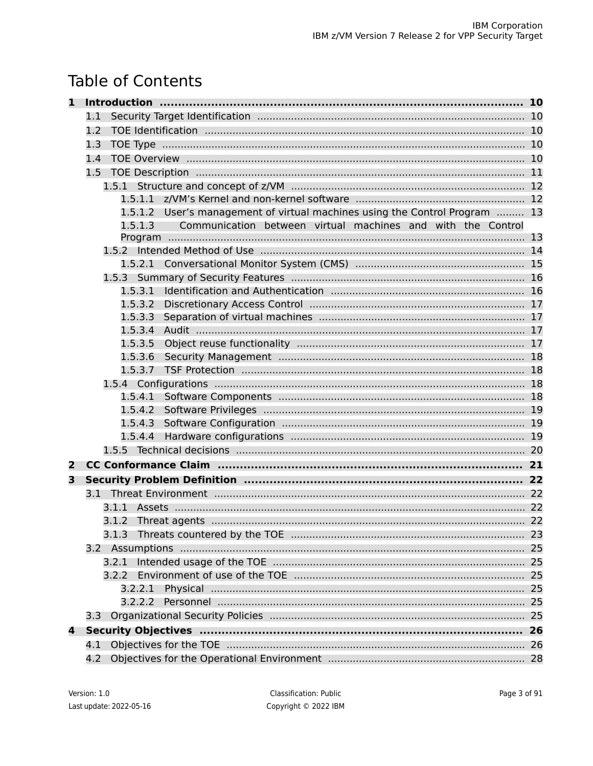# **Table of Contents**

| 1 |                                                                             |    |
|---|-----------------------------------------------------------------------------|----|
|   | 1.1                                                                         |    |
|   | 1.2                                                                         |    |
|   | 1.3                                                                         |    |
|   | 1.4                                                                         |    |
|   | $1.5^{\circ}$                                                               |    |
|   |                                                                             |    |
|   |                                                                             |    |
|   | 1.5.1.2 User's management of virtual machines using the Control Program  13 |    |
|   | Communication between virtual machines and with the Control<br>1.5.1.3      |    |
|   |                                                                             |    |
|   |                                                                             |    |
|   | 1.5.2.1                                                                     |    |
|   |                                                                             |    |
|   | 1.5.3.1                                                                     |    |
|   | 1.5.3.2                                                                     |    |
|   | 1.5.3.3<br>1.5.3.4                                                          |    |
|   | 1.5.3.5                                                                     |    |
|   | 1.5.3.6                                                                     |    |
|   | 1.5.3.7                                                                     |    |
|   |                                                                             |    |
|   |                                                                             |    |
|   |                                                                             |    |
|   |                                                                             |    |
|   | 1.5.4.4                                                                     |    |
|   |                                                                             |    |
| 2 |                                                                             |    |
| 3 |                                                                             |    |
|   |                                                                             |    |
|   | 3.1.1                                                                       |    |
|   |                                                                             |    |
|   | 3.1.3                                                                       |    |
|   |                                                                             |    |
|   | 3.2.1                                                                       | 25 |
|   | 3.2.2                                                                       |    |
|   | 3.2.2.1                                                                     | 25 |
|   | 3.2.2.2                                                                     | 25 |
|   | 3.3                                                                         |    |
| 4 |                                                                             | 26 |
|   | 4.1                                                                         |    |
|   | 4.2                                                                         |    |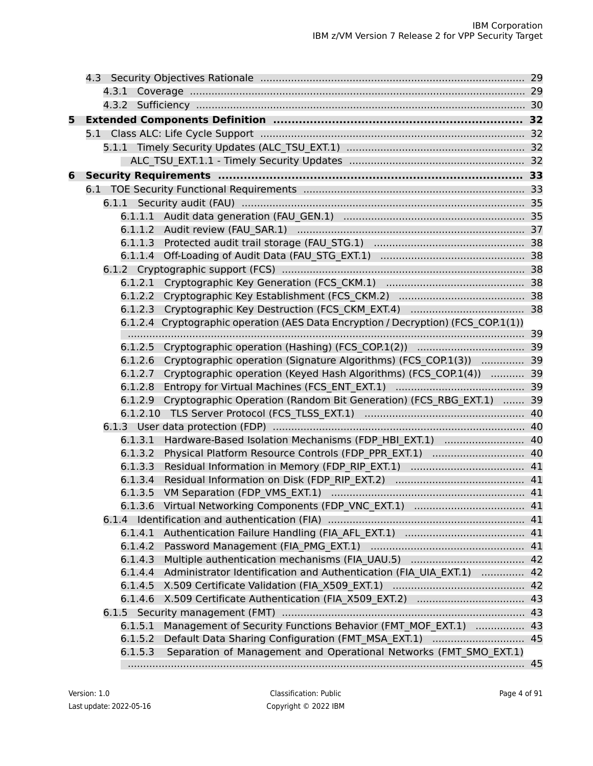| 5. |                                                                                   |    |  |  |
|----|-----------------------------------------------------------------------------------|----|--|--|
|    |                                                                                   |    |  |  |
|    |                                                                                   |    |  |  |
|    |                                                                                   |    |  |  |
| 6  |                                                                                   |    |  |  |
|    |                                                                                   |    |  |  |
|    |                                                                                   |    |  |  |
|    |                                                                                   |    |  |  |
|    |                                                                                   |    |  |  |
|    |                                                                                   |    |  |  |
|    |                                                                                   |    |  |  |
|    |                                                                                   |    |  |  |
|    |                                                                                   |    |  |  |
|    |                                                                                   |    |  |  |
|    |                                                                                   |    |  |  |
|    | 6.1.2.4 Cryptographic operation (AES Data Encryption / Decryption) (FCS COP.1(1)) |    |  |  |
|    |                                                                                   |    |  |  |
|    |                                                                                   |    |  |  |
|    | 6.1.2.6 Cryptographic operation (Signature Algorithms) (FCS COP.1(3))  39         |    |  |  |
|    | Cryptographic operation (Keyed Hash Algorithms) (FCS COP.1(4))  39<br>6.1.2.7     |    |  |  |
|    | 6.1.2.8                                                                           |    |  |  |
|    | 6.1.2.9 Cryptographic Operation (Random Bit Generation) (FCS RBG EXT.1)  39       |    |  |  |
|    |                                                                                   |    |  |  |
|    |                                                                                   |    |  |  |
|    | Hardware-Based Isolation Mechanisms (FDP HBI EXT.1)  40<br>6.1.3.1                |    |  |  |
|    |                                                                                   |    |  |  |
|    | 6.1.3.3                                                                           |    |  |  |
|    | 6.1.3.4                                                                           |    |  |  |
|    |                                                                                   |    |  |  |
|    |                                                                                   |    |  |  |
|    |                                                                                   |    |  |  |
|    | 6.1.4.1                                                                           |    |  |  |
|    |                                                                                   |    |  |  |
|    | 6.1.4.3                                                                           |    |  |  |
|    | Administrator Identification and Authentication (FIA UIA EXT.1)  42<br>6.1.4.4    |    |  |  |
|    |                                                                                   |    |  |  |
|    | 6.1.4.6                                                                           |    |  |  |
|    |                                                                                   | 43 |  |  |
|    | Management of Security Functions Behavior (FMT MOF EXT.1)  43<br>6.1.5.1          |    |  |  |
|    | Default Data Sharing Configuration (FMT MSA EXT.1)  45<br>6.1.5.2                 |    |  |  |
|    | Separation of Management and Operational Networks (FMT SMO EXT.1)<br>6.1.5.3      |    |  |  |
|    |                                                                                   | 45 |  |  |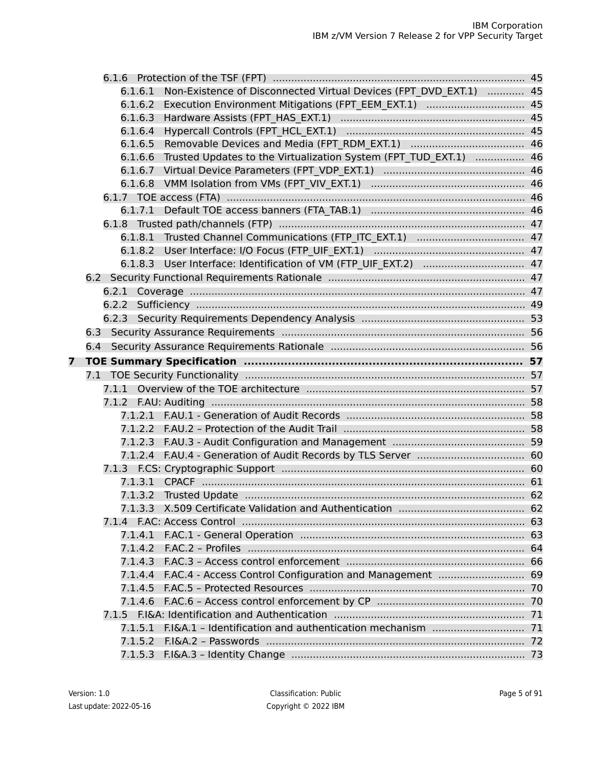|   | 6.1.6.1            | Non-Existence of Disconnected Virtual Devices (FPT DVD EXT.1)  45 |    |
|---|--------------------|-------------------------------------------------------------------|----|
|   | 6.1.6.2            | Execution Environment Mitigations (FPT EEM EXT.1)  45             |    |
|   | 6.1.6.3            |                                                                   |    |
|   | 6.1.6.4            |                                                                   |    |
|   | 6.1.6.5            |                                                                   |    |
|   | 6.1.6.6            | Trusted Updates to the Virtualization System (FPT TUD EXT.1)  46  |    |
|   |                    |                                                                   |    |
|   |                    |                                                                   |    |
|   |                    |                                                                   |    |
|   | 6.1.7.1            |                                                                   |    |
|   |                    |                                                                   |    |
|   |                    |                                                                   |    |
|   |                    |                                                                   |    |
|   |                    |                                                                   |    |
|   |                    |                                                                   |    |
|   |                    |                                                                   |    |
|   | 6.2.2              |                                                                   |    |
|   |                    |                                                                   |    |
|   |                    |                                                                   |    |
|   | 6.4                |                                                                   |    |
|   |                    |                                                                   |    |
|   |                    |                                                                   |    |
| 7 |                    |                                                                   |    |
|   |                    |                                                                   |    |
|   | 7.1.1              |                                                                   |    |
|   | 7.1.2              |                                                                   |    |
|   |                    |                                                                   |    |
|   |                    |                                                                   |    |
|   |                    |                                                                   |    |
|   |                    |                                                                   |    |
|   |                    |                                                                   |    |
|   | 7.1.3.1            |                                                                   |    |
|   | 7.1.3.2            |                                                                   |    |
|   |                    |                                                                   |    |
|   | 7.1.4              |                                                                   |    |
|   | 7.1.4.1            |                                                                   |    |
|   | 7.1.4.2            |                                                                   | 64 |
|   | 7.1.4.3            |                                                                   |    |
|   | 7.1.4.4            | F.AC.4 - Access Control Configuration and Management              | 69 |
|   | 7.1.4.5            |                                                                   | 70 |
|   | 7.1.4.6            |                                                                   | 70 |
|   | 7.1.5              |                                                                   |    |
|   | 7.1.5.1            |                                                                   |    |
|   | 7.1.5.2<br>7.1.5.3 |                                                                   |    |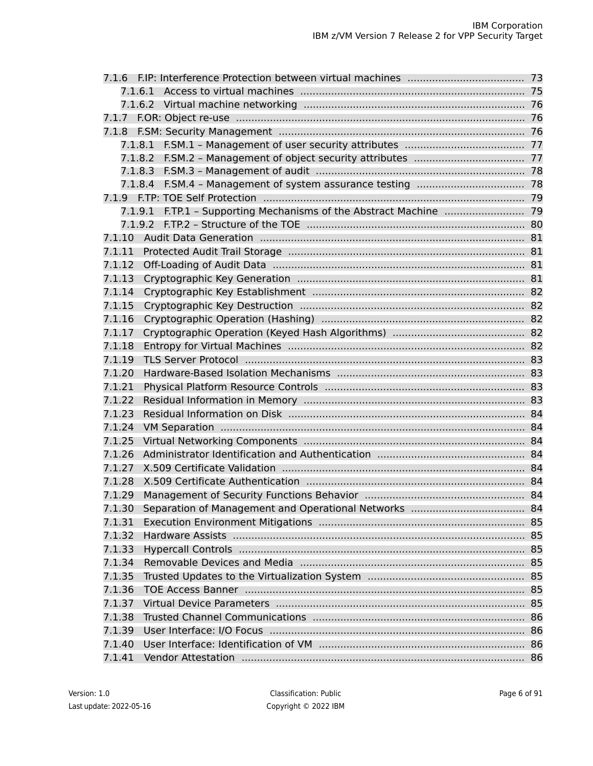| 7.1.6   |                                                            |    |  |
|---------|------------------------------------------------------------|----|--|
| 7.1.6.1 |                                                            |    |  |
|         |                                                            |    |  |
| 7.1.7   |                                                            |    |  |
| 7.1.8   |                                                            |    |  |
|         |                                                            |    |  |
|         |                                                            |    |  |
|         |                                                            |    |  |
|         |                                                            |    |  |
|         |                                                            |    |  |
| 7.1.9.1 | F.TP.1 - Supporting Mechanisms of the Abstract Machine  79 |    |  |
| 7.1.9.2 |                                                            |    |  |
| 7.1.10  |                                                            |    |  |
| 7.1.11  |                                                            |    |  |
| 7.1.12  |                                                            |    |  |
| 7.1.13  |                                                            |    |  |
| 7.1.14  |                                                            |    |  |
| 7.1.15  |                                                            |    |  |
| 7.1.16  |                                                            |    |  |
| 7.1.17  |                                                            |    |  |
| 7.1.18  |                                                            |    |  |
| 7.1.19  |                                                            |    |  |
| 7.1.20  |                                                            |    |  |
| 7.1.21  |                                                            |    |  |
| 7.1.22  |                                                            |    |  |
| 7.1.23  |                                                            |    |  |
| 7.1.24  |                                                            |    |  |
| 7.1.25  |                                                            |    |  |
| 7.1.26  |                                                            |    |  |
| 7.1.27  |                                                            |    |  |
| 7.1.28  |                                                            |    |  |
| 7.1.29  |                                                            |    |  |
| 7.1.30  |                                                            |    |  |
| 7.1.31  |                                                            |    |  |
| 7.1.32  |                                                            |    |  |
| 7.1.33  |                                                            | 85 |  |
| 7.1.34  |                                                            | 85 |  |
| 7.1.35  |                                                            |    |  |
| 7.1.36  |                                                            | 85 |  |
| 7.1.37  |                                                            | 85 |  |
| 7.1.38  |                                                            |    |  |
| 7.1.39  |                                                            |    |  |
| 7.1.40  |                                                            |    |  |
| 7.1.41  |                                                            |    |  |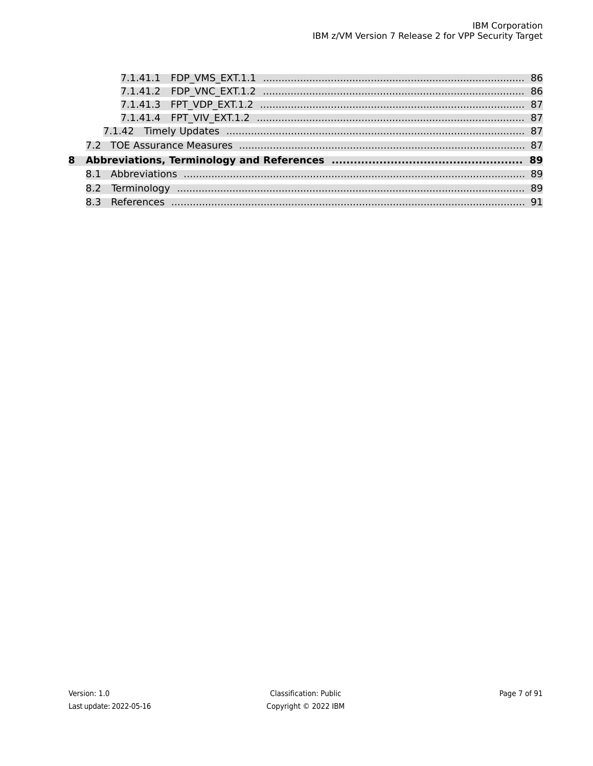| 8 |  |  |  |
|---|--|--|--|
|   |  |  |  |
|   |  |  |  |
|   |  |  |  |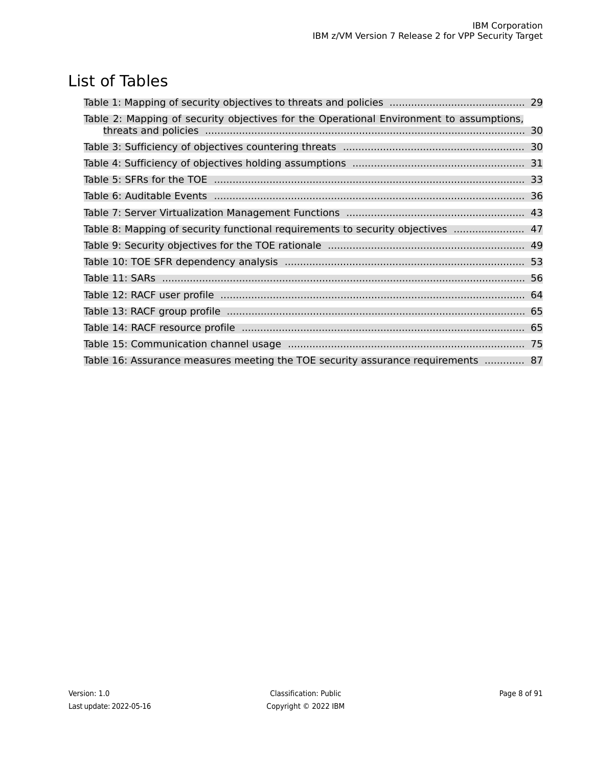# List of Tables

| Table 2: Mapping of security objectives for the Operational Environment to assumptions, |  |
|-----------------------------------------------------------------------------------------|--|
|                                                                                         |  |
|                                                                                         |  |
|                                                                                         |  |
|                                                                                         |  |
|                                                                                         |  |
|                                                                                         |  |
| Table 8: Mapping of security functional requirements to security objectives  47         |  |
|                                                                                         |  |
|                                                                                         |  |
|                                                                                         |  |
|                                                                                         |  |
|                                                                                         |  |
|                                                                                         |  |
|                                                                                         |  |
| Table 16: Assurance measures meeting the TOE security assurance requirements  87        |  |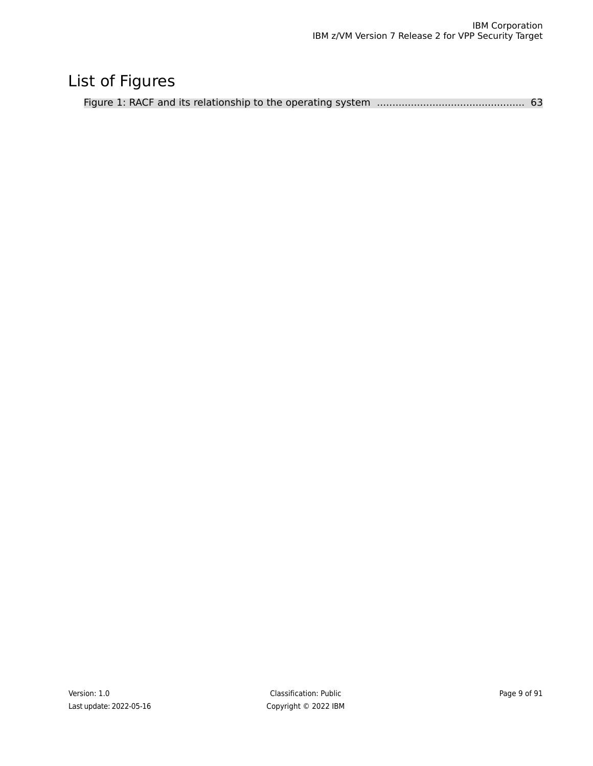# List of Figures

|--|--|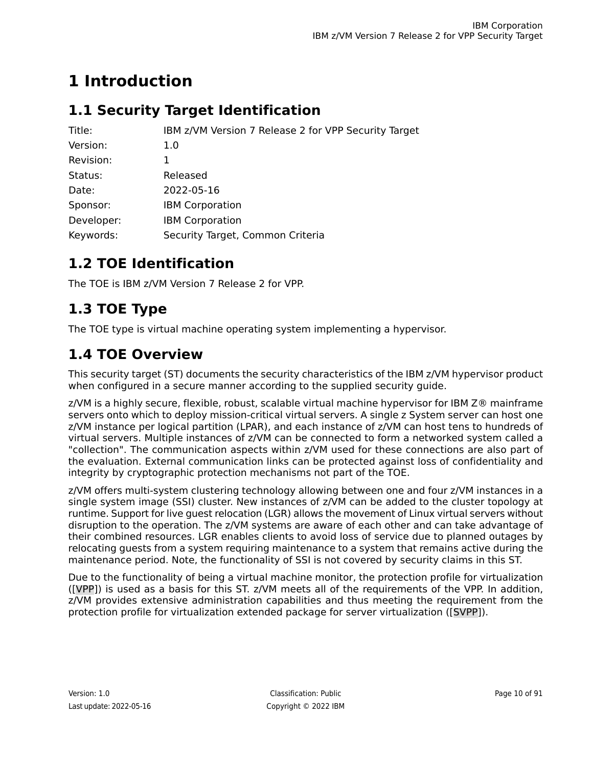# <span id="page-9-0"></span>**1 Introduction**

# <span id="page-9-1"></span>**1.1 Security Target Identification**

| Title:     | IBM z/VM Version 7 Release 2 for VPP Security Target |
|------------|------------------------------------------------------|
| Version:   | 1.0                                                  |
| Revision:  | 1                                                    |
| Status:    | Released                                             |
| Date:      | 2022-05-16                                           |
| Sponsor:   | <b>IBM Corporation</b>                               |
| Developer: | <b>IBM Corporation</b>                               |
| Keywords:  | Security Target, Common Criteria                     |

# <span id="page-9-2"></span>**1.2 TOE Identification**

<span id="page-9-3"></span>The TOE is IBM z/VM Version 7 Release 2 for VPP.

# **1.3 TOE Type**

<span id="page-9-4"></span>The TOE type is virtual machine operating system implementing a hypervisor.

# **1.4 TOE Overview**

This security target (ST) documents the security characteristics of the IBM z/VM hypervisor product when configured in a secure manner according to the supplied security guide.

z/VM is a highly secure, flexible, robust, scalable virtual machine hypervisor for IBM Z® mainframe servers onto which to deploy mission-critical virtual servers. A single z System server can host one z/VM instance per logical partition (LPAR), and each instance of z/VM can host tens to hundreds of virtual servers. Multiple instances of z/VM can be connected to form a networked system called a "collection". The communication aspects within z/VM used for these connections are also part of the evaluation. External communication links can be protected against loss of confidentiality and integrity by cryptographic protection mechanisms not part of the TOE.

z/VM offers multi-system clustering technology allowing between one and four z/VM instances in a single system image (SSI) cluster. New instances of z/VM can be added to the cluster topology at runtime. Support for live guest relocation (LGR) allows the movement of Linux virtual servers without disruption to the operation. The z/VM systems are aware of each other and can take advantage of their combined resources. LGR enables clients to avoid loss of service due to planned outages by relocating guests from a system requiring maintenance to a system that remains active during the maintenance period. Note, the functionality of SSI is not covered by security claims in this ST.

Due to the functionality of being a virtual machine monitor, the protection profile for virtualization [\(\[VPP\]](#page-90-1)) is used as a basis for this ST. z/VM meets all of the requirements of the VPP. In addition, z/VM provides extensive administration capabilities and thus meeting the requirement from the protection profile for virtualization extended package for server virtualization [\(\[SVPP\]](#page-90-2)).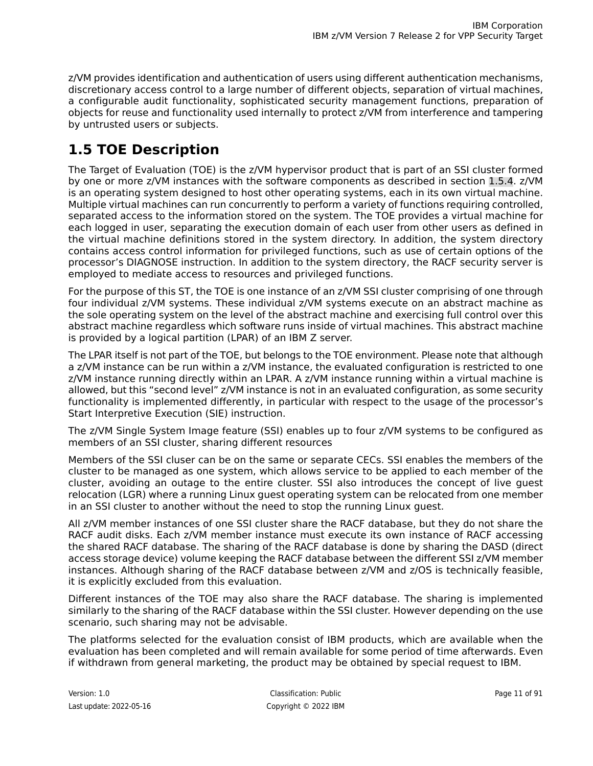z/VM provides identification and authentication of users using different authentication mechanisms, discretionary access control to a large number of different objects, separation of virtual machines, a configurable audit functionality, sophisticated security management functions, preparation of objects for reuse and functionality used internally to protect z/VM from interference and tampering by untrusted users or subjects.

# <span id="page-10-0"></span>**1.5 TOE Description**

The Target of Evaluation (TOE) is the z/VM hypervisor product that is part of an SSI cluster formed by one or more z/VM instances with the software components as described in section [1.5.4](#page-17-2). z/VM is an operating system designed to host other operating systems, each in its own virtual machine. Multiple virtual machines can run concurrently to perform a variety of functions requiring controlled, separated access to the information stored on the system. The TOE provides a virtual machine for each logged in user, separating the execution domain of each user from other users as defined in the virtual machine definitions stored in the system directory. In addition, the system directory contains access control information for privileged functions, such as use of certain options of the processor's DIAGNOSE instruction. In addition to the system directory, the RACF security server is employed to mediate access to resources and privileged functions.

For the purpose of this ST, the TOE is one instance of an z/VM SSI cluster comprising of one through four individual z/VM systems. These individual z/VM systems execute on an abstract machine as the sole operating system on the level of the abstract machine and exercising full control over this abstract machine regardless which software runs inside of virtual machines. This abstract machine is provided by a logical partition (LPAR) of an IBM Z server.

The LPAR itself is not part of the TOE, but belongs to the TOE environment. Please note that although a z/VM instance can be run within a z/VM instance, the evaluated configuration is restricted to one z/VM instance running directly within an LPAR. A z/VM instance running within a virtual machine is allowed, but this "second level" z/VM instance is not in an evaluated configuration, as some security functionality is implemented differently, in particular with respect to the usage of the processor's Start Interpretive Execution (SIE) instruction.

The z/VM Single System Image feature (SSI) enables up to four z/VM systems to be configured as members of an SSI cluster, sharing different resources

Members of the SSI cluser can be on the same or separate CECs. SSI enables the members of the cluster to be managed as one system, which allows service to be applied to each member of the cluster, avoiding an outage to the entire cluster. SSI also introduces the concept of live guest relocation (LGR) where a running Linux guest operating system can be relocated from one member in an SSI cluster to another without the need to stop the running Linux guest.

All z/VM member instances of one SSI cluster share the RACF database, but they do not share the RACF audit disks. Each z/VM member instance must execute its own instance of RACF accessing the shared RACF database. The sharing of the RACF database is done by sharing the DASD (direct access storage device) volume keeping the RACF database between the different SSI z/VM member instances. Although sharing of the RACF database between z/VM and z/OS is technically feasible, it is explicitly excluded from this evaluation.

Different instances of the TOE may also share the RACF database. The sharing is implemented similarly to the sharing of the RACF database within the SSI cluster. However depending on the use scenario, such sharing may not be advisable.

The platforms selected for the evaluation consist of IBM products, which are available when the evaluation has been completed and will remain available for some period of time afterwards. Even if withdrawn from general marketing, the product may be obtained by special request to IBM.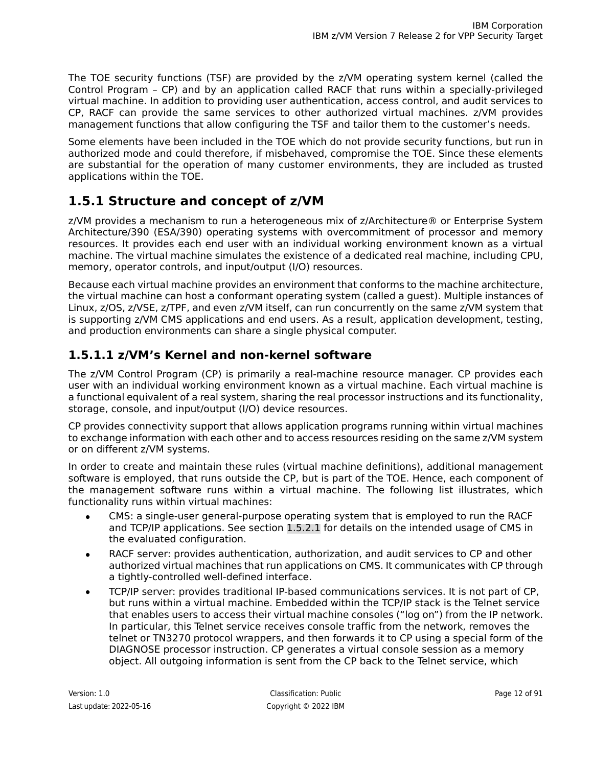The TOE security functions (TSF) are provided by the z/VM operating system kernel (called the Control Program – CP) and by an application called RACF that runs within a specially-privileged virtual machine. In addition to providing user authentication, access control, and audit services to CP, RACF can provide the same services to other authorized virtual machines. z/VM provides management functions that allow configuring the TSF and tailor them to the customer's needs.

Some elements have been included in the TOE which do not provide security functions, but run in authorized mode and could therefore, if misbehaved, compromise the TOE. Since these elements are substantial for the operation of many customer environments, they are included as trusted applications within the TOE.

## <span id="page-11-0"></span>**1.5.1 Structure and concept of z/VM**

z/VM provides a mechanism to run a heterogeneous mix of z/Architecture® or Enterprise System Architecture/390 (ESA/390) operating systems with overcommitment of processor and memory resources. It provides each end user with an individual working environment known as a virtual machine. The virtual machine simulates the existence of a dedicated real machine, including CPU, memory, operator controls, and input/output (I/O) resources.

Because each virtual machine provides an environment that conforms to the machine architecture, the virtual machine can host a conformant operating system (called a guest). Multiple instances of Linux, z/OS, z/VSE, z/TPF, and even z/VM itself, can run concurrently on the same z/VM system that is supporting z/VM CMS applications and end users. As a result, application development, testing, and production environments can share a single physical computer.

### <span id="page-11-1"></span>**1.5.1.1 z/VM's Kernel and non-kernel software**

The z/VM Control Program (CP) is primarily a real-machine resource manager. CP provides each user with an individual working environment known as a virtual machine. Each virtual machine is a functional equivalent of a real system, sharing the real processor instructions and its functionality, storage, console, and input/output (I/O) device resources.

CP provides connectivity support that allows application programs running within virtual machines to exchange information with each other and to access resources residing on the same z/VM system or on different z/VM systems.

In order to create and maintain these rules (virtual machine definitions), additional management software is employed, that runs outside the CP, but is part of the TOE. Hence, each component of the management software runs within a virtual machine. The following list illustrates, which functionality runs within virtual machines:

- CMS: a single-user general-purpose operating system that is employed to run the RACF and TCP/IP applications. See section [1.5.2.1](#page-14-0) for details on the intended usage of CMS in the evaluated configuration.
- RACF server: provides authentication, authorization, and audit services to CP and other authorized virtual machines that run applications on CMS. It communicates with CP through a tightly-controlled well-defined interface.
- TCP/IP server: provides traditional IP-based communications services. It is not part of CP, but runs within a virtual machine. Embedded within the TCP/IP stack is the Telnet service that enables users to access their virtual machine consoles ("log on") from the IP network. In particular, this Telnet service receives console traffic from the network, removes the telnet or TN3270 protocol wrappers, and then forwards it to CP using a special form of the DIAGNOSE processor instruction. CP generates a virtual console session as a memory object. All outgoing information is sent from the CP back to the Telnet service, which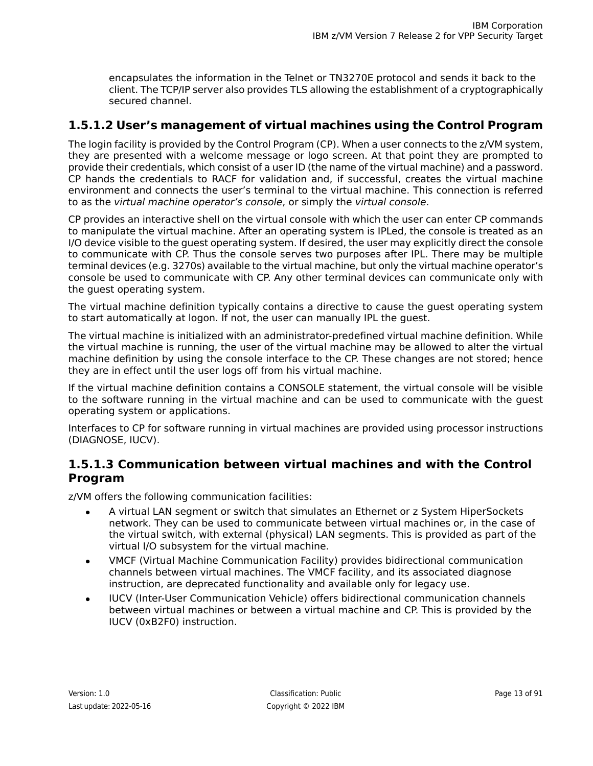encapsulates the information in the Telnet or TN3270E protocol and sends it back to the client. The TCP/IP server also provides TLS allowing the establishment of a cryptographically secured channel.

### <span id="page-12-0"></span>**1.5.1.2 User's management of virtual machines using the Control Program**

The login facility is provided by the Control Program (CP). When a user connects to the z/VM system, they are presented with a welcome message or logo screen. At that point they are prompted to provide their credentials, which consist of a user ID (the name of the virtual machine) and a password. CP hands the credentials to RACF for validation and, if successful, creates the virtual machine environment and connects the user's terminal to the virtual machine. This connection is referred to as the virtual machine operator's console, or simply the virtual console.

CP provides an interactive shell on the virtual console with which the user can enter CP commands to manipulate the virtual machine. After an operating system is IPLed, the console is treated as an I/O device visible to the guest operating system. If desired, the user may explicitly direct the console to communicate with CP. Thus the console serves two purposes after IPL. There may be multiple terminal devices (e.g. 3270s) available to the virtual machine, but only the virtual machine operator's console be used to communicate with CP. Any other terminal devices can communicate only with the guest operating system.

The virtual machine definition typically contains a directive to cause the guest operating system to start automatically at logon. If not, the user can manually IPL the guest.

The virtual machine is initialized with an administrator-predefined virtual machine definition. While the virtual machine is running, the user of the virtual machine may be allowed to alter the virtual machine definition by using the console interface to the CP. These changes are not stored; hence they are in effect until the user logs off from his virtual machine.

If the virtual machine definition contains a CONSOLE statement, the virtual console will be visible to the software running in the virtual machine and can be used to communicate with the guest operating system or applications.

<span id="page-12-1"></span>Interfaces to CP for software running in virtual machines are provided using processor instructions (DIAGNOSE, IUCV).

### **1.5.1.3 Communication between virtual machines and with the Control Program**

z/VM offers the following communication facilities:

- A virtual LAN segment or switch that simulates an Ethernet or z System HiperSockets network. They can be used to communicate between virtual machines or, in the case of the virtual switch, with external (physical) LAN segments. This is provided as part of the virtual I/O subsystem for the virtual machine.
- VMCF (Virtual Machine Communication Facility) provides bidirectional communication channels between virtual machines. The VMCF facility, and its associated diagnose instruction, are deprecated functionality and available only for legacy use.
- IUCV (Inter-User Communication Vehicle) offers bidirectional communication channels between virtual machines or between a virtual machine and CP. This is provided by the IUCV (0xB2F0) instruction.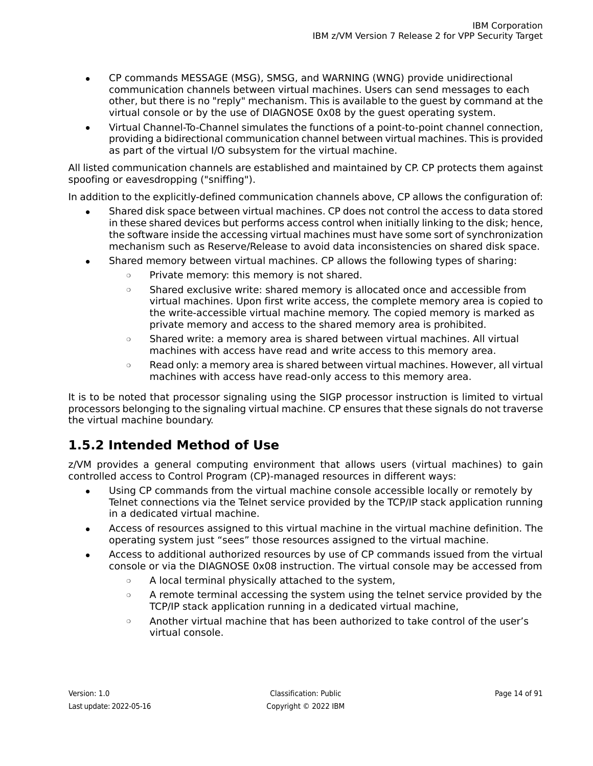- CP commands MESSAGE (MSG), SMSG, and WARNING (WNG) provide unidirectional communication channels between virtual machines. Users can send messages to each other, but there is no "reply" mechanism. This is available to the guest by command at the virtual console or by the use of DIAGNOSE 0x08 by the guest operating system.
- Virtual Channel-To-Channel simulates the functions of a point-to-point channel connection, providing a bidirectional communication channel between virtual machines. This is provided as part of the virtual I/O subsystem for the virtual machine.

All listed communication channels are established and maintained by CP. CP protects them against spoofing or eavesdropping ("sniffing").

In addition to the explicitly-defined communication channels above, CP allows the configuration of:

- Shared disk space between virtual machines. CP does not control the access to data stored in these shared devices but performs access control when initially linking to the disk; hence, the software inside the accessing virtual machines must have some sort of synchronization mechanism such as Reserve/Release to avoid data inconsistencies on shared disk space.
- Shared memory between virtual machines. CP allows the following types of sharing:
	- ❍ Private memory: this memory is not shared.
	- ❍ Shared exclusive write: shared memory is allocated once and accessible from virtual machines. Upon first write access, the complete memory area is copied to the write-accessible virtual machine memory. The copied memory is marked as private memory and access to the shared memory area is prohibited.
	- ❍ Shared write: a memory area is shared between virtual machines. All virtual machines with access have read and write access to this memory area.
	- ❍ Read only: a memory area is shared between virtual machines. However, all virtual machines with access have read-only access to this memory area.

<span id="page-13-0"></span>It is to be noted that processor signaling using the SIGP processor instruction is limited to virtual processors belonging to the signaling virtual machine. CP ensures that these signals do not traverse the virtual machine boundary.

## **1.5.2 Intended Method of Use**

z/VM provides a general computing environment that allows users (virtual machines) to gain controlled access to Control Program (CP)-managed resources in different ways:

- Using CP commands from the virtual machine console accessible locally or remotely by Telnet connections via the Telnet service provided by the TCP/IP stack application running in a dedicated virtual machine.
- Access of resources assigned to this virtual machine in the virtual machine definition. The operating system just "sees" those resources assigned to the virtual machine.
- Access to additional authorized resources by use of CP commands issued from the virtual console or via the DIAGNOSE 0x08 instruction. The virtual console may be accessed from
	- ❍ A local terminal physically attached to the system,
	- A remote terminal accessing the system using the telnet service provided by the TCP/IP stack application running in a dedicated virtual machine,
	- $\circ$  Another virtual machine that has been authorized to take control of the user's virtual console.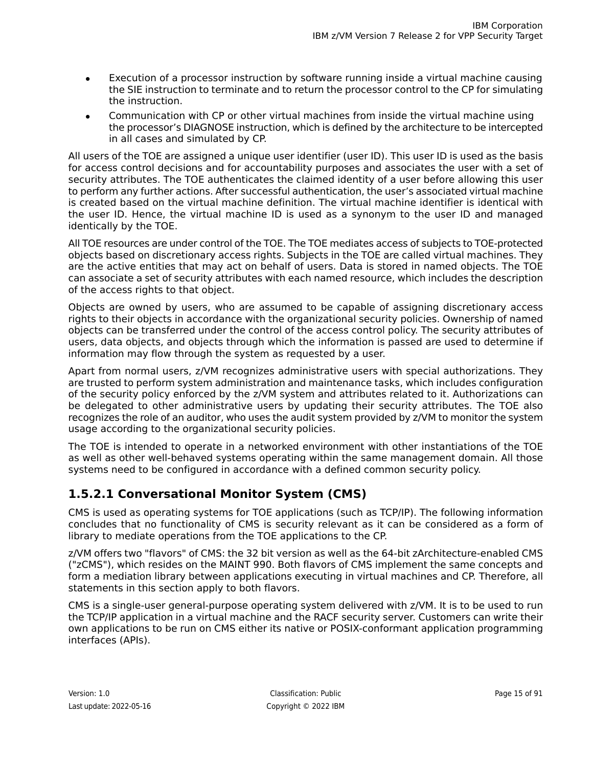- Execution of a processor instruction by software running inside a virtual machine causing the SIE instruction to terminate and to return the processor control to the CP for simulating the instruction.
- Communication with CP or other virtual machines from inside the virtual machine using the processor's DIAGNOSE instruction, which is defined by the architecture to be intercepted in all cases and simulated by CP.

All users of the TOE are assigned a unique user identifier (user ID). This user ID is used as the basis for access control decisions and for accountability purposes and associates the user with a set of security attributes. The TOE authenticates the claimed identity of a user before allowing this user to perform any further actions. After successful authentication, the user's associated virtual machine is created based on the virtual machine definition. The virtual machine identifier is identical with the user ID. Hence, the virtual machine ID is used as a synonym to the user ID and managed identically by the TOE.

All TOE resources are under control of the TOE. The TOE mediates access of subjects to TOE-protected objects based on discretionary access rights. Subjects in the TOE are called virtual machines. They are the active entities that may act on behalf of users. Data is stored in named objects. The TOE can associate a set of security attributes with each named resource, which includes the description of the access rights to that object.

Objects are owned by users, who are assumed to be capable of assigning discretionary access rights to their objects in accordance with the organizational security policies. Ownership of named objects can be transferred under the control of the access control policy. The security attributes of users, data objects, and objects through which the information is passed are used to determine if information may flow through the system as requested by a user.

Apart from normal users, z/VM recognizes administrative users with special authorizations. They are trusted to perform system administration and maintenance tasks, which includes configuration of the security policy enforced by the z/VM system and attributes related to it. Authorizations can be delegated to other administrative users by updating their security attributes. The TOE also recognizes the role of an auditor, who uses the audit system provided by z/VM to monitor the system usage according to the organizational security policies.

<span id="page-14-0"></span>The TOE is intended to operate in a networked environment with other instantiations of the TOE as well as other well-behaved systems operating within the same management domain. All those systems need to be configured in accordance with a defined common security policy.

### **1.5.2.1 Conversational Monitor System (CMS)**

CMS is used as operating systems for TOE applications (such as TCP/IP). The following information concludes that no functionality of CMS is security relevant as it can be considered as a form of library to mediate operations from the TOE applications to the CP.

z/VM offers two "flavors" of CMS: the 32 bit version as well as the 64-bit zArchitecture-enabled CMS ("zCMS"), which resides on the MAINT 990. Both flavors of CMS implement the same concepts and form a mediation library between applications executing in virtual machines and CP. Therefore, all statements in this section apply to both flavors.

CMS is a single-user general-purpose operating system delivered with z/VM. It is to be used to run the TCP/IP application in a virtual machine and the RACF security server. Customers can write their own applications to be run on CMS either its native or POSIX-conformant application programming interfaces (APIs).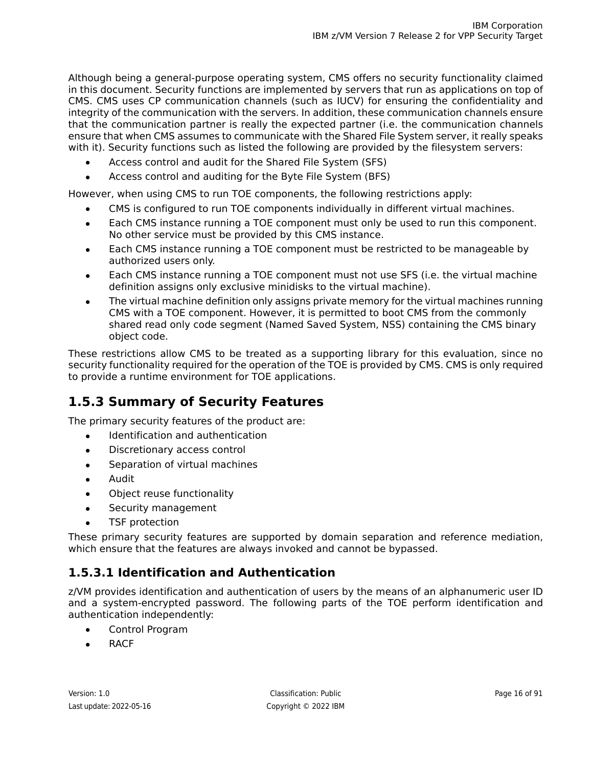Although being a general-purpose operating system, CMS offers no security functionality claimed in this document. Security functions are implemented by servers that run as applications on top of CMS. CMS uses CP communication channels (such as IUCV) for ensuring the confidentiality and integrity of the communication with the servers. In addition, these communication channels ensure that the communication partner is really the expected partner (i.e. the communication channels ensure that when CMS assumes to communicate with the Shared File System server, it really speaks with it). Security functions such as listed the following are provided by the filesystem servers:

- Access control and audit for the Shared File System (SFS)
- Access control and auditing for the Byte File System (BFS)

However, when using CMS to run TOE components, the following restrictions apply:

- CMS is configured to run TOE components individually in different virtual machines.
- Each CMS instance running a TOE component must only be used to run this component. No other service must be provided by this CMS instance.
- Each CMS instance running a TOE component must be restricted to be manageable by authorized users only.
- Each CMS instance running a TOE component must not use SFS (i.e. the virtual machine definition assigns only exclusive minidisks to the virtual machine).
- The virtual machine definition only assigns private memory for the virtual machines running CMS with a TOE component. However, it is permitted to boot CMS from the commonly shared read only code segment (Named Saved System, NSS) containing the CMS binary object code.

<span id="page-15-0"></span>These restrictions allow CMS to be treated as a supporting library for this evaluation, since no security functionality required for the operation of the TOE is provided by CMS. CMS is only required to provide a runtime environment for TOE applications.

## **1.5.3 Summary of Security Features**

The primary security features of the product are:

- Identification and authentication
- Discretionary access control
- Separation of virtual machines
- Audit
- Object reuse functionality
- Security management
- TSF protection

<span id="page-15-1"></span>These primary security features are supported by domain separation and reference mediation, which ensure that the features are always invoked and cannot be bypassed.

### **1.5.3.1 Identification and Authentication**

z/VM provides identification and authentication of users by the means of an alphanumeric user ID and a system-encrypted password. The following parts of the TOE perform identification and authentication independently:

- Control Program
- **RACF**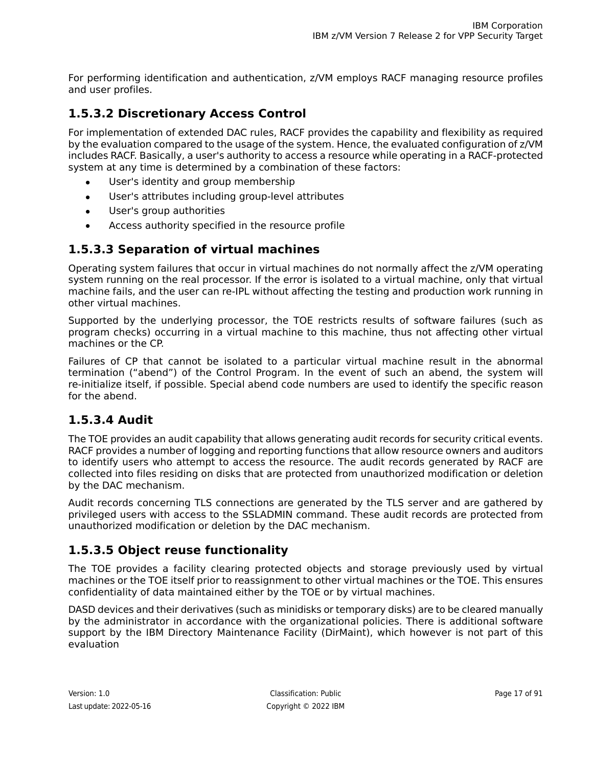For performing identification and authentication, z/VM employs RACF managing resource profiles and user profiles.

### <span id="page-16-0"></span>**1.5.3.2 Discretionary Access Control**

For implementation of extended DAC rules, RACF provides the capability and flexibility as required by the evaluation compared to the usage of the system. Hence, the evaluated configuration of z/VM includes RACF. Basically, a user's authority to access a resource while operating in a RACF-protected system at any time is determined by a combination of these factors:

- User's identity and group membership
- User's attributes including group-level attributes
- User's group authorities
- Access authority specified in the resource profile

### <span id="page-16-1"></span>**1.5.3.3 Separation of virtual machines**

Operating system failures that occur in virtual machines do not normally affect the z/VM operating system running on the real processor. If the error is isolated to a virtual machine, only that virtual machine fails, and the user can re-IPL without affecting the testing and production work running in other virtual machines.

Supported by the underlying processor, the TOE restricts results of software failures (such as program checks) occurring in a virtual machine to this machine, thus not affecting other virtual machines or the CP.

<span id="page-16-2"></span>Failures of CP that cannot be isolated to a particular virtual machine result in the abnormal termination ("abend") of the Control Program. In the event of such an abend, the system will re-initialize itself, if possible. Special abend code numbers are used to identify the specific reason for the abend.

### **1.5.3.4 Audit**

The TOE provides an audit capability that allows generating audit records for security critical events. RACF provides a number of logging and reporting functions that allow resource owners and auditors to identify users who attempt to access the resource. The audit records generated by RACF are collected into files residing on disks that are protected from unauthorized modification or deletion by the DAC mechanism.

<span id="page-16-3"></span>Audit records concerning TLS connections are generated by the TLS server and are gathered by privileged users with access to the SSLADMIN command. These audit records are protected from unauthorized modification or deletion by the DAC mechanism.

### **1.5.3.5 Object reuse functionality**

The TOE provides a facility clearing protected objects and storage previously used by virtual machines or the TOE itself prior to reassignment to other virtual machines or the TOE. This ensures confidentiality of data maintained either by the TOE or by virtual machines.

DASD devices and their derivatives (such as minidisks or temporary disks) are to be cleared manually by the administrator in accordance with the organizational policies. There is additional software support by the IBM Directory Maintenance Facility (DirMaint), which however is not part of this evaluation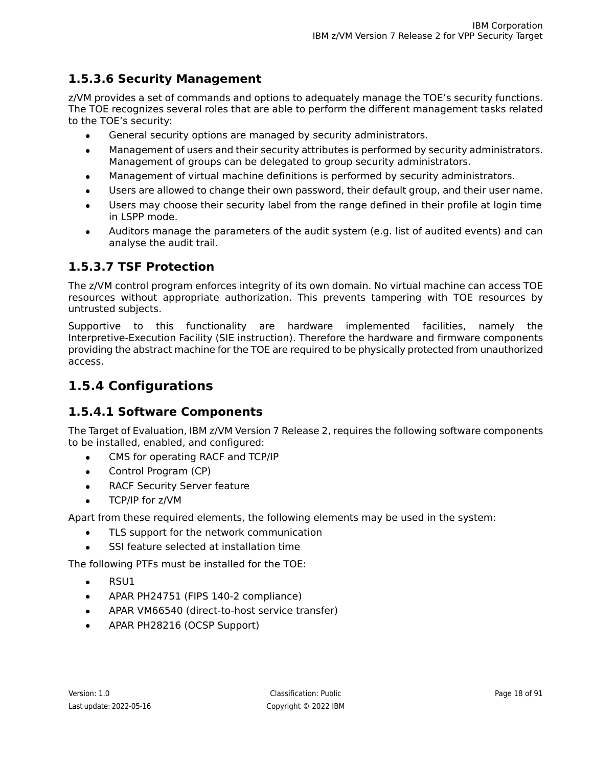### <span id="page-17-0"></span>**1.5.3.6 Security Management**

z/VM provides a set of commands and options to adequately manage the TOE's security functions. The TOE recognizes several roles that are able to perform the different management tasks related to the TOE's security:

- General security options are managed by security administrators.
- Management of users and their security attributes is performed by security administrators. Management of groups can be delegated to group security administrators.
- Management of virtual machine definitions is performed by security administrators.
- Users are allowed to change their own password, their default group, and their user name.
- Users may choose their security label from the range defined in their profile at login time in LSPP mode.
- Auditors manage the parameters of the audit system (e.g. list of audited events) and can analyse the audit trail.

### <span id="page-17-1"></span>**1.5.3.7 TSF Protection**

The z/VM control program enforces integrity of its own domain. No virtual machine can access TOE resources without appropriate authorization. This prevents tampering with TOE resources by untrusted subjects.

<span id="page-17-2"></span>Supportive to this functionality are hardware implemented facilities, namely the Interpretive-Execution Facility (SIE instruction). Therefore the hardware and firmware components providing the abstract machine for the TOE are required to be physically protected from unauthorized access.

## <span id="page-17-3"></span>**1.5.4 Configurations**

### **1.5.4.1 Software Components**

The Target of Evaluation, IBM z/VM Version 7 Release 2, requires the following software components to be installed, enabled, and configured:

- CMS for operating RACF and TCP/IP
- Control Program (CP)
- RACF Security Server feature
- TCP/IP for z/VM

Apart from these required elements, the following elements may be used in the system:

- TLS support for the network communication
- SSI feature selected at installation time

The following PTFs must be installed for the TOE:

- $\bullet$  RSU1
- APAR PH24751 (FIPS 140-2 compliance)
- APAR VM66540 (direct-to-host service transfer)
- APAR PH28216 (OCSP Support)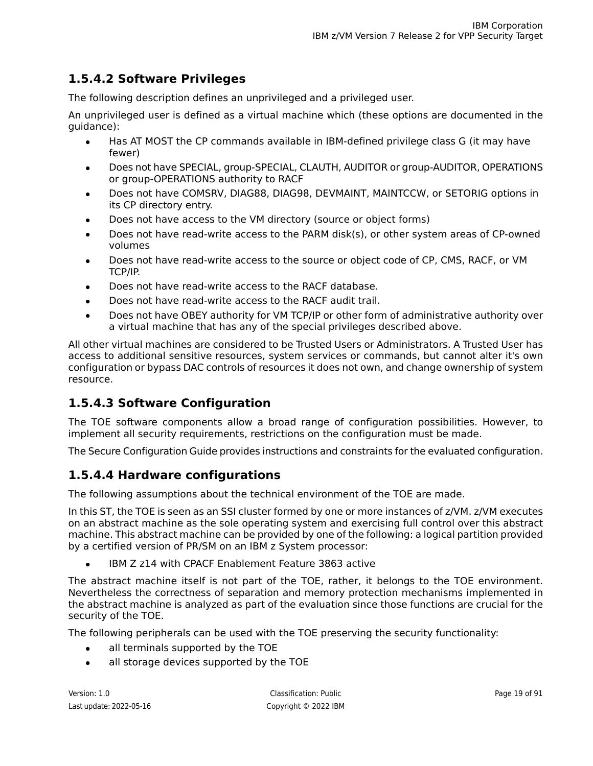### <span id="page-18-0"></span>**1.5.4.2 Software Privileges**

The following description defines an unprivileged and a privileged user.

An unprivileged user is defined as a virtual machine which (these options are documented in the guidance):

- Has AT MOST the CP commands available in IBM-defined privilege class G (it may have fewer)
- Does not have SPECIAL, group-SPECIAL, CLAUTH, AUDITOR or group-AUDITOR, OPERATIONS or group-OPERATIONS authority to RACF
- Does not have COMSRV, DIAG88, DIAG98, DEVMAINT, MAINTCCW, or SETORIG options in its CP directory entry.
- Does not have access to the VM directory (source or object forms)
- Does not have read-write access to the PARM disk(s), or other system areas of CP-owned volumes
- Does not have read-write access to the source or object code of CP, CMS, RACF, or VM TCP/IP.
- Does not have read-write access to the RACF database.
- Does not have read-write access to the RACF audit trail.
- Does not have OBEY authority for VM TCP/IP or other form of administrative authority over a virtual machine that has any of the special privileges described above.

<span id="page-18-1"></span>All other virtual machines are considered to be Trusted Users or Administrators. A Trusted User has access to additional sensitive resources, system services or commands, but cannot alter it's own configuration or bypass DAC controls of resources it does not own, and change ownership of system resource.

### **1.5.4.3 Software Configuration**

<span id="page-18-2"></span>The TOE software components allow a broad range of configuration possibilities. However, to implement all security requirements, restrictions on the configuration must be made.

The Secure Configuration Guide provides instructions and constraints for the evaluated configuration.

### **1.5.4.4 Hardware configurations**

The following assumptions about the technical environment of the TOE are made.

In this ST, the TOE is seen as an SSI cluster formed by one or more instances of z/VM. z/VM executes on an abstract machine as the sole operating system and exercising full control over this abstract machine. This abstract machine can be provided by one of the following: a logical partition provided by a certified version of PR/SM on an IBM z System processor:

IBM Z z14 with CPACF Enablement Feature 3863 active

The abstract machine itself is not part of the TOE, rather, it belongs to the TOE environment. Nevertheless the correctness of separation and memory protection mechanisms implemented in the abstract machine is analyzed as part of the evaluation since those functions are crucial for the security of the TOE.

The following peripherals can be used with the TOE preserving the security functionality:

- all terminals supported by the TOE
- all storage devices supported by the TOE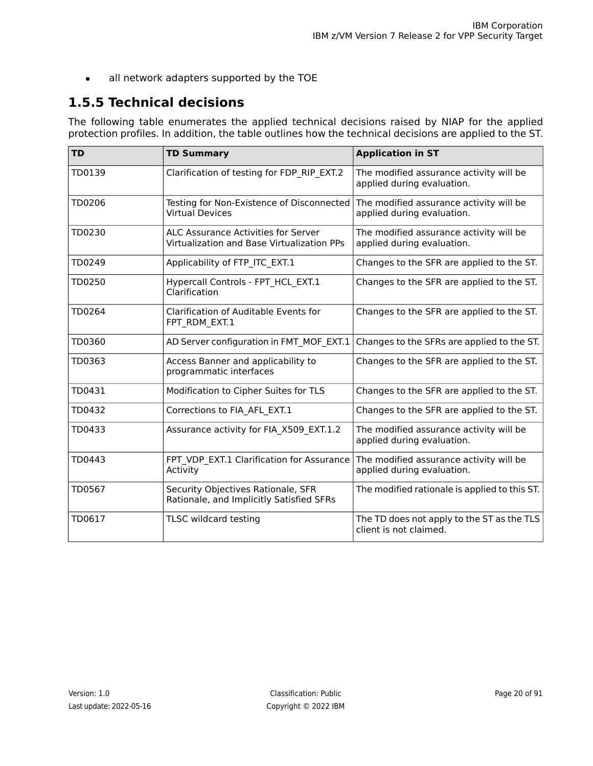• all network adapters supported by the TOE

# <span id="page-19-0"></span>**1.5.5 Technical decisions**

The following table enumerates the applied technical decisions raised by NIAP for the applied protection profiles. In addition, the table outlines how the technical decisions are applied to the ST.

| <b>TD</b> | <b>TD Summary</b>                                                                               | <b>Application in ST</b>                                              |
|-----------|-------------------------------------------------------------------------------------------------|-----------------------------------------------------------------------|
| TD0139    | Clarification of testing for FDP RIP EXT.2                                                      | The modified assurance activity will be<br>applied during evaluation. |
| TD0206    | Testing for Non-Existence of Disconnected<br><b>Virtual Devices</b>                             | The modified assurance activity will be<br>applied during evaluation. |
| TD0230    | <b>ALC Assurance Activities for Server</b><br>Virtualization and Base Virtualization PPs        | The modified assurance activity will be<br>applied during evaluation. |
| TD0249    | Applicability of FTP_ITC_EXT.1                                                                  | Changes to the SFR are applied to the ST.                             |
| TD0250    | Hypercall Controls - FPT HCL EXT.1<br>Clarification                                             | Changes to the SFR are applied to the ST.                             |
| TD0264    | Clarification of Auditable Events for<br>FPT RDM EXT.1                                          | Changes to the SFR are applied to the ST.                             |
| TD0360    | AD Server configuration in FMT MOF EXT.1                                                        | Changes to the SFRs are applied to the ST.                            |
| TD0363    | Access Banner and applicability to<br>programmatic interfaces                                   | Changes to the SFR are applied to the ST.                             |
| TD0431    | Modification to Cipher Suites for TLS                                                           | Changes to the SFR are applied to the ST.                             |
| TD0432    | Corrections to FIA_AFL_EXT.1                                                                    | Changes to the SFR are applied to the ST.                             |
| TD0433    | Assurance activity for FIA_X509_EXT.1.2                                                         | The modified assurance activity will be<br>applied during evaluation. |
| TD0443    | FPT_VDP_EXT.1 Clarification for Assurance   The modified assurance activity will be<br>Activity | applied during evaluation.                                            |
| TD0567    | Security Objectives Rationale, SFR<br>Rationale, and Implicitly Satisfied SFRs                  | The modified rationale is applied to this ST.                         |
| TD0617    | TLSC wildcard testing                                                                           | The TD does not apply to the ST as the TLS<br>client is not claimed.  |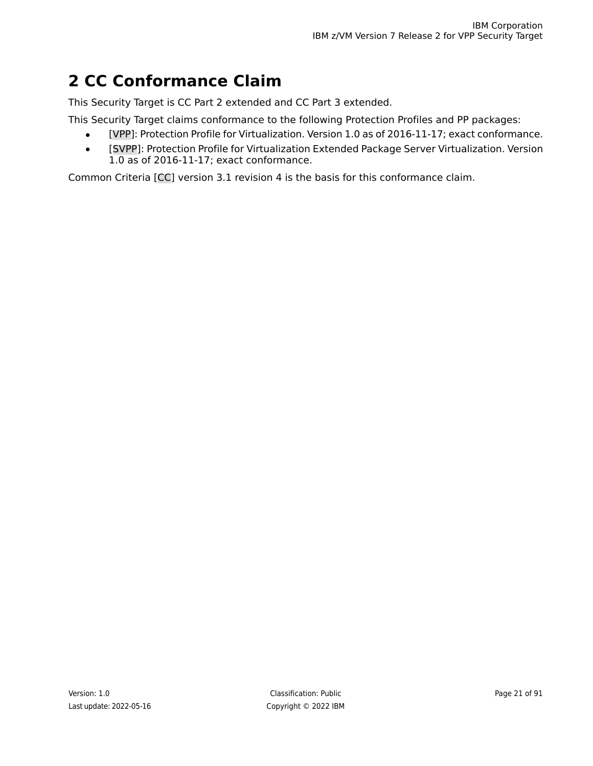# <span id="page-20-0"></span>**2 CC Conformance Claim**

This Security Target is CC Part 2 extended and CC Part 3 extended.

- This Security Target claims conformance to the following Protection Profiles and PP packages:
	- [\[VPP\]:](#page-90-1) Protection Profile for Virtualization. Version 1.0 as of 2016-11-17; exact conformance.
	- [\[SVPP\]:](#page-90-2) Protection Profile for Virtualization Extended Package Server Virtualization. Version 1.0 as of 2016-11-17; exact conformance.

Common Criteria [\[CC\]](#page-90-3) version 3.1 revision 4 is the basis for this conformance claim.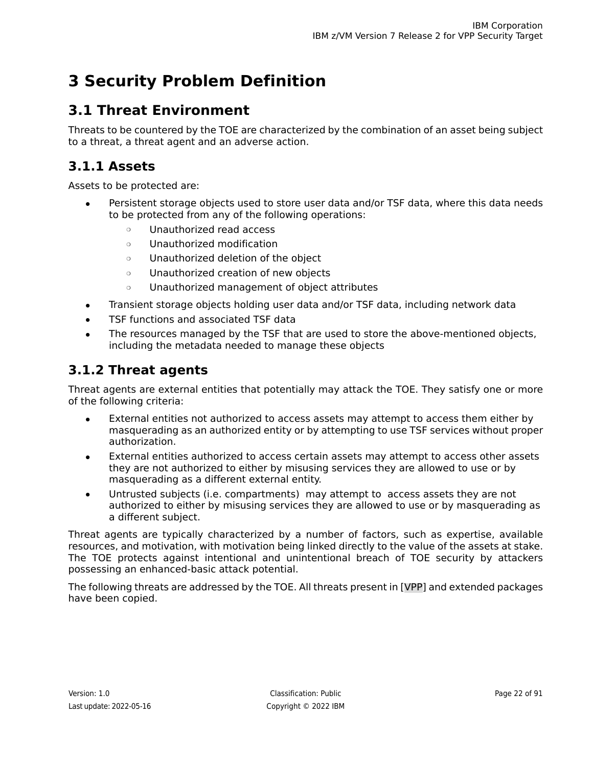# <span id="page-21-0"></span>**3 Security Problem Definition**

# <span id="page-21-1"></span>**3.1 Threat Environment**

Threats to be countered by the TOE are characterized by the combination of an asset being subject to a threat, a threat agent and an adverse action.

## <span id="page-21-2"></span>**3.1.1 Assets**

Assets to be protected are:

- Persistent storage objects used to store user data and/or TSF data, where this data needs to be protected from any of the following operations:
	- ❍ Unauthorized read access
	- ❍ Unauthorized modification
	- ❍ Unauthorized deletion of the object
	- ❍ Unauthorized creation of new objects
	- ❍ Unauthorized management of object attributes
- Transient storage objects holding user data and/or TSF data, including network data
- TSF functions and associated TSF data
- <span id="page-21-3"></span>The resources managed by the TSF that are used to store the above-mentioned objects, including the metadata needed to manage these objects

## **3.1.2 Threat agents**

Threat agents are external entities that potentially may attack the TOE. They satisfy one or more of the following criteria:

- External entities not authorized to access assets may attempt to access them either by masquerading as an authorized entity or by attempting to use TSF services without proper authorization.
- External entities authorized to access certain assets may attempt to access other assets they are not authorized to either by misusing services they are allowed to use or by masquerading as a different external entity.
- Untrusted subjects (i.e. compartments) may attempt to access assets they are not authorized to either by misusing services they are allowed to use or by masquerading as a different subject.

Threat agents are typically characterized by a number of factors, such as expertise, available resources, and motivation, with motivation being linked directly to the value of the assets at stake. The TOE protects against intentional and unintentional breach of TOE security by attackers possessing an enhanced-basic attack potential.

The following threats are addressed by the TOE. All threats present in [\[VPP\]](#page-90-1) and extended packages have been copied.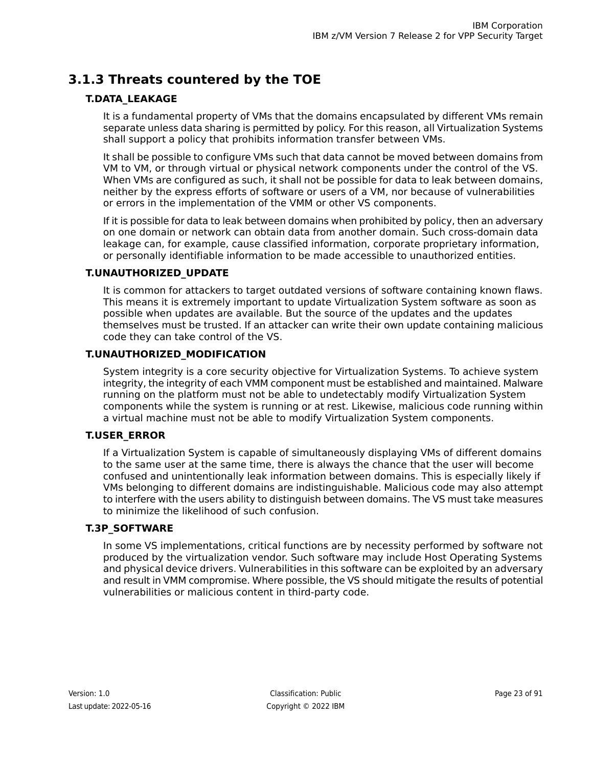## <span id="page-22-0"></span>**3.1.3 Threats countered by the TOE**

### <span id="page-22-1"></span>**T.DATA\_LEAKAGE**

It is a fundamental property of VMs that the domains encapsulated by different VMs remain separate unless data sharing is permitted by policy. For this reason, all Virtualization Systems shall support a policy that prohibits information transfer between VMs.

It shall be possible to configure VMs such that data cannot be moved between domains from VM to VM, or through virtual or physical network components under the control of the VS. When VMs are configured as such, it shall not be possible for data to leak between domains, neither by the express efforts of software or users of a VM, nor because of vulnerabilities or errors in the implementation of the VMM or other VS components.

If it is possible for data to leak between domains when prohibited by policy, then an adversary on one domain or network can obtain data from another domain. Such cross-domain data leakage can, for example, cause classified information, corporate proprietary information, or personally identifiable information to be made accessible to unauthorized entities.

#### <span id="page-22-3"></span>**T.UNAUTHORIZED\_UPDATE**

It is common for attackers to target outdated versions of software containing known flaws. This means it is extremely important to update Virtualization System software as soon as possible when updates are available. But the source of the updates and the updates themselves must be trusted. If an attacker can write their own update containing malicious code they can take control of the VS.

#### <span id="page-22-4"></span>**T.UNAUTHORIZED\_MODIFICATION**

<span id="page-22-2"></span>System integrity is a core security objective for Virtualization Systems. To achieve system integrity, the integrity of each VMM component must be established and maintained. Malware running on the platform must not be able to undetectably modify Virtualization System components while the system is running or at rest. Likewise, malicious code running within a virtual machine must not be able to modify Virtualization System components.

### **T.USER\_ERROR**

<span id="page-22-5"></span>If a Virtualization System is capable of simultaneously displaying VMs of different domains to the same user at the same time, there is always the chance that the user will become confused and unintentionally leak information between domains. This is especially likely if VMs belonging to different domains are indistinguishable. Malicious code may also attempt to interfere with the users ability to distinguish between domains. The VS must take measures to minimize the likelihood of such confusion.

#### **T.3P\_SOFTWARE**

In some VS implementations, critical functions are by necessity performed by software not produced by the virtualization vendor. Such software may include Host Operating Systems and physical device drivers. Vulnerabilities in this software can be exploited by an adversary and result in VMM compromise. Where possible, the VS should mitigate the results of potential vulnerabilities or malicious content in third-party code.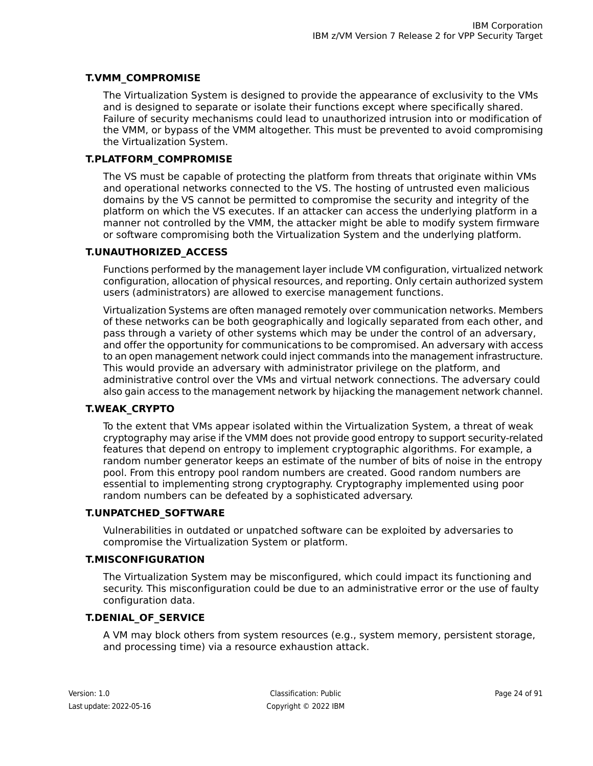### <span id="page-23-0"></span>**T.VMM\_COMPROMISE**

The Virtualization System is designed to provide the appearance of exclusivity to the VMs and is designed to separate or isolate their functions except where specifically shared. Failure of security mechanisms could lead to unauthorized intrusion into or modification of the VMM, or bypass of the VMM altogether. This must be prevented to avoid compromising the Virtualization System.

#### <span id="page-23-1"></span>**T.PLATFORM\_COMPROMISE**

The VS must be capable of protecting the platform from threats that originate within VMs and operational networks connected to the VS. The hosting of untrusted even malicious domains by the VS cannot be permitted to compromise the security and integrity of the platform on which the VS executes. If an attacker can access the underlying platform in a manner not controlled by the VMM, the attacker might be able to modify system firmware or software compromising both the Virtualization System and the underlying platform.

#### <span id="page-23-2"></span>**T.UNAUTHORIZED\_ACCESS**

Functions performed by the management layer include VM configuration, virtualized network configuration, allocation of physical resources, and reporting. Only certain authorized system users (administrators) are allowed to exercise management functions.

Virtualization Systems are often managed remotely over communication networks. Members of these networks can be both geographically and logically separated from each other, and pass through a variety of other systems which may be under the control of an adversary, and offer the opportunity for communications to be compromised. An adversary with access to an open management network could inject commands into the management infrastructure. This would provide an adversary with administrator privilege on the platform, and administrative control over the VMs and virtual network connections. The adversary could also gain access to the management network by hijacking the management network channel.

### <span id="page-23-5"></span>**T.WEAK\_CRYPTO**

<span id="page-23-4"></span>To the extent that VMs appear isolated within the Virtualization System, a threat of weak cryptography may arise if the VMM does not provide good entropy to support security-related features that depend on entropy to implement cryptographic algorithms. For example, a random number generator keeps an estimate of the number of bits of noise in the entropy pool. From this entropy pool random numbers are created. Good random numbers are essential to implementing strong cryptography. Cryptography implemented using poor random numbers can be defeated by a sophisticated adversary.

### <span id="page-23-3"></span>**T.UNPATCHED\_SOFTWARE**

Vulnerabilities in outdated or unpatched software can be exploited by adversaries to compromise the Virtualization System or platform.

### <span id="page-23-6"></span>**T.MISCONFIGURATION**

The Virtualization System may be misconfigured, which could impact its functioning and security. This misconfiguration could be due to an administrative error or the use of faulty configuration data.

### **T.DENIAL\_OF\_SERVICE**

A VM may block others from system resources (e.g., system memory, persistent storage, and processing time) via a resource exhaustion attack.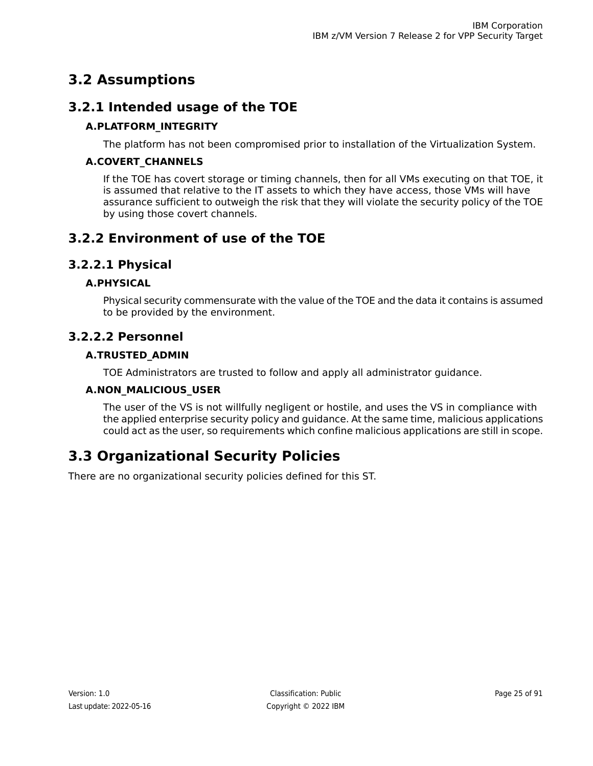# <span id="page-24-0"></span>**3.2 Assumptions**

## <span id="page-24-1"></span>**3.2.1 Intended usage of the TOE**

### <span id="page-24-10"></span>**A.PLATFORM\_INTEGRITY**

The platform has not been compromised prior to installation of the Virtualization System.

### <span id="page-24-9"></span>**A.COVERT\_CHANNELS**

If the TOE has covert storage or timing channels, then for all VMs executing on that TOE, it is assumed that relative to the IT assets to which they have access, those VMs will have assurance sufficient to outweigh the risk that they will violate the security policy of the TOE by using those covert channels.

## <span id="page-24-3"></span><span id="page-24-2"></span>**3.2.2 Environment of use of the TOE**

### <span id="page-24-8"></span>**3.2.2.1 Physical**

### <span id="page-24-4"></span>**A.PHYSICAL**

Physical security commensurate with the value of the TOE and the data it contains is assumed to be provided by the environment.

### <span id="page-24-6"></span>**3.2.2.2 Personnel**

### <span id="page-24-7"></span>**A.TRUSTED\_ADMIN**

TOE Administrators are trusted to follow and apply all administrator guidance.

### <span id="page-24-5"></span>**A.NON\_MALICIOUS\_USER**

The user of the VS is not willfully negligent or hostile, and uses the VS in compliance with the applied enterprise security policy and guidance. At the same time, malicious applications could act as the user, so requirements which confine malicious applications are still in scope.

# **3.3 Organizational Security Policies**

There are no organizational security policies defined for this ST.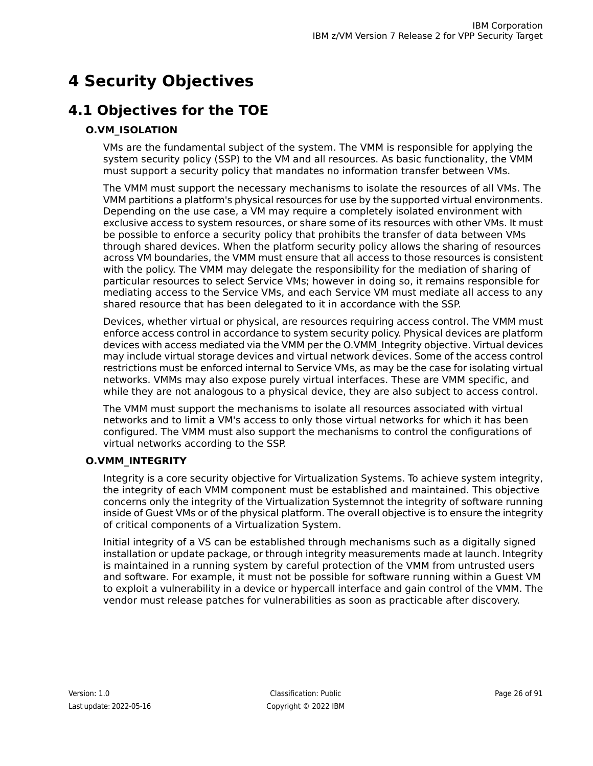# <span id="page-25-0"></span>**4 Security Objectives**

# <span id="page-25-1"></span>**4.1 Objectives for the TOE**

### <span id="page-25-2"></span>**O.VM\_ISOLATION**

VMs are the fundamental subject of the system. The VMM is responsible for applying the system security policy (SSP) to the VM and all resources. As basic functionality, the VMM must support a security policy that mandates no information transfer between VMs.

The VMM must support the necessary mechanisms to isolate the resources of all VMs. The VMM partitions a platform's physical resources for use by the supported virtual environments. Depending on the use case, a VM may require a completely isolated environment with exclusive access to system resources, or share some of its resources with other VMs. It must be possible to enforce a security policy that prohibits the transfer of data between VMs through shared devices. When the platform security policy allows the sharing of resources across VM boundaries, the VMM must ensure that all access to those resources is consistent with the policy. The VMM may delegate the responsibility for the mediation of sharing of particular resources to select Service VMs; however in doing so, it remains responsible for mediating access to the Service VMs, and each Service VM must mediate all access to any shared resource that has been delegated to it in accordance with the SSP.

Devices, whether virtual or physical, are resources requiring access control. The VMM must enforce access control in accordance to system security policy. Physical devices are platform devices with access mediated via the VMM per the O.VMM\_Integrity objective. Virtual devices may include virtual storage devices and virtual network devices. Some of the access control restrictions must be enforced internal to Service VMs, as may be the case for isolating virtual networks. VMMs may also expose purely virtual interfaces. These are VMM specific, and while they are not analogous to a physical device, they are also subject to access control.

<span id="page-25-3"></span>The VMM must support the mechanisms to isolate all resources associated with virtual networks and to limit a VM's access to only those virtual networks for which it has been configured. The VMM must also support the mechanisms to control the configurations of virtual networks according to the SSP.

### **O.VMM\_INTEGRITY**

Integrity is a core security objective for Virtualization Systems. To achieve system integrity, the integrity of each VMM component must be established and maintained. This objective concerns only the integrity of the Virtualization Systemnot the integrity of software running inside of Guest VMs or of the physical platform. The overall objective is to ensure the integrity of critical components of a Virtualization System.

Initial integrity of a VS can be established through mechanisms such as a digitally signed installation or update package, or through integrity measurements made at launch. Integrity is maintained in a running system by careful protection of the VMM from untrusted users and software. For example, it must not be possible for software running within a Guest VM to exploit a vulnerability in a device or hypercall interface and gain control of the VMM. The vendor must release patches for vulnerabilities as soon as practicable after discovery.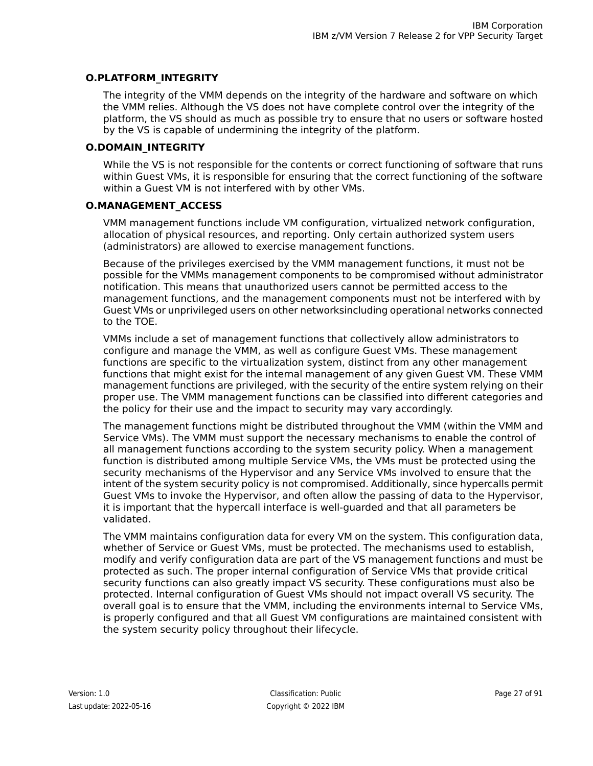#### <span id="page-26-0"></span>**O.PLATFORM\_INTEGRITY**

The integrity of the VMM depends on the integrity of the hardware and software on which the VMM relies. Although the VS does not have complete control over the integrity of the platform, the VS should as much as possible try to ensure that no users or software hosted by the VS is capable of undermining the integrity of the platform.

#### <span id="page-26-1"></span>**O.DOMAIN\_INTEGRITY**

While the VS is not responsible for the contents or correct functioning of software that runs within Guest VMs, it is responsible for ensuring that the correct functioning of the software within a Guest VM is not interfered with by other VMs.

#### <span id="page-26-2"></span>**O.MANAGEMENT\_ACCESS**

VMM management functions include VM configuration, virtualized network configuration, allocation of physical resources, and reporting. Only certain authorized system users (administrators) are allowed to exercise management functions.

Because of the privileges exercised by the VMM management functions, it must not be possible for the VMMs management components to be compromised without administrator notification. This means that unauthorized users cannot be permitted access to the management functions, and the management components must not be interfered with by Guest VMs or unprivileged users on other networksincluding operational networks connected to the TOE.

VMMs include a set of management functions that collectively allow administrators to configure and manage the VMM, as well as configure Guest VMs. These management functions are specific to the virtualization system, distinct from any other management functions that might exist for the internal management of any given Guest VM. These VMM management functions are privileged, with the security of the entire system relying on their proper use. The VMM management functions can be classified into different categories and the policy for their use and the impact to security may vary accordingly.

The management functions might be distributed throughout the VMM (within the VMM and Service VMs). The VMM must support the necessary mechanisms to enable the control of all management functions according to the system security policy. When a management function is distributed among multiple Service VMs, the VMs must be protected using the security mechanisms of the Hypervisor and any Service VMs involved to ensure that the intent of the system security policy is not compromised. Additionally, since hypercalls permit Guest VMs to invoke the Hypervisor, and often allow the passing of data to the Hypervisor, it is important that the hypercall interface is well-guarded and that all parameters be validated.

The VMM maintains configuration data for every VM on the system. This configuration data, whether of Service or Guest VMs, must be protected. The mechanisms used to establish, modify and verify configuration data are part of the VS management functions and must be protected as such. The proper internal configuration of Service VMs that provide critical security functions can also greatly impact VS security. These configurations must also be protected. Internal configuration of Guest VMs should not impact overall VS security. The overall goal is to ensure that the VMM, including the environments internal to Service VMs, is properly configured and that all Guest VM configurations are maintained consistent with the system security policy throughout their lifecycle.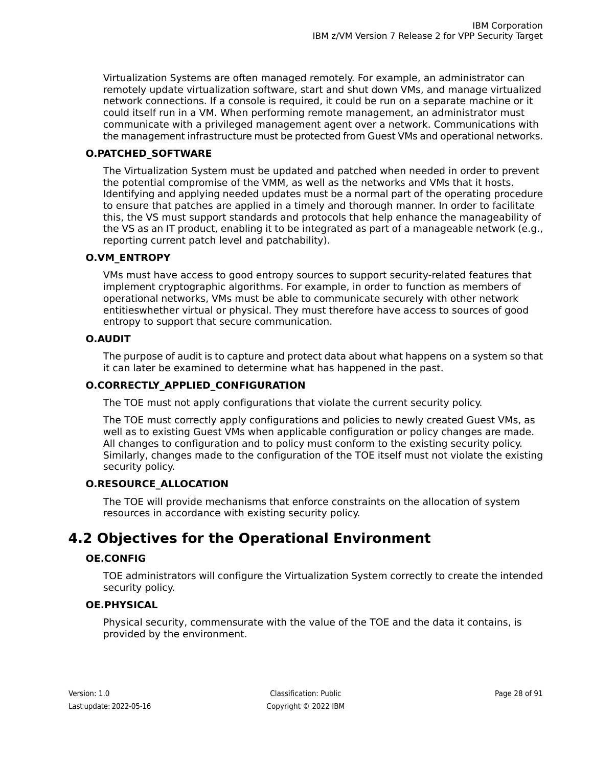Virtualization Systems are often managed remotely. For example, an administrator can remotely update virtualization software, start and shut down VMs, and manage virtualized network connections. If a console is required, it could be run on a separate machine or it could itself run in a VM. When performing remote management, an administrator must communicate with a privileged management agent over a network. Communications with the management infrastructure must be protected from Guest VMs and operational networks.

### <span id="page-27-1"></span>**O.PATCHED\_SOFTWARE**

The Virtualization System must be updated and patched when needed in order to prevent the potential compromise of the VMM, as well as the networks and VMs that it hosts. Identifying and applying needed updates must be a normal part of the operating procedure to ensure that patches are applied in a timely and thorough manner. In order to facilitate this, the VS must support standards and protocols that help enhance the manageability of the VS as an IT product, enabling it to be integrated as part of a manageable network (e.g., reporting current patch level and patchability).

### <span id="page-27-2"></span>**O.VM\_ENTROPY**

VMs must have access to good entropy sources to support security-related features that implement cryptographic algorithms. For example, in order to function as members of operational networks, VMs must be able to communicate securely with other network entitieswhether virtual or physical. They must therefore have access to sources of good entropy to support that secure communication.

#### <span id="page-27-4"></span><span id="page-27-3"></span>**O.AUDIT**

The purpose of audit is to capture and protect data about what happens on a system so that it can later be examined to determine what has happened in the past.

### **O.CORRECTLY\_APPLIED\_CONFIGURATION**

The TOE must not apply configurations that violate the current security policy.

<span id="page-27-5"></span>The TOE must correctly apply configurations and policies to newly created Guest VMs, as well as to existing Guest VMs when applicable configuration or policy changes are made. All changes to configuration and to policy must conform to the existing security policy. Similarly, changes made to the configuration of the TOE itself must not violate the existing security policy.

### <span id="page-27-6"></span><span id="page-27-0"></span>**O.RESOURCE\_ALLOCATION**

The TOE will provide mechanisms that enforce constraints on the allocation of system resources in accordance with existing security policy.

# <span id="page-27-7"></span>**4.2 Objectives for the Operational Environment**

### **OE.CONFIG**

TOE administrators will configure the Virtualization System correctly to create the intended security policy.

### **OE.PHYSICAL**

Physical security, commensurate with the value of the TOE and the data it contains, is provided by the environment.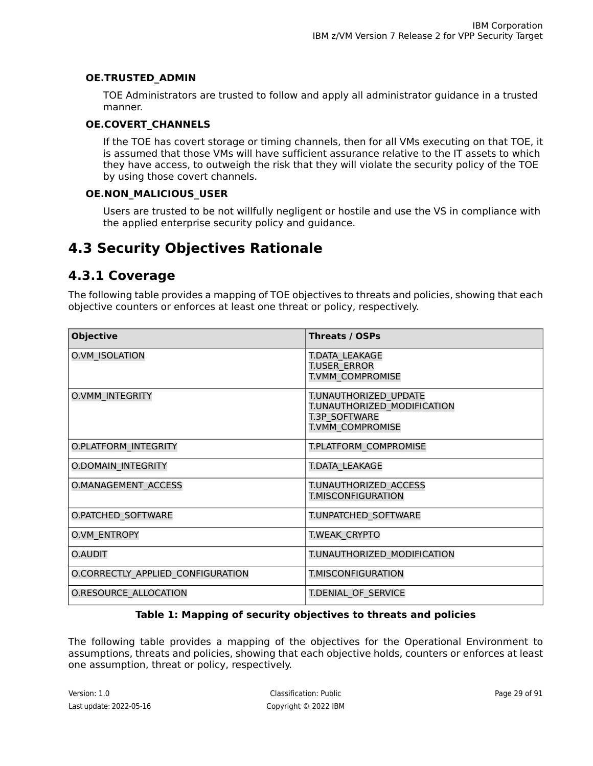#### <span id="page-28-3"></span>**OE.TRUSTED\_ADMIN**

TOE Administrators are trusted to follow and apply all administrator guidance in a trusted manner.

#### <span id="page-28-4"></span>**OE.COVERT\_CHANNELS**

If the TOE has covert storage or timing channels, then for all VMs executing on that TOE, it is assumed that those VMs will have sufficient assurance relative to the IT assets to which they have access, to outweigh the risk that they will violate the security policy of the TOE by using those covert channels.

#### <span id="page-28-5"></span>**OE.NON\_MALICIOUS\_USER**

Users are trusted to be not willfully negligent or hostile and use the VS in compliance with the applied enterprise security policy and guidance.

## <span id="page-28-1"></span><span id="page-28-0"></span>**4.3 Security Objectives Rationale**

### **4.3.1 Coverage**

The following table provides a mapping of TOE objectives to threats and policies, showing that each objective counters or enforces at least one threat or policy, respectively.

<span id="page-28-2"></span>

| <b>Objective</b>                  | Threats / OSPs                                                                                   |
|-----------------------------------|--------------------------------------------------------------------------------------------------|
| O.VM ISOLATION                    | T.DATA LEAKAGE<br>T.USER ERROR<br>T.VMM COMPROMISE                                               |
| <b>O.VMM INTEGRITY</b>            | T.UNAUTHORIZED UPDATE<br>T.UNAUTHORIZED MODIFICATION<br><b>T.3P SOFTWARE</b><br>T.VMM COMPROMISE |
| O.PLATFORM INTEGRITY              | T.PLATFORM COMPROMISE                                                                            |
| <b>O.DOMAIN INTEGRITY</b>         | T.DATA LEAKAGE                                                                                   |
| O.MANAGEMENT_ACCESS               | T.UNAUTHORIZED ACCESS<br><b>T.MISCONFIGURATION</b>                                               |
| O.PATCHED_SOFTWARE                | T.UNPATCHED SOFTWARE                                                                             |
| O.VM ENTROPY                      | <b>T.WEAK CRYPTO</b>                                                                             |
| O.AUDIT                           | T.UNAUTHORIZED MODIFICATION                                                                      |
| O.CORRECTLY APPLIED CONFIGURATION | T.MISCONFIGURATION                                                                               |
| O.RESOURCE ALLOCATION             | T.DENIAL OF SERVICE                                                                              |

### **Table 1: Mapping of security objectives to threats and policies**

The following table provides a mapping of the objectives for the Operational Environment to assumptions, threats and policies, showing that each objective holds, counters or enforces at least one assumption, threat or policy, respectively.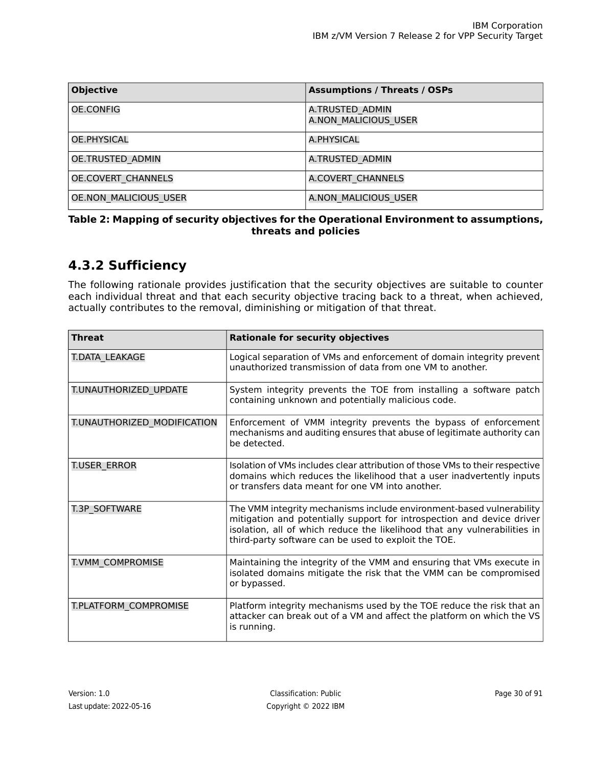<span id="page-29-1"></span>

| <b>Objective</b>             | <b>Assumptions / Threats / OSPs</b>     |
|------------------------------|-----------------------------------------|
| OE.CONFIG                    | A.TRUSTED ADMIN<br>A.NON MALICIOUS USER |
| OE.PHYSICAL                  | A.PHYSICAL                              |
| OE.TRUSTED ADMIN             | A.TRUSTED ADMIN                         |
| <b>OE.COVERT CHANNELS</b>    | A.COVERT CHANNELS                       |
| <b>OE.NON MALICIOUS USER</b> | A.NON MALICIOUS USER                    |

#### <span id="page-29-0"></span>**Table 2: Mapping of security objectives for the Operational Environment to assumptions, threats and policies**

## **4.3.2 Sufficiency**

The following rationale provides justification that the security objectives are suitable to counter each individual threat and that each security objective tracing back to a threat, when achieved, actually contributes to the removal, diminishing or mitigation of that threat.

<span id="page-29-2"></span>

| <b>Threat</b>                | <b>Rationale for security objectives</b>                                                                                                                                                                                                                                            |
|------------------------------|-------------------------------------------------------------------------------------------------------------------------------------------------------------------------------------------------------------------------------------------------------------------------------------|
| T.DATA LEAKAGE               | Logical separation of VMs and enforcement of domain integrity prevent<br>unauthorized transmission of data from one VM to another.                                                                                                                                                  |
| T.UNAUTHORIZED_UPDATE        | System integrity prevents the TOE from installing a software patch<br>containing unknown and potentially malicious code.                                                                                                                                                            |
| T.UNAUTHORIZED MODIFICATION  | Enforcement of VMM integrity prevents the bypass of enforcement<br>mechanisms and auditing ensures that abuse of legitimate authority can<br>be detected.                                                                                                                           |
| T.USER ERROR                 | Isolation of VMs includes clear attribution of those VMs to their respective<br>domains which reduces the likelihood that a user inadvertently inputs<br>or transfers data meant for one VM into another.                                                                           |
| <b>T.3P SOFTWARE</b>         | The VMM integrity mechanisms include environment-based vulnerability<br>mitigation and potentially support for introspection and device driver<br>isolation, all of which reduce the likelihood that any vulnerabilities in<br>third-party software can be used to exploit the TOE. |
| T.VMM COMPROMISE             | Maintaining the integrity of the VMM and ensuring that VMs execute in<br>isolated domains mitigate the risk that the VMM can be compromised<br>or bypassed.                                                                                                                         |
| <b>T.PLATFORM COMPROMISE</b> | Platform integrity mechanisms used by the TOE reduce the risk that an<br>attacker can break out of a VM and affect the platform on which the VS<br>is running.                                                                                                                      |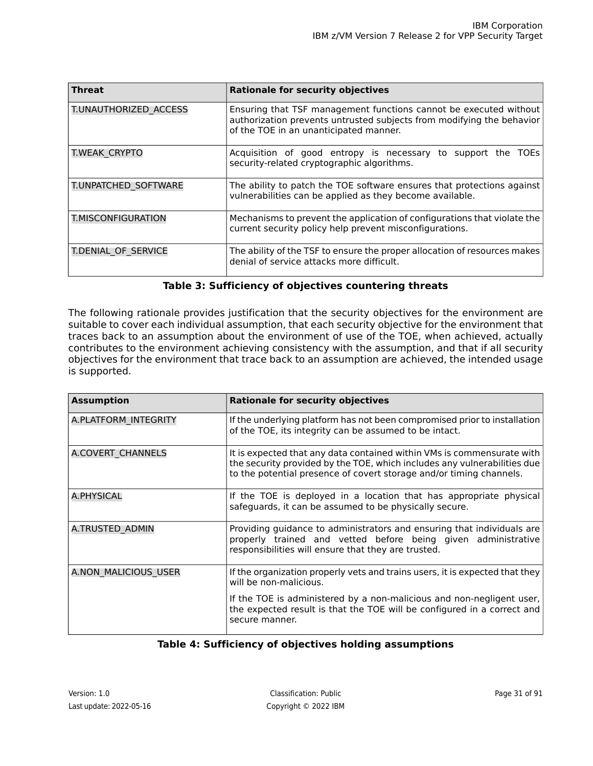| <b>Threat</b>              | <b>Rationale for security objectives</b>                                                                                                                                             |
|----------------------------|--------------------------------------------------------------------------------------------------------------------------------------------------------------------------------------|
| T.UNAUTHORIZED ACCESS      | Ensuring that TSF management functions cannot be executed without<br>authorization prevents untrusted subjects from modifying the behavior<br>of the TOE in an unanticipated manner. |
| T.WEAK CRYPTO              | Acquisition of good entropy is necessary to support the TOEs<br>security-related cryptographic algorithms.                                                                           |
| T.UNPATCHED SOFTWARE       | The ability to patch the TOE software ensures that protections against<br>vulnerabilities can be applied as they become available.                                                   |
| T.MISCONFIGURATION         | Mechanisms to prevent the application of configurations that violate the<br>current security policy help prevent misconfigurations.                                                  |
| <b>T.DENIAL OF SERVICE</b> | The ability of the TSF to ensure the proper allocation of resources makes<br>denial of service attacks more difficult.                                                               |

#### **Table 3: Sufficiency of objectives countering threats**

The following rationale provides justification that the security objectives for the environment are suitable to cover each individual assumption, that each security objective for the environment that traces back to an assumption about the environment of use of the TOE, when achieved, actually contributes to the environment achieving consistency with the assumption, and that if all security objectives for the environment that trace back to an assumption are achieved, the intended usage is supported.

<span id="page-30-0"></span>

| <b>Assumption</b>    | <b>Rationale for security objectives</b>                                                                                                                                                                                  |
|----------------------|---------------------------------------------------------------------------------------------------------------------------------------------------------------------------------------------------------------------------|
| A.PLATFORM INTEGRITY | If the underlying platform has not been compromised prior to installation<br>of the TOE, its integrity can be assumed to be intact.                                                                                       |
| A.COVERT CHANNELS    | It is expected that any data contained within VMs is commensurate with<br>the security provided by the TOE, which includes any vulnerabilities due<br>to the potential presence of covert storage and/or timing channels. |
| A.PHYSICAL           | If the TOE is deployed in a location that has appropriate physical<br>safeguards, it can be assumed to be physically secure.                                                                                              |
| A.TRUSTED ADMIN      | Providing guidance to administrators and ensuring that individuals are<br>properly trained and vetted before being given administrative<br>responsibilities will ensure that they are trusted.                            |
| A.NON MALICIOUS USER | If the organization properly vets and trains users, it is expected that they<br>will be non-malicious.                                                                                                                    |
|                      | If the TOE is administered by a non-malicious and non-negligent user,<br>the expected result is that the TOE will be configured in a correct and<br>secure manner.                                                        |

### **Table 4: Sufficiency of objectives holding assumptions**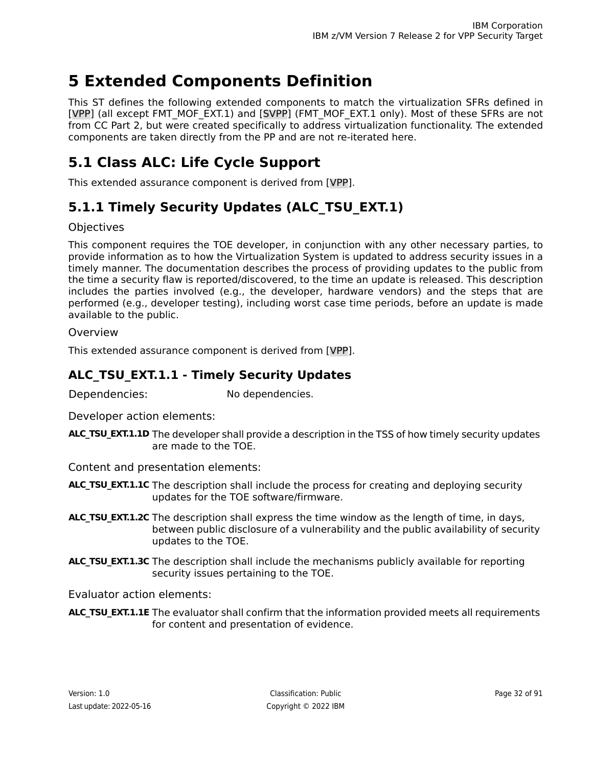# <span id="page-31-0"></span>**5 Extended Components Definition**

This ST defines the following extended components to match the virtualization SFRs defined in [\[VPP\]](#page-90-1) (all except FMT\_MOF\_EXT.1) and [\[SVPP\]](#page-90-2) (FMT\_MOF\_EXT.1 only). Most of these SFRs are not from CC Part 2, but were created specifically to address virtualization functionality. The extended components are taken directly from the PP and are not re-iterated here.

# <span id="page-31-1"></span>**5.1 Class ALC: Life Cycle Support**

<span id="page-31-2"></span>This extended assurance component is derived from [\[VPP\].](#page-90-1)

# **5.1.1 Timely Security Updates (ALC\_TSU\_EXT.1)**

### **Objectives**

This component requires the TOE developer, in conjunction with any other necessary parties, to provide information as to how the Virtualization System is updated to address security issues in a timely manner. The documentation describes the process of providing updates to the public from the time a security flaw is reported/discovered, to the time an update is released. This description includes the parties involved (e.g., the developer, hardware vendors) and the steps that are performed (e.g., developer testing), including worst case time periods, before an update is made available to the public.

### <span id="page-31-3"></span>Overview

This extended assurance component is derived from [\[VPP\].](#page-90-1)

### **ALC\_TSU\_EXT.1.1 - Timely Security Updates**

Dependencies: No dependencies.

Developer action elements:

**ALC\_TSU\_EXT.1.1D** The developer shall provide a description in the TSS of how timely security updates are made to the TOE.

Content and presentation elements:

- **ALC\_TSU\_EXT.1.1C** The description shall include the process for creating and deploying security updates for the TOE software/firmware.
- **ALC\_TSU\_EXT.1.2C** The description shall express the time window as the length of time, in days, between public disclosure of a vulnerability and the public availability of security updates to the TOE.
- **ALC\_TSU\_EXT.1.3C** The description shall include the mechanisms publicly available for reporting security issues pertaining to the TOE.

Evaluator action elements:

**ALC\_TSU\_EXT.1.1E** The evaluator shall confirm that the information provided meets all requirements for content and presentation of evidence.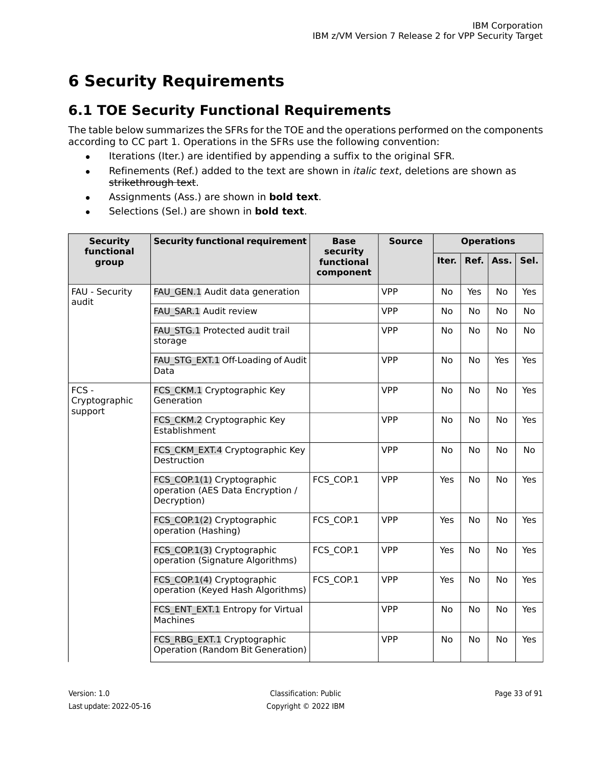# <span id="page-32-0"></span>**6 Security Requirements**

# <span id="page-32-1"></span>**6.1 TOE Security Functional Requirements**

The table below summarizes the SFRs for the TOE and the operations performed on the components according to CC part 1. Operations in the SFRs use the following convention:

- Iterations (Iter.) are identified by appending a suffix to the original SFR.
- Refinements (Ref.) added to the text are shown in *italic text*, deletions are shown as strikethrough text.
- Assignments (Ass.) are shown in **bold text**.
- Selections (Sel.) are shown in **bold text**.

<span id="page-32-2"></span>

| <b>Security</b><br>functional       | <b>Security functional requirement</b>                                        | <b>Base</b><br>security | <b>Source</b> | <b>Operations</b> |           |           |           |
|-------------------------------------|-------------------------------------------------------------------------------|-------------------------|---------------|-------------------|-----------|-----------|-----------|
| group                               |                                                                               | functional<br>component |               | Iter.             | Ref.      | Ass.      | Sel.      |
| FAU - Security<br>audit             | FAU GEN.1 Audit data generation                                               |                         | <b>VPP</b>    | No                | Yes       | No        | Yes       |
|                                     | FAU_SAR.1 Audit review                                                        |                         | <b>VPP</b>    | No                | No        | No.       | <b>No</b> |
|                                     | FAU STG.1 Protected audit trail<br>storage                                    |                         | <b>VPP</b>    | No                | No        | No.       | No        |
|                                     | FAU STG EXT.1 Off-Loading of Audit<br>Data                                    |                         | <b>VPP</b>    | No                | No        | Yes       | Yes       |
| $FCS -$<br>Cryptographic<br>support | FCS CKM.1 Cryptographic Key<br>Generation                                     |                         | <b>VPP</b>    | <b>No</b>         | <b>No</b> | <b>No</b> | Yes       |
|                                     | FCS CKM.2 Cryptographic Key<br>Establishment                                  |                         | <b>VPP</b>    | No                | <b>No</b> | <b>No</b> | Yes       |
|                                     | FCS_CKM_EXT.4 Cryptographic Key<br>Destruction                                |                         | <b>VPP</b>    | <b>No</b>         | <b>No</b> | <b>No</b> | No        |
|                                     | FCS COP.1(1) Cryptographic<br>operation (AES Data Encryption /<br>Decryption) | FCS COP.1               | <b>VPP</b>    | Yes               | <b>No</b> | <b>No</b> | Yes       |
|                                     | FCS COP.1(2) Cryptographic<br>operation (Hashing)                             | FCS COP.1               | <b>VPP</b>    | Yes               | No        | No        | Yes       |
|                                     | FCS COP.1(3) Cryptographic<br>operation (Signature Algorithms)                | FCS COP.1               | <b>VPP</b>    | Yes               | No        | No        | Yes       |
|                                     | FCS COP.1(4) Cryptographic<br>operation (Keyed Hash Algorithms)               | FCS COP.1               | <b>VPP</b>    | Yes               | No        | No        | Yes       |
|                                     | FCS ENT EXT.1 Entropy for Virtual<br>Machines                                 |                         | <b>VPP</b>    | No                | No        | No        | Yes       |
|                                     | FCS RBG EXT.1 Cryptographic<br>Operation (Random Bit Generation)              |                         | <b>VPP</b>    | No                | No        | No        | Yes       |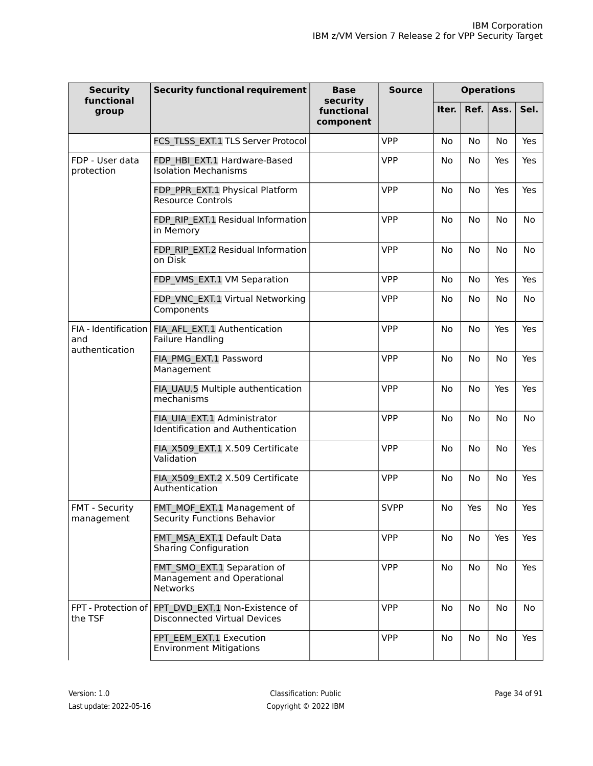| <b>Security</b><br>functional                 | <b>Security functional requirement</b>                                                    | Base<br>security        | <b>Source</b> | <b>Operations</b> |           |           |      |
|-----------------------------------------------|-------------------------------------------------------------------------------------------|-------------------------|---------------|-------------------|-----------|-----------|------|
| group                                         |                                                                                           | functional<br>component |               | Iter.             | Ref.      | Ass.      | Sel. |
|                                               | FCS TLSS EXT.1 TLS Server Protocol                                                        |                         | <b>VPP</b>    | No                | No        | No        | Yes  |
| FDP - User data<br>protection                 | FDP HBI EXT.1 Hardware-Based<br><b>Isolation Mechanisms</b>                               |                         | <b>VPP</b>    | No                | No        | Yes       | Yes  |
|                                               | FDP_PPR_EXT.1 Physical Platform<br><b>Resource Controls</b>                               |                         | <b>VPP</b>    | No                | No        | Yes       | Yes  |
|                                               | FDP RIP EXT.1 Residual Information<br>in Memory                                           |                         | <b>VPP</b>    | No                | <b>No</b> | No        | No   |
|                                               | FDP RIP EXT.2 Residual Information<br>on Disk                                             |                         | <b>VPP</b>    | No                | No        | No        | No   |
|                                               | FDP VMS EXT.1 VM Separation                                                               |                         | <b>VPP</b>    | No                | No        | Yes       | Yes  |
|                                               | FDP VNC EXT.1 Virtual Networking<br>Components                                            |                         | <b>VPP</b>    | No                | No        | <b>No</b> | No   |
| FIA - Identification<br>and<br>authentication | FIA AFL EXT.1 Authentication<br>Failure Handling                                          |                         | <b>VPP</b>    | No                | No        | Yes       | Yes  |
|                                               | FIA PMG EXT.1 Password<br>Management                                                      |                         | <b>VPP</b>    | No                | No        | No        | Yes  |
|                                               | FIA_UAU.5 Multiple authentication<br>mechanisms                                           |                         | <b>VPP</b>    | No                | No        | Yes       | Yes  |
|                                               | FIA UIA EXT.1 Administrator<br><b>Identification and Authentication</b>                   |                         | <b>VPP</b>    | No                | No        | No        | No   |
|                                               | FIA X509_EXT.1 X.509 Certificate<br>Validation                                            |                         | <b>VPP</b>    | No                | No        | No        | Yes  |
|                                               | FIA X509 EXT.2 X.509 Certificate<br>Authentication                                        |                         | <b>VPP</b>    | No                | No        | No        | Yes  |
| FMT - Security<br>management                  | FMT MOF EXT.1 Management of<br>Security Functions Behavior                                |                         | <b>SVPP</b>   | No                | Yes       | No        | Yes  |
|                                               | FMT MSA EXT.1 Default Data<br><b>Sharing Configuration</b>                                |                         | <b>VPP</b>    | No                | No        | Yes       | Yes  |
|                                               | FMT_SMO_EXT.1 Separation of<br>Management and Operational<br>Networks                     |                         | <b>VPP</b>    | No                | No        | No        | Yes  |
| the TSF                                       | FPT - Protection of FPT DVD EXT.1 Non-Existence of<br><b>Disconnected Virtual Devices</b> |                         | <b>VPP</b>    | No                | No        | No        | No   |
|                                               | FPT EEM EXT.1 Execution<br><b>Environment Mitigations</b>                                 |                         | <b>VPP</b>    | No                | No        | No        | Yes  |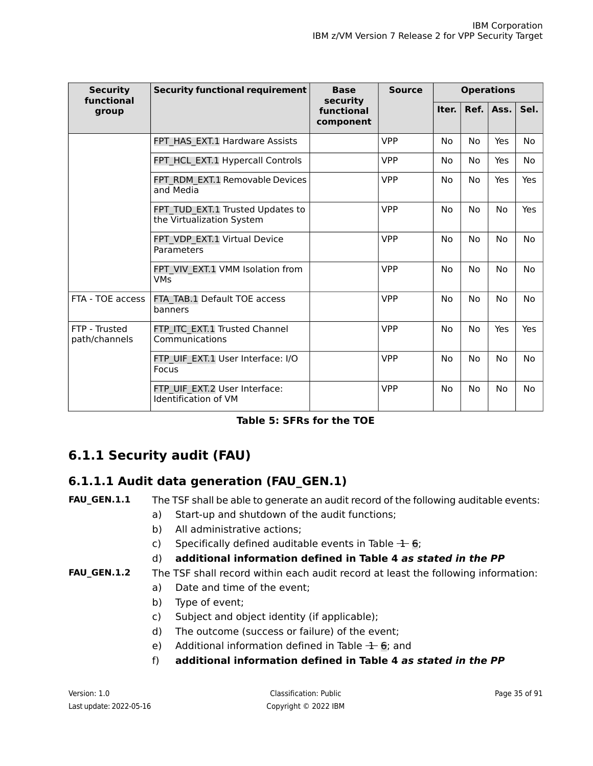| <b>Security</b><br>functional  | <b>Security functional requirement</b>                        | <b>Base</b><br>security | <b>Source</b> | <b>Operations</b> |           |           |           |
|--------------------------------|---------------------------------------------------------------|-------------------------|---------------|-------------------|-----------|-----------|-----------|
| group                          |                                                               | functional<br>component |               | Iter.             | Ref.      | Ass.      | Sel.      |
|                                | FPT HAS EXT.1 Hardware Assists                                |                         | <b>VPP</b>    | <b>No</b>         | <b>No</b> | Yes       | <b>No</b> |
|                                | FPT HCL EXT.1 Hypercall Controls                              |                         | <b>VPP</b>    | No.               | No        | Yes       | No        |
|                                | FPT RDM EXT.1 Removable Devices<br>and Media                  |                         | <b>VPP</b>    | No.               | No        | Yes       | Yes       |
|                                | FPT TUD EXT.1 Trusted Updates to<br>the Virtualization System |                         | <b>VPP</b>    | No.               | No        | No        | Yes       |
|                                | FPT_VDP_EXT.1 Virtual Device<br>Parameters                    |                         | <b>VPP</b>    | <b>No</b>         | <b>No</b> | <b>No</b> | No        |
|                                | FPT VIV EXT.1 VMM Isolation from<br><b>VMs</b>                |                         | <b>VPP</b>    | No                | No        | No        | No        |
| FTA - TOE access               | FTA TAB.1 Default TOE access<br>banners                       |                         | <b>VPP</b>    | <b>No</b>         | <b>No</b> | <b>No</b> | <b>No</b> |
| FTP - Trusted<br>path/channels | FTP ITC EXT.1 Trusted Channel<br>Communications               |                         | <b>VPP</b>    | <b>No</b>         | <b>No</b> | Yes       | Yes       |
|                                | FTP UIF EXT.1 User Interface: I/O<br><b>Focus</b>             |                         | <b>VPP</b>    | <b>No</b>         | <b>No</b> | <b>No</b> | No        |
|                                | FTP UIF EXT.2 User Interface:<br>Identification of VM         |                         | <b>VPP</b>    | No                | <b>No</b> | <b>No</b> | No        |

| Table 5: SFRs for the TOE |  |  |  |  |  |
|---------------------------|--|--|--|--|--|
|---------------------------|--|--|--|--|--|

## <span id="page-34-1"></span><span id="page-34-0"></span>**6.1.1 Security audit (FAU)**

### **6.1.1.1 Audit data generation (FAU\_GEN.1)**

### **FAU\_GEN.1.1** The TSF shall be able to generate an audit record of the following auditable events:

- a) Start-up and shutdown of the audit functions;
- b) All administrative actions;
- c) Specifically defined auditable events in Table  $\pm$  [6;](#page-35-0)

### d) **additional information defined in Table 4** *as stated in the PP*

### **FAU\_GEN.1.2** The TSF shall record within each audit record at least the following information:

- a) Date and time of the event;
- b) Type of event;
- c) Subject and object identity (if applicable);
- d) The outcome (success or failure) of the event;
- e) Additional information defined in Table  $\pm$  [6;](#page-35-0) and
- f) **additional information defined in Table 4** *as stated in the PP*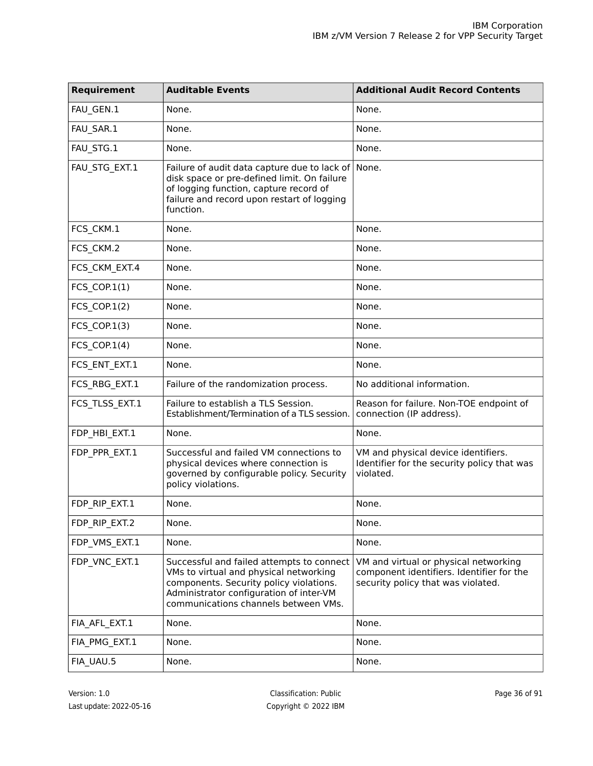<span id="page-35-0"></span>

| Requirement     | <b>Auditable Events</b>                                                                                                                                                                                           | <b>Additional Audit Record Contents</b>                                                                                  |
|-----------------|-------------------------------------------------------------------------------------------------------------------------------------------------------------------------------------------------------------------|--------------------------------------------------------------------------------------------------------------------------|
| FAU_GEN.1       | None.                                                                                                                                                                                                             | None.                                                                                                                    |
| FAU_SAR.1       | None.                                                                                                                                                                                                             | None.                                                                                                                    |
| FAU_STG.1       | None.                                                                                                                                                                                                             | None.                                                                                                                    |
| FAU_STG_EXT.1   | Failure of audit data capture due to lack of<br>disk space or pre-defined limit. On failure<br>of logging function, capture record of<br>failure and record upon restart of logging<br>function.                  | None.                                                                                                                    |
| FCS_CKM.1       | None.                                                                                                                                                                                                             | None.                                                                                                                    |
| FCS_CKM.2       | None.                                                                                                                                                                                                             | None.                                                                                                                    |
| FCS_CKM_EXT.4   | None.                                                                                                                                                                                                             | None.                                                                                                                    |
| FCS_COP.1(1)    | None.                                                                                                                                                                                                             | None.                                                                                                                    |
| FCS_COP.1(2)    | None.                                                                                                                                                                                                             | None.                                                                                                                    |
| $FCS$ _COP.1(3) | None.                                                                                                                                                                                                             | None.                                                                                                                    |
| FCS_COP.1(4)    | None.                                                                                                                                                                                                             | None.                                                                                                                    |
| FCS_ENT_EXT.1   | None.                                                                                                                                                                                                             | None.                                                                                                                    |
| FCS_RBG_EXT.1   | Failure of the randomization process.                                                                                                                                                                             | No additional information.                                                                                               |
| FCS_TLSS_EXT.1  | Failure to establish a TLS Session.<br>Establishment/Termination of a TLS session.                                                                                                                                | Reason for failure. Non-TOE endpoint of<br>connection (IP address).                                                      |
| FDP_HBI_EXT.1   | None.                                                                                                                                                                                                             | None.                                                                                                                    |
| FDP_PPR_EXT.1   | Successful and failed VM connections to<br>physical devices where connection is<br>governed by configurable policy. Security<br>policy violations.                                                                | VM and physical device identifiers.<br>Identifier for the security policy that was<br>violated.                          |
| FDP_RIP_EXT.1   | None.                                                                                                                                                                                                             | None.                                                                                                                    |
| FDP_RIP_EXT.2   | None.                                                                                                                                                                                                             | None.                                                                                                                    |
| FDP_VMS_EXT.1   | None.                                                                                                                                                                                                             | None.                                                                                                                    |
| FDP VNC EXT.1   | Successful and failed attempts to connect<br>VMs to virtual and physical networking<br>components. Security policy violations.<br>Administrator configuration of inter-VM<br>communications channels between VMs. | VM and virtual or physical networking<br>component identifiers. Identifier for the<br>security policy that was violated. |
| FIA_AFL_EXT.1   | None.                                                                                                                                                                                                             | None.                                                                                                                    |
| FIA_PMG_EXT.1   | None.                                                                                                                                                                                                             | None.                                                                                                                    |
| FIA_UAU.5       | None.                                                                                                                                                                                                             | None.                                                                                                                    |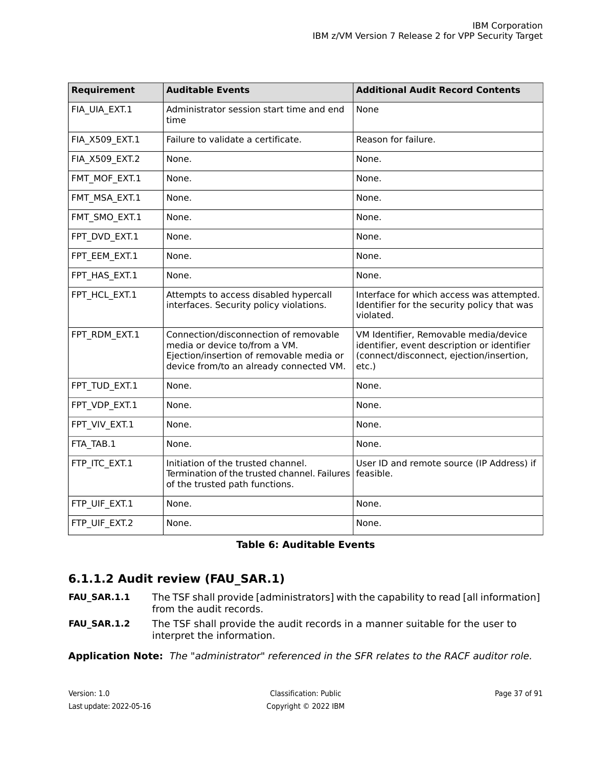| Requirement    | <b>Auditable Events</b>                                                                                                                                       | <b>Additional Audit Record Contents</b>                                                                                                   |
|----------------|---------------------------------------------------------------------------------------------------------------------------------------------------------------|-------------------------------------------------------------------------------------------------------------------------------------------|
| FIA_UIA_EXT.1  | Administrator session start time and end<br>time                                                                                                              | None                                                                                                                                      |
| FIA_X509_EXT.1 | Failure to validate a certificate.                                                                                                                            | Reason for failure.                                                                                                                       |
| FIA_X509_EXT.2 | None.                                                                                                                                                         | None.                                                                                                                                     |
| FMT_MOF_EXT.1  | None.                                                                                                                                                         | None.                                                                                                                                     |
| FMT_MSA_EXT.1  | None.                                                                                                                                                         | None.                                                                                                                                     |
| FMT_SMO_EXT.1  | None.                                                                                                                                                         | None.                                                                                                                                     |
| FPT_DVD_EXT.1  | None.                                                                                                                                                         | None.                                                                                                                                     |
| FPT_EEM_EXT.1  | None.                                                                                                                                                         | None.                                                                                                                                     |
| FPT_HAS_EXT.1  | None.                                                                                                                                                         | None.                                                                                                                                     |
| FPT_HCL_EXT.1  | Attempts to access disabled hypercall<br>interfaces. Security policy violations.                                                                              | Interface for which access was attempted.<br>Identifier for the security policy that was<br>violated.                                     |
| FPT RDM EXT.1  | Connection/disconnection of removable<br>media or device to/from a VM.<br>Ejection/insertion of removable media or<br>device from/to an already connected VM. | VM Identifier, Removable media/device<br>identifier, event description or identifier<br>(connect/disconnect, ejection/insertion,<br>etc.) |
| FPT_TUD_EXT.1  | None.                                                                                                                                                         | None.                                                                                                                                     |
| FPT_VDP_EXT.1  | None.                                                                                                                                                         | None.                                                                                                                                     |
| FPT_VIV_EXT.1  | None.                                                                                                                                                         | None.                                                                                                                                     |
| FTA_TAB.1      | None.                                                                                                                                                         | None.                                                                                                                                     |
| FTP_ITC_EXT.1  | Initiation of the trusted channel.<br>Termination of the trusted channel. Failures<br>of the trusted path functions.                                          | User ID and remote source (IP Address) if<br>feasible.                                                                                    |
| FTP_UIF_EXT.1  | None.                                                                                                                                                         | None.                                                                                                                                     |
| FTP_UIF_EXT.2  | None.                                                                                                                                                         | None.                                                                                                                                     |

### **Table 6: Auditable Events**

## <span id="page-36-0"></span>**6.1.1.2 Audit review (FAU\_SAR.1)**

- The TSF shall provide [administrators] with the capability to read [all information] from the audit records. **FAU\_SAR.1.1**
- The TSF shall provide the audit records in a manner suitable for the user to interpret the information. **FAU\_SAR.1.2**

**Application Note:** The "administrator" referenced in the SFR relates to the RACF auditor role.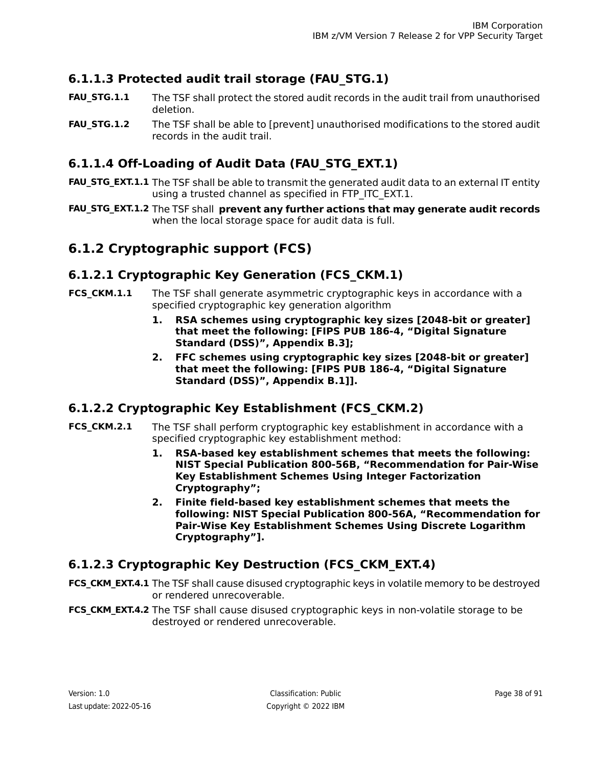## <span id="page-37-0"></span>**6.1.1.3 Protected audit trail storage (FAU\_STG.1)**

- The TSF shall protect the stored audit records in the audit trail from unauthorised deletion. **FAU\_STG.1.1**
- The TSF shall be able to [prevent] unauthorised modifications to the stored audit records in the audit trail. **FAU\_STG.1.2**

## <span id="page-37-1"></span>**6.1.1.4 Off-Loading of Audit Data (FAU\_STG\_EXT.1)**

- **FAU\_STG\_EXT.1.1** The TSF shall be able to transmit the generated audit data to an external IT entity using a trusted channel as specified in FTP ITC EXT.1.
- The TSF shall **prevent any further actions that may generate audit records FAU\_STG\_EXT.1.2** when the local storage space for audit data is full.

## <span id="page-37-2"></span>**6.1.2 Cryptographic support (FCS)**

### **6.1.2.1 Cryptographic Key Generation (FCS\_CKM.1)**

- The TSF shall generate asymmetric cryptographic keys in accordance with a specified cryptographic key generation algorithm **FCS\_CKM.1.1**
	- **1. RSA schemes using cryptographic key sizes [2048-bit or greater] that meet the following: [FIPS PUB 186-4, "Digital Signature Standard (DSS)", Appendix B.3];**
	- **2. FFC schemes using cryptographic key sizes [2048-bit or greater] that meet the following: [FIPS PUB 186-4, "Digital Signature Standard (DSS)", Appendix B.1]].**

## <span id="page-37-3"></span>**6.1.2.2 Cryptographic Key Establishment (FCS\_CKM.2)**

- The TSF shall perform cryptographic key establishment in accordance with a specified cryptographic key establishment method: **FCS\_CKM.2.1**
	- **1. RSA-based key establishment schemes that meets the following: NIST Special Publication 800-56B, "Recommendation for Pair-Wise Key Establishment Schemes Using Integer Factorization Cryptography";**
	- **2. Finite field-based key establishment schemes that meets the following: NIST Special Publication 800-56A, "Recommendation for Pair-Wise Key Establishment Schemes Using Discrete Logarithm Cryptography"].**

## <span id="page-37-4"></span>**6.1.2.3 Cryptographic Key Destruction (FCS\_CKM\_EXT.4)**

**FCS\_CKM\_EXT.4.1** The TSF shall cause disused cryptographic keys in volatile memory to be destroyed or rendered unrecoverable.

**FCS\_CKM\_EXT.4.2** The TSF shall cause disused cryptographic keys in non-volatile storage to be destroyed or rendered unrecoverable.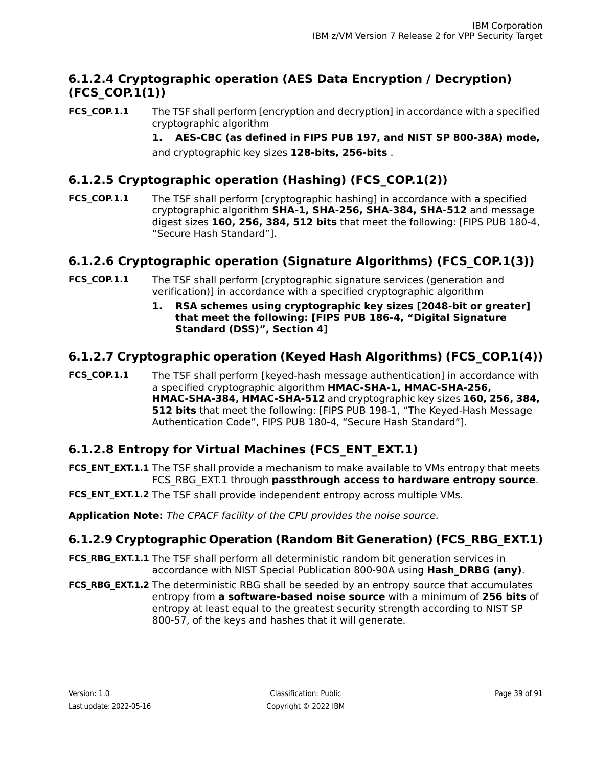## <span id="page-38-0"></span>**6.1.2.4 Cryptographic operation (AES Data Encryption / Decryption) (FCS\_COP.1(1))**

The TSF shall perform [encryption and decryption] in accordance with a specified cryptographic algorithm **FCS\_COP.1.1**

> **1. AES-CBC (as defined in FIPS PUB 197, and NIST SP 800-38A) mode,** and cryptographic key sizes **128-bits, 256-bits** .

## <span id="page-38-1"></span>**6.1.2.5 Cryptographic operation (Hashing) (FCS\_COP.1(2))**

The TSF shall perform [cryptographic hashing] in accordance with a specified cryptographic algorithm **SHA-1, SHA-256, SHA-384, SHA-512** and message digest sizes **160, 256, 384, 512 bits** that meet the following: [FIPS PUB 180-4, "Secure Hash Standard"]. **FCS\_COP.1.1**

## <span id="page-38-2"></span>**6.1.2.6 Cryptographic operation (Signature Algorithms) (FCS\_COP.1(3))**

- The TSF shall perform [cryptographic signature services (generation and verification)] in accordance with a specified cryptographic algorithm **FCS\_COP.1.1**
	- **1. RSA schemes using cryptographic key sizes [2048-bit or greater] that meet the following: [FIPS PUB 186-4, "Digital Signature Standard (DSS)", Section 4]**

## <span id="page-38-3"></span>**6.1.2.7 Cryptographic operation (Keyed Hash Algorithms) (FCS\_COP.1(4))**

<span id="page-38-4"></span>The TSF shall perform [keyed-hash message authentication] in accordance with a specified cryptographic algorithm **HMAC-SHA-1, HMAC-SHA-256, HMAC-SHA-384, HMAC-SHA-512** and cryptographic key sizes **160, 256, 384, 512 bits** that meet the following: [FIPS PUB 198-1, "The Keyed-Hash Message Authentication Code", FIPS PUB 180-4, "Secure Hash Standard"]. **FCS\_COP.1.1**

## **6.1.2.8 Entropy for Virtual Machines (FCS\_ENT\_EXT.1)**

**FCS\_ENT\_EXT.1.1** The TSF shall provide a mechanism to make available to VMs entropy that meets FCS\_RBG\_EXT.1 through **passthrough access to hardware entropy source**.

<span id="page-38-5"></span>**FCS\_ENT\_EXT.1.2** The TSF shall provide independent entropy across multiple VMs.

**Application Note:** The CPACF facility of the CPU provides the noise source.

## **6.1.2.9 Cryptographic Operation (Random Bit Generation) (FCS\_RBG\_EXT.1)**

- **FCS\_RBG\_EXT.1.1** The TSF shall perform all deterministic random bit generation services in accordance with NIST Special Publication 800-90A using **Hash\_DRBG (any)**.
- **FCS\_RBG\_EXT.1.2** The deterministic RBG shall be seeded by an entropy source that accumulates entropy from **a software-based noise source** with a minimum of **256 bits** of entropy at least equal to the greatest security strength according to NIST SP 800-57, of the keys and hashes that it will generate.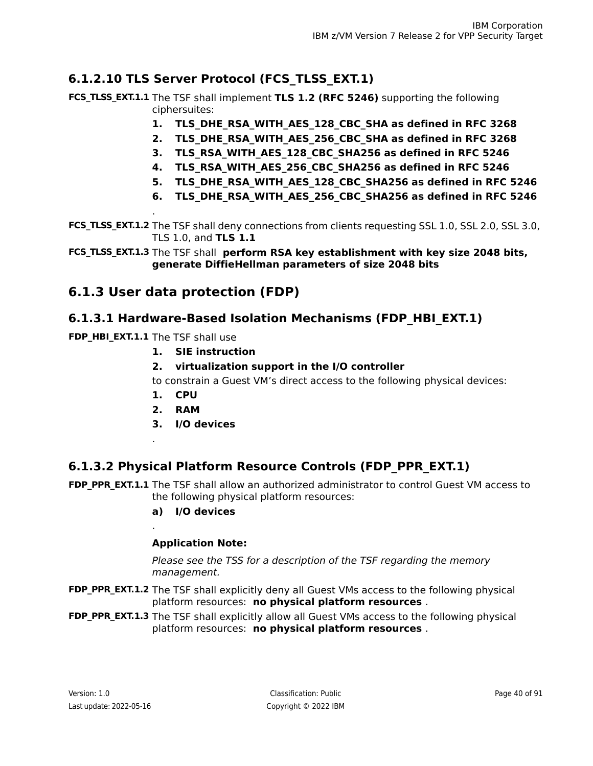## <span id="page-39-0"></span>**6.1.2.10 TLS Server Protocol (FCS\_TLSS\_EXT.1)**

**FCS\_TLSS\_EXT.1.1** The TSF shall implement TLS 1.2 (RFC 5246) supporting the following ciphersuites:

- **1. TLS\_DHE\_RSA\_WITH\_AES\_128\_CBC\_SHA as defined in RFC 3268**
- **2. TLS\_DHE\_RSA\_WITH\_AES\_256\_CBC\_SHA as defined in RFC 3268**
- **3. TLS\_RSA\_WITH\_AES\_128\_CBC\_SHA256 as defined in RFC 5246**
- **4. TLS\_RSA\_WITH\_AES\_256\_CBC\_SHA256 as defined in RFC 5246**
- **5. TLS\_DHE\_RSA\_WITH\_AES\_128\_CBC\_SHA256 as defined in RFC 5246**
- **6. TLS\_DHE\_RSA\_WITH\_AES\_256\_CBC\_SHA256 as defined in RFC 5246**

**FCS\_TLSS\_EXT.1.2** The TSF shall deny connections from clients requesting SSL 1.0, SSL 2.0, SSL 3.0, TLS 1.0, and **TLS 1.1**

The TSF shall **perform RSA key establishment with key size 2048 bits, FCS\_TLSS\_EXT.1.3 generate DiffieHellman parameters of size 2048 bits**

## <span id="page-39-1"></span>**6.1.3 User data protection (FDP)**

### **6.1.3.1 Hardware-Based Isolation Mechanisms (FDP\_HBI\_EXT.1)**

**FDP HBI EXT.1.1** The TSF shall use

.

.

.

- **1. SIE instruction**
- **2. virtualization support in the I/O controller**

to constrain a Guest VM's direct access to the following physical devices:

- **1. CPU**
- **2. RAM**
- **3. I/O devices**

## <span id="page-39-2"></span>**6.1.3.2 Physical Platform Resource Controls (FDP\_PPR\_EXT.1)**

**FDP\_PPR\_EXT.1.1** The TSF shall allow an authorized administrator to control Guest VM access to the following physical platform resources:

**a) I/O devices**

### **Application Note:**

Please see the TSS for a description of the TSF regarding the memory management.

- **FDP\_PPR\_EXT.1.2** The TSF shall explicitly deny all Guest VMs access to the following physical platform resources: **no physical platform resources** .
- **FDP\_PPR\_EXT.1.3** The TSF shall explicitly allow all Guest VMs access to the following physical platform resources: **no physical platform resources** .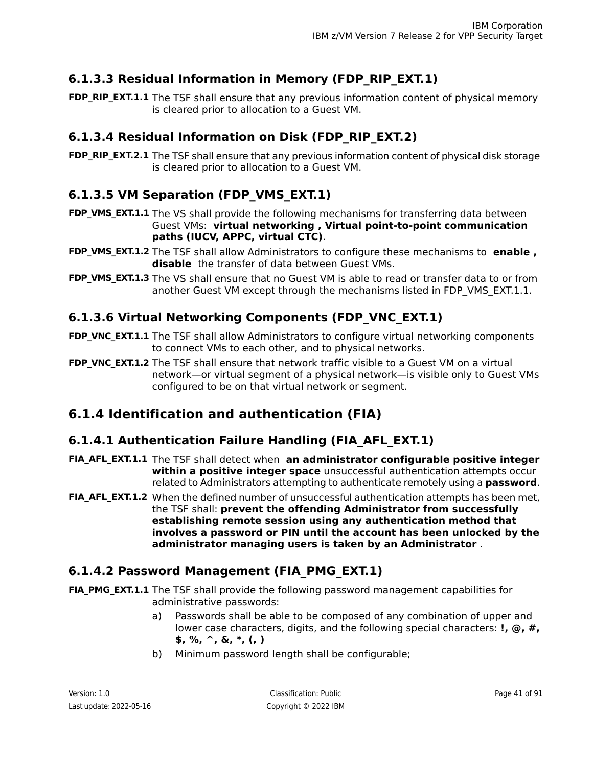## <span id="page-40-0"></span>**6.1.3.3 Residual Information in Memory (FDP\_RIP\_EXT.1)**

**FDP\_RIP\_EXT.1.1** The TSF shall ensure that any previous information content of physical memory is cleared prior to allocation to a Guest VM.

## <span id="page-40-1"></span>**6.1.3.4 Residual Information on Disk (FDP\_RIP\_EXT.2)**

**FDP\_RIP\_EXT.2.1** The TSF shall ensure that any previous information content of physical disk storage is cleared prior to allocation to a Guest VM.

## <span id="page-40-2"></span>**6.1.3.5 VM Separation (FDP\_VMS\_EXT.1)**

- **FDP\_VMS\_EXT.1.1** The VS shall provide the following mechanisms for transferring data between Guest VMs: **virtual networking , Virtual point-to-point communication paths (IUCV, APPC, virtual CTC)**.
- **FDP\_VMS\_EXT.1.2** The TSF shall allow Administrators to configure these mechanisms to **enable** , **disable** the transfer of data between Guest VMs.
- <span id="page-40-3"></span>**FDP\_VMS\_EXT.1.3** The VS shall ensure that no Guest VM is able to read or transfer data to or from another Guest VM except through the mechanisms listed in FDP\_VMS\_EXT.1.1.

## **6.1.3.6 Virtual Networking Components (FDP\_VNC\_EXT.1)**

- **FDP\_VNC\_EXT.1.1** The TSF shall allow Administrators to configure virtual networking components to connect VMs to each other, and to physical networks.
- **FDP\_VNC\_EXT.1.2** The TSF shall ensure that network traffic visible to a Guest VM on a virtual network—or virtual segment of a physical network—is visible only to Guest VMs configured to be on that virtual network or segment.

## <span id="page-40-4"></span>**6.1.4 Identification and authentication (FIA)**

## **6.1.4.1 Authentication Failure Handling (FIA\_AFL\_EXT.1)**

- The TSF shall detect when **an administrator configurable positive integer FIA\_AFL\_EXT.1.1 within a positive integer space** unsuccessful authentication attempts occur related to Administrators attempting to authenticate remotely using a **password**.
- <span id="page-40-5"></span>**FIA\_AFL\_EXT.1.2** When the defined number of unsuccessful authentication attempts has been met, the TSF shall: **prevent the offending Administrator from successfully establishing remote session using any authentication method that involves a password or PIN until the account has been unlocked by the administrator managing users is taken by an Administrator** .

## **6.1.4.2 Password Management (FIA\_PMG\_EXT.1)**

- **FIA\_PMG\_EXT.1.1** The TSF shall provide the following password management capabilities for administrative passwords:
	- a) Passwords shall be able to be composed of any combination of upper and lower case characters, digits, and the following special characters: **!, @, #, \$, %, ^, &, \*, (, )**
	- b) Minimum password length shall be configurable;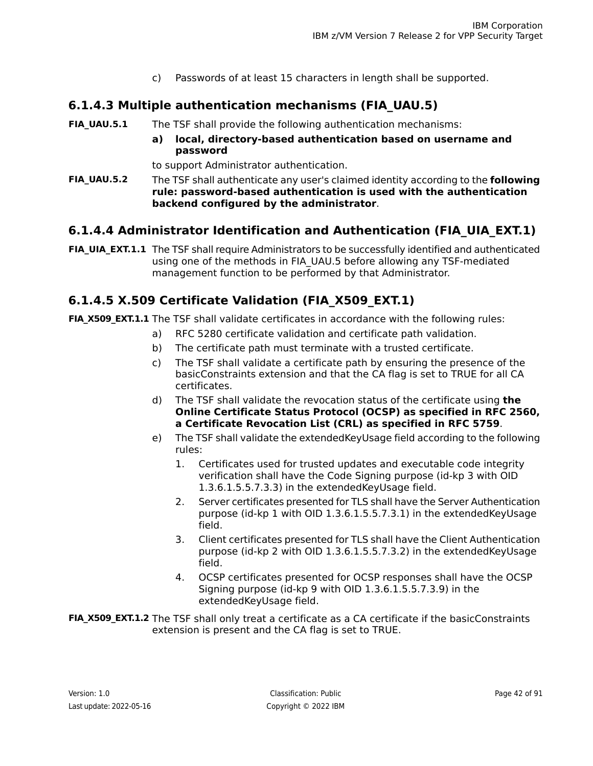c) Passwords of at least 15 characters in length shall be supported.

## <span id="page-41-0"></span>**6.1.4.3 Multiple authentication mechanisms (FIA\_UAU.5)**

- **FIA UAU.5.1** The TSF shall provide the following authentication mechanisms:
	- **a) local, directory-based authentication based on username and password**

to support Administrator authentication.

The TSF shall authenticate any user's claimed identity according to the **following rule: password-based authentication is used with the authentication backend configured by the administrator**. **FIA\_UAU.5.2**

## <span id="page-41-1"></span>**6.1.4.4 Administrator Identification and Authentication (FIA\_UIA\_EXT.1)**

<span id="page-41-2"></span>**FIA\_UIA\_EXT.1.1** The TSF shall require Administrators to be successfully identified and authenticated using one of the methods in FIA\_UAU.5 before allowing any TSF-mediated management function to be performed by that Administrator.

## **6.1.4.5 X.509 Certificate Validation (FIA\_X509\_EXT.1)**

**FIA\_X509\_EXT.1.1** The TSF shall validate certificates in accordance with the following rules:

- a) RFC 5280 certificate validation and certificate path validation.
- b) The certificate path must terminate with a trusted certificate.
- c) The TSF shall validate a certificate path by ensuring the presence of the basicConstraints extension and that the CA flag is set to TRUE for all CA certificates.
- d) The TSF shall validate the revocation status of the certificate using **the Online Certificate Status Protocol (OCSP) as specified in RFC 2560, a Certificate Revocation List (CRL) as specified in RFC 5759**.
- e) The TSF shall validate the extendedKeyUsage field according to the following rules:
	- 1. Certificates used for trusted updates and executable code integrity verification shall have the Code Signing purpose (id-kp 3 with OID 1.3.6.1.5.5.7.3.3) in the extendedKeyUsage field.
	- 2. Server certificates presented for TLS shall have the Server Authentication purpose (id-kp 1 with OID 1.3.6.1.5.5.7.3.1) in the extendedKeyUsage field.
	- 3. Client certificates presented for TLS shall have the Client Authentication purpose (id-kp 2 with OID 1.3.6.1.5.5.7.3.2) in the extendedKeyUsage field.
	- 4. OCSP certificates presented for OCSP responses shall have the OCSP Signing purpose (id-kp 9 with OID 1.3.6.1.5.5.7.3.9) in the extendedKeyUsage field.

**FIA\_X509\_EXT.1.2** The TSF shall only treat a certificate as a CA certificate if the basicConstraints extension is present and the CA flag is set to TRUE.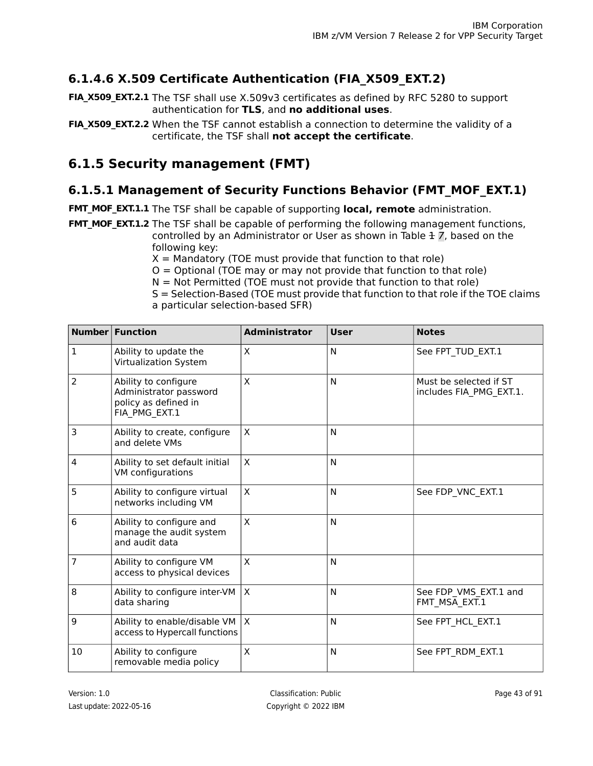## <span id="page-42-1"></span>**6.1.4.6 X.509 Certificate Authentication (FIA\_X509\_EXT.2)**

- **FIA\_X509\_EXT.2.1** The TSF shall use X.509v3 certificates as defined by RFC 5280 to support authentication for **TLS**, and **no additional uses**.
- **FIA\_X509\_EXT.2.2** When the TSF cannot establish a connection to determine the validity of a certificate, the TSF shall **not accept the certificate**.

## <span id="page-42-2"></span>**6.1.5 Security management (FMT)**

## **6.1.5.1 Management of Security Functions Behavior (FMT\_MOF\_EXT.1)**

**FMT\_MOF\_EXT.1.1** The TSF shall be capable of supporting **local, remote** administration.

**FMT\_MOF\_EXT.1.2** The TSF shall be capable of performing the following management functions, controlled by an Administrator or User as shown in Table  $\pm$  [7](#page-42-0), based on the

- following key:
- $X =$  Mandatory (TOE must provide that function to that role)
- $O =$  Optional (TOE may or may not provide that function to that role)
- $N = Not Permitted (TOE must not provide that function to that role)$
- S = Selection-Based (TOE must provide that function to that role if the TOE claims a particular selection-based SFR)

<span id="page-42-0"></span>

| Number         | <b>Function</b>                                                                         | <b>Administrator</b> | <b>User</b> | <b>Notes</b>                                      |
|----------------|-----------------------------------------------------------------------------------------|----------------------|-------------|---------------------------------------------------|
| $\mathbf{1}$   | Ability to update the<br>Virtualization System                                          | X                    | N           | See FPT_TUD_EXT.1                                 |
| $\overline{2}$ | Ability to configure<br>Administrator password<br>policy as defined in<br>FIA_PMG_EXT.1 | X                    | N           | Must be selected if ST<br>includes FIA_PMG_EXT.1. |
| 3              | Ability to create, configure<br>and delete VMs                                          | X                    | N           |                                                   |
| 4              | Ability to set default initial<br>VM configurations                                     | X                    | N           |                                                   |
| 5              | Ability to configure virtual<br>networks including VM                                   | X                    | N           | See FDP VNC EXT.1                                 |
| 6              | Ability to configure and<br>manage the audit system<br>and audit data                   | X                    | N           |                                                   |
| 7              | Ability to configure VM<br>access to physical devices                                   | X                    | N           |                                                   |
| 8              | Ability to configure inter-VM<br>data sharing                                           | X                    | N           | See FDP_VMS_EXT.1 and<br>FMT_MSA_EXT.1            |
| 9              | Ability to enable/disable VM<br>access to Hypercall functions                           | $\times$             | N           | See FPT_HCL_EXT.1                                 |
| 10             | Ability to configure<br>removable media policy                                          | X                    | N           | See FPT_RDM_EXT.1                                 |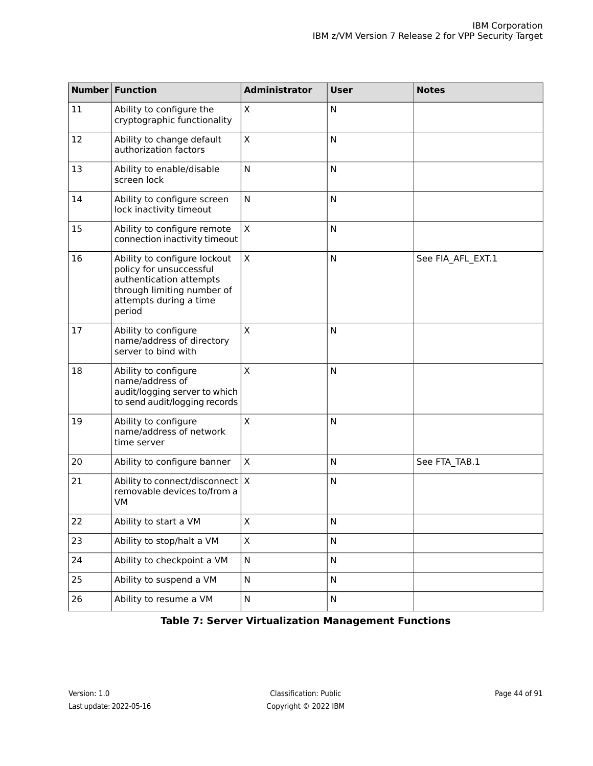| Number | <b>Function</b>                                                                                                                                      | <b>Administrator</b>      | <b>User</b> | <b>Notes</b>      |
|--------|------------------------------------------------------------------------------------------------------------------------------------------------------|---------------------------|-------------|-------------------|
| 11     | Ability to configure the<br>cryptographic functionality                                                                                              | $\mathsf X$               | N           |                   |
| 12     | Ability to change default<br>authorization factors                                                                                                   | X                         | N           |                   |
| 13     | Ability to enable/disable<br>screen lock                                                                                                             | N                         | N           |                   |
| 14     | Ability to configure screen<br>lock inactivity timeout                                                                                               | N                         | N           |                   |
| 15     | Ability to configure remote<br>connection inactivity timeout                                                                                         | X                         | N           |                   |
| 16     | Ability to configure lockout<br>policy for unsuccessful<br>authentication attempts<br>through limiting number of<br>attempts during a time<br>period | $\mathsf X$               | N           | See FIA_AFL_EXT.1 |
| 17     | Ability to configure<br>name/address of directory<br>server to bind with                                                                             | X                         | N           |                   |
| 18     | Ability to configure<br>name/address of<br>audit/logging server to which<br>to send audit/logging records                                            | X                         | ${\sf N}$   |                   |
| 19     | Ability to configure<br>name/address of network<br>time server                                                                                       | X                         | N           |                   |
| 20     | Ability to configure banner                                                                                                                          | $\mathsf X$               | N           | See FTA_TAB.1     |
| 21     | Ability to connect/disconnect<br>removable devices to/from a<br>VM                                                                                   | $\boldsymbol{\mathsf{X}}$ | N           |                   |
| 22     | Ability to start a VM                                                                                                                                | X                         | N           |                   |
| 23     | Ability to stop/halt a VM                                                                                                                            | X                         | N           |                   |
| 24     | Ability to checkpoint a VM                                                                                                                           | N                         | N           |                   |
| 25     | Ability to suspend a VM                                                                                                                              | N                         | N           |                   |
| 26     | Ability to resume a VM                                                                                                                               | N                         | N           |                   |

### **Table 7: Server Virtualization Management Functions**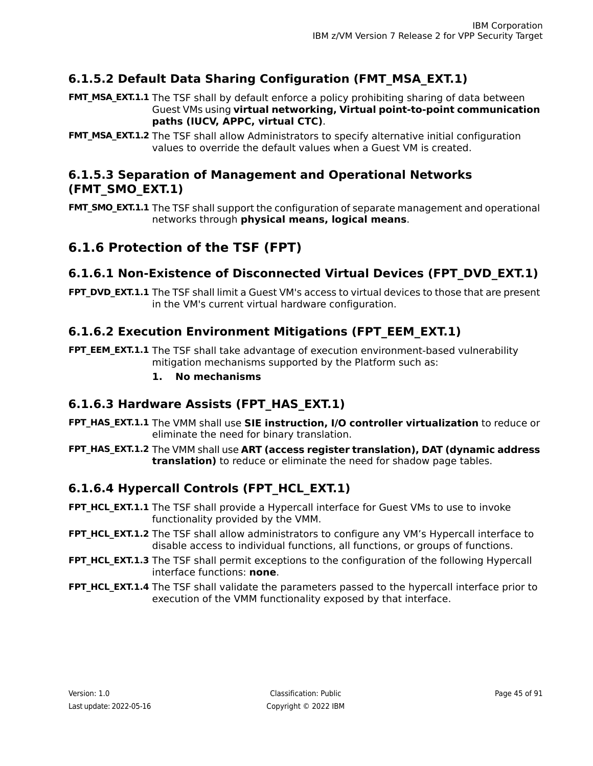## <span id="page-44-0"></span>**6.1.5.2 Default Data Sharing Configuration (FMT\_MSA\_EXT.1)**

**FMT\_MSA\_EXT.1.1** The TSF shall by default enforce a policy prohibiting sharing of data between Guest VMs using **virtual networking, Virtual point-to-point communication paths (IUCV, APPC, virtual CTC)**.

**FMT\_MSA\_EXT.1.2** The TSF shall allow Administrators to specify alternative initial configuration values to override the default values when a Guest VM is created.

### <span id="page-44-1"></span>**6.1.5.3 Separation of Management and Operational Networks (FMT\_SMO\_EXT.1)**

**FMT\_SMO\_EXT.1.1** The TSF shall support the configuration of separate management and operational networks through **physical means, logical means**.

## <span id="page-44-2"></span>**6.1.6 Protection of the TSF (FPT)**

## **6.1.6.1 Non-Existence of Disconnected Virtual Devices (FPT\_DVD\_EXT.1)**

<span id="page-44-3"></span>**FPT\_DVD\_EXT.1.1** The TSF shall limit a Guest VM's access to virtual devices to those that are present in the VM's current virtual hardware configuration.

## **6.1.6.2 Execution Environment Mitigations (FPT\_EEM\_EXT.1)**

<span id="page-44-4"></span>**FPT\_EEM\_EXT.1.1** The TSF shall take advantage of execution environment-based vulnerability mitigation mechanisms supported by the Platform such as:

### **1. No mechanisms**

## **6.1.6.3 Hardware Assists (FPT\_HAS\_EXT.1)**

**FPT\_HAS\_EXT.1.1** The VMM shall use SIE instruction, I/O controller virtualization to reduce or eliminate the need for binary translation.

<span id="page-44-5"></span>The VMM shall use **ART (access register translation), DAT (dynamic address FPT\_HAS\_EXT.1.2 translation)** to reduce or eliminate the need for shadow page tables.

## **6.1.6.4 Hypercall Controls (FPT\_HCL\_EXT.1)**

- **FPT\_HCL\_EXT.1.1** The TSF shall provide a Hypercall interface for Guest VMs to use to invoke functionality provided by the VMM.
- **FPT\_HCL\_EXT.1.2** The TSF shall allow administrators to configure any VM's Hypercall interface to disable access to individual functions, all functions, or groups of functions.
- **FPT\_HCL\_EXT.1.3** The TSF shall permit exceptions to the configuration of the following Hypercall interface functions: **none**.
- **FPT\_HCL\_EXT.1.4** The TSF shall validate the parameters passed to the hypercall interface prior to execution of the VMM functionality exposed by that interface.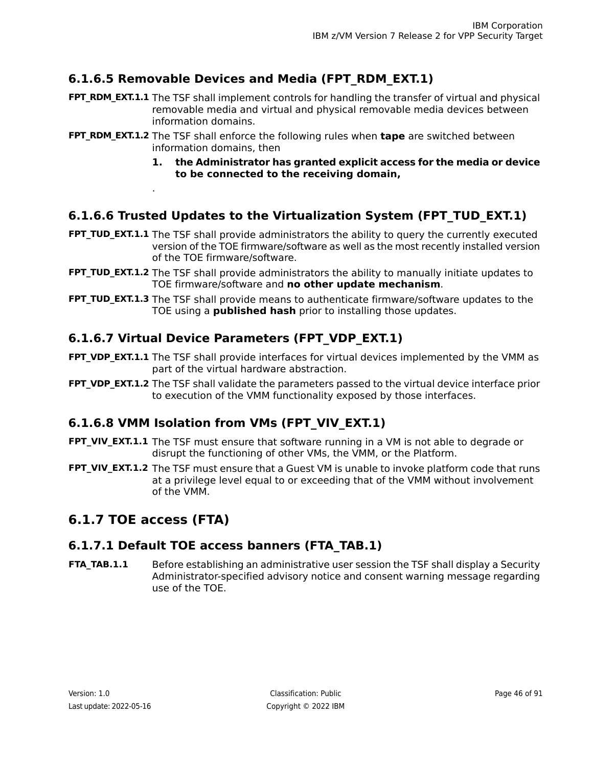## <span id="page-45-0"></span>**6.1.6.5 Removable Devices and Media (FPT\_RDM\_EXT.1)**

- **FPT\_RDM\_EXT.1.1** The TSF shall implement controls for handling the transfer of virtual and physical removable media and virtual and physical removable media devices between information domains.
- **FPT\_RDM\_EXT.1.2** The TSF shall enforce the following rules when **tape** are switched between information domains, then
	- **1. the Administrator has granted explicit access for the media or device to be connected to the receiving domain,**

## <span id="page-45-1"></span>**6.1.6.6 Trusted Updates to the Virtualization System (FPT\_TUD\_EXT.1)**

- **FPT\_TUD\_EXT.1.1** The TSF shall provide administrators the ability to query the currently executed version of the TOE firmware/software as well as the most recently installed version of the TOE firmware/software.
- **FPT\_TUD\_EXT.1.2** The TSF shall provide administrators the ability to manually initiate updates to TOE firmware/software and **no other update mechanism**.
- <span id="page-45-2"></span>**FPT\_TUD\_EXT.1.3** The TSF shall provide means to authenticate firmware/software updates to the TOE using a **published hash** prior to installing those updates.

## **6.1.6.7 Virtual Device Parameters (FPT\_VDP\_EXT.1)**

- **FPT\_VDP\_EXT.1.1** The TSF shall provide interfaces for virtual devices implemented by the VMM as part of the virtual hardware abstraction.
- <span id="page-45-3"></span>**FPT\_VDP\_EXT.1.2** The TSF shall validate the parameters passed to the virtual device interface prior to execution of the VMM functionality exposed by those interfaces.

## **6.1.6.8 VMM Isolation from VMs (FPT\_VIV\_EXT.1)**

- **FPT\_VIV\_EXT.1.1** The TSF must ensure that software running in a VM is not able to degrade or disrupt the functioning of other VMs, the VMM, or the Platform.
- <span id="page-45-4"></span>**FPT\_VIV\_EXT.1.2** The TSF must ensure that a Guest VM is unable to invoke platform code that runs at a privilege level equal to or exceeding that of the VMM without involvement of the VMM.

## **6.1.7 TOE access (FTA)**

.

### **6.1.7.1 Default TOE access banners (FTA\_TAB.1)**

Before establishing an administrative user session the TSF shall display a Security Administrator-specified advisory notice and consent warning message regarding use of the TOE. **FTA\_TAB.1.1**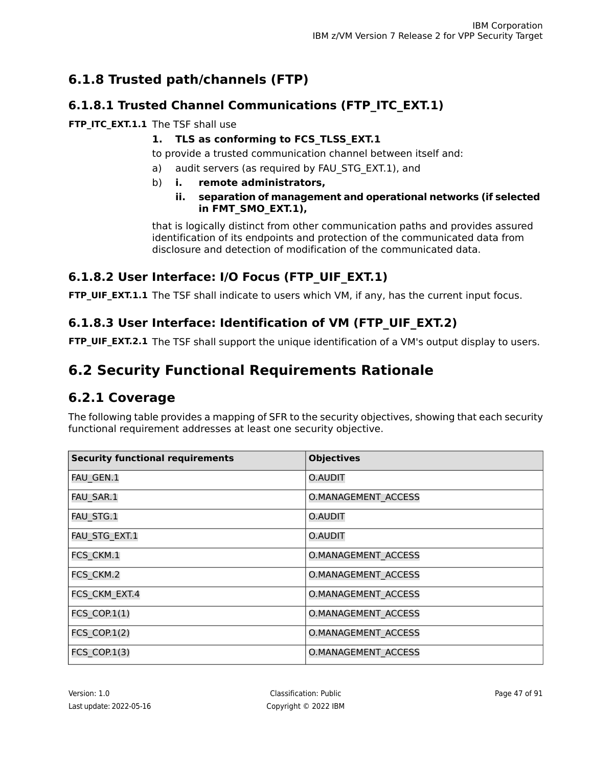## **6.1.8 Trusted path/channels (FTP)**

## <span id="page-46-0"></span>**6.1.8.1 Trusted Channel Communications (FTP\_ITC\_EXT.1)**

### **FTP\_ITC\_EXT.1.1** The TSF shall use

### **1. TLS as conforming to FCS\_TLSS\_EXT.1**

to provide a trusted communication channel between itself and:

- a) audit servers (as required by FAU\_STG\_EXT.1), and
- b) **i. remote administrators,**

### **ii. separation of management and operational networks (if selected in FMT\_SMO\_EXT.1),**

that is logically distinct from other communication paths and provides assured identification of its endpoints and protection of the communicated data from disclosure and detection of modification of the communicated data.

## <span id="page-46-1"></span>**6.1.8.2 User Interface: I/O Focus (FTP\_UIF\_EXT.1)**

<span id="page-46-2"></span>**FTP UIF EXT.1.1** The TSF shall indicate to users which VM, if any, has the current input focus.

## **6.1.8.3 User Interface: Identification of VM (FTP\_UIF\_EXT.2)**

**FTP\_UIF\_EXT.2.1** The TSF shall support the unique identification of a VM's output display to users.

## **6.2 Security Functional Requirements Rationale**

## **6.2.1 Coverage**

The following table provides a mapping of SFR to the security objectives, showing that each security functional requirement addresses at least one security objective.

| <b>Security functional requirements</b> | <b>Objectives</b>          |
|-----------------------------------------|----------------------------|
| FAU_GEN.1                               | O.AUDIT                    |
| FAU SAR.1                               | <b>O.MANAGEMENT ACCESS</b> |
| FAU STG.1                               | O.AUDIT                    |
| FAU_STG_EXT.1                           | O.AUDIT                    |
| FCS CKM.1                               | <b>O.MANAGEMENT ACCESS</b> |
| FCS CKM.2                               | <b>O.MANAGEMENT ACCESS</b> |
| FCS CKM EXT.4                           | <b>O.MANAGEMENT ACCESS</b> |
| <b>FCS COP.1(1)</b>                     | <b>O.MANAGEMENT ACCESS</b> |
| <b>FCS COP.1(2)</b>                     | <b>O.MANAGEMENT ACCESS</b> |
| FCS COP.1(3)                            | <b>O.MANAGEMENT ACCESS</b> |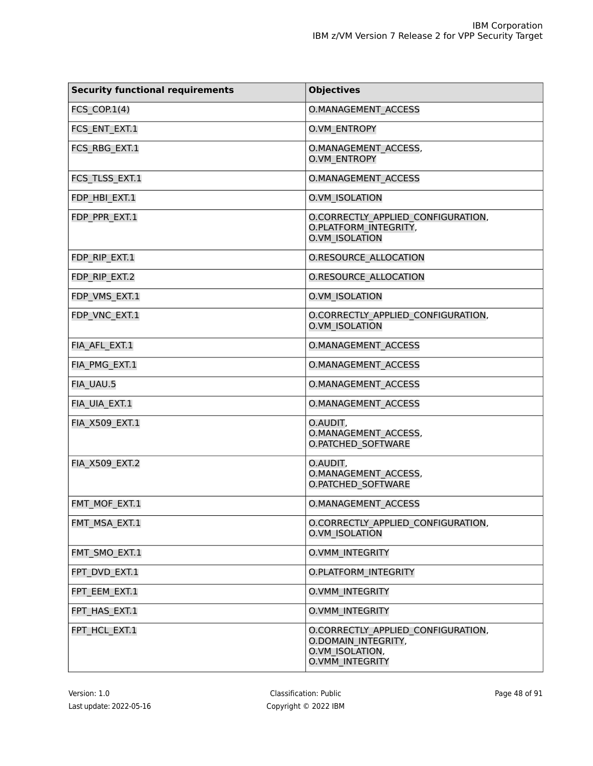| <b>Security functional requirements</b> | <b>Objectives</b>                                                                                      |
|-----------------------------------------|--------------------------------------------------------------------------------------------------------|
| FCS COP. $1(4)$                         | <b>O.MANAGEMENT ACCESS</b>                                                                             |
| FCS ENT EXT.1                           | <b>O.VM ENTROPY</b>                                                                                    |
| FCS_RBG_EXT.1                           | <b>O.MANAGEMENT ACCESS,</b><br><b>O.VM ENTROPY</b>                                                     |
| FCS_TLSS_EXT.1                          | <b>O.MANAGEMENT ACCESS</b>                                                                             |
| FDP HBI EXT.1                           | <b>O.VM ISOLATION</b>                                                                                  |
| FDP_PPR_EXT.1                           | O.CORRECTLY APPLIED CONFIGURATION,<br>O.PLATFORM_INTEGRITY,<br><b>O.VM ISOLATION</b>                   |
| FDP RIP EXT.1                           | <b>O.RESOURCE ALLOCATION</b>                                                                           |
| FDP RIP EXT.2                           | <b>O.RESOURCE ALLOCATION</b>                                                                           |
| FDP VMS EXT.1                           | <b>O.VM ISOLATION</b>                                                                                  |
| FDP VNC EXT.1                           | O.CORRECTLY APPLIED CONFIGURATION,<br><b>O.VM ISOLATION</b>                                            |
| FIA AFL EXT.1                           | <b>O.MANAGEMENT ACCESS</b>                                                                             |
| FIA PMG EXT.1                           | <b>O.MANAGEMENT ACCESS</b>                                                                             |
| FIA UAU.5                               | <b>O.MANAGEMENT ACCESS</b>                                                                             |
| FIA UIA EXT.1                           | O.MANAGEMENT ACCESS                                                                                    |
| <b>FIA X509 EXT.1</b>                   | O.AUDIT,<br>O.MANAGEMENT ACCESS,<br><b>O.PATCHED SOFTWARE</b>                                          |
| <b>FIA X509 EXT.2</b>                   | O.AUDIT,<br><b>O.MANAGEMENT ACCESS,</b><br><b>O.PATCHED SOFTWARE</b>                                   |
| FMT MOF EXT.1                           | <b>O.MANAGEMENT ACCESS</b>                                                                             |
| FMT MSA EXT.1                           | O.CORRECTLY APPLIED CONFIGURATION,<br><b>O.VM ISOLATION</b>                                            |
| FMT SMO_EXT.1                           | <b>O.VMM INTEGRITY</b>                                                                                 |
| FPT DVD EXT.1                           | <b>O.PLATFORM INTEGRITY</b>                                                                            |
| FPT EEM EXT.1                           | <b>O.VMM INTEGRITY</b>                                                                                 |
| FPT HAS EXT.1                           | O.VMM INTEGRITY                                                                                        |
| FPT HCL EXT.1                           | O.CORRECTLY APPLIED CONFIGURATION,<br>O.DOMAIN INTEGRITY,<br>O.VM ISOLATION,<br><b>O.VMM INTEGRITY</b> |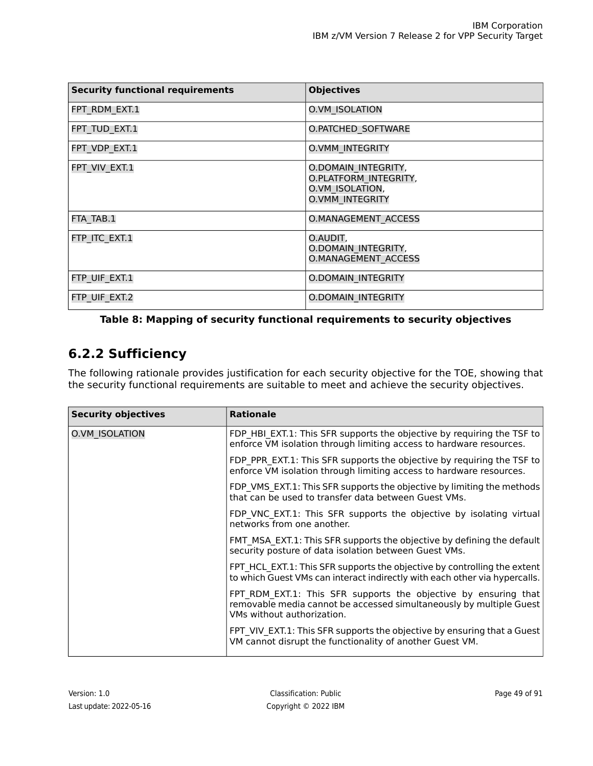| <b>Security functional requirements</b> | <b>Objectives</b>                                                                         |
|-----------------------------------------|-------------------------------------------------------------------------------------------|
| FPT RDM EXT.1                           | O.VM ISOLATION                                                                            |
| FPT_TUD_EXT.1                           | O.PATCHED_SOFTWARE                                                                        |
| FPT VDP EXT.1                           | <b>O.VMM INTEGRITY</b>                                                                    |
| FPT VIV EXT.1                           | O.DOMAIN INTEGRITY,<br>O.PLATFORM INTEGRITY,<br>O.VM ISOLATION,<br><b>O.VMM INTEGRITY</b> |
| FTA TAB.1                               | <b>O.MANAGEMENT ACCESS</b>                                                                |
| FTP ITC EXT.1                           | O.AUDIT,<br>O.DOMAIN INTEGRITY,<br><b>O.MANAGEMENT ACCESS</b>                             |
| FTP UIF EXT.1                           | <b>O.DOMAIN INTEGRITY</b>                                                                 |
| FTP UIF EXT.2                           | <b>O.DOMAIN INTEGRITY</b>                                                                 |

### **Table 8: Mapping of security functional requirements to security objectives**

## **6.2.2 Sufficiency**

The following rationale provides justification for each security objective for the TOE, showing that the security functional requirements are suitable to meet and achieve the security objectives.

| <b>Security objectives</b> | <b>Rationale</b>                                                                                                                                                     |
|----------------------------|----------------------------------------------------------------------------------------------------------------------------------------------------------------------|
| O.VM ISOLATION             | FDP HBI EXT.1: This SFR supports the objective by requiring the TSF to<br>enforce VM isolation through limiting access to hardware resources.                        |
|                            | FDP PPR EXT.1: This SFR supports the objective by requiring the TSF to<br>enforce VM isolation through limiting access to hardware resources.                        |
|                            | FDP VMS EXT.1: This SFR supports the objective by limiting the methods<br>that can be used to transfer data between Guest VMs.                                       |
|                            | FDP VNC EXT.1: This SFR supports the objective by isolating virtual<br>networks from one another.                                                                    |
|                            | FMT MSA EXT.1: This SFR supports the objective by defining the default<br>security posture of data isolation between Guest VMs.                                      |
|                            | FPT HCL EXT.1: This SFR supports the objective by controlling the extent<br>to which Guest VMs can interact indirectly with each other via hypercalls.               |
|                            | FPT RDM EXT.1: This SFR supports the objective by ensuring that<br>removable media cannot be accessed simultaneously by multiple Guest<br>VMs without authorization. |
|                            | FPT VIV EXT.1: This SFR supports the objective by ensuring that a Guest<br>VM cannot disrupt the functionality of another Guest VM.                                  |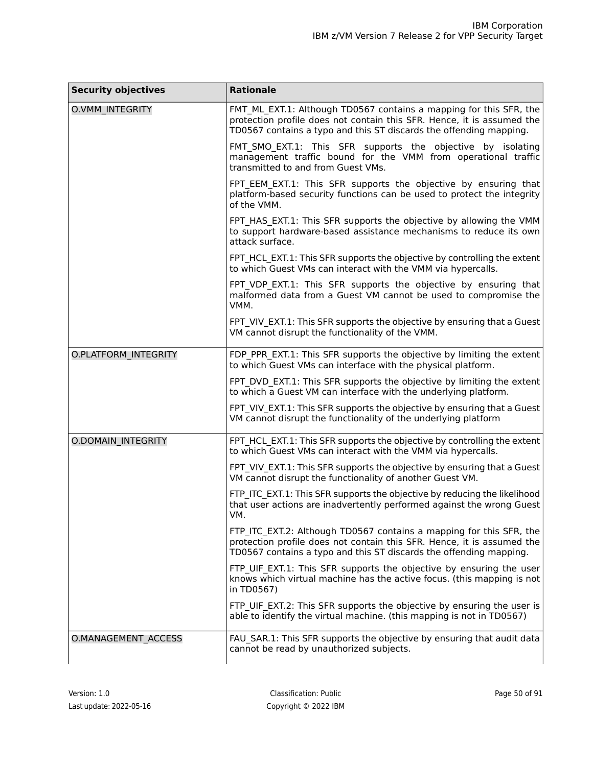| <b>Security objectives</b> | <b>Rationale</b>                                                                                                                                                                                                    |
|----------------------------|---------------------------------------------------------------------------------------------------------------------------------------------------------------------------------------------------------------------|
| O.VMM_INTEGRITY            | FMT ML EXT.1: Although TD0567 contains a mapping for this SFR, the<br>protection profile does not contain this SFR. Hence, it is assumed the<br>TD0567 contains a typo and this ST discards the offending mapping.  |
|                            | FMT_SMO_EXT.1: This SFR supports the objective by isolating<br>management traffic bound for the VMM from operational traffic<br>transmitted to and from Guest VMs.                                                  |
|                            | FPT EEM EXT.1: This SFR supports the objective by ensuring that<br>platform-based security functions can be used to protect the integrity<br>of the VMM.                                                            |
|                            | FPT_HAS_EXT.1: This SFR supports the objective by allowing the VMM<br>to support hardware-based assistance mechanisms to reduce its own<br>attack surface.                                                          |
|                            | FPT HCL EXT.1: This SFR supports the objective by controlling the extent<br>to which Guest VMs can interact with the VMM via hypercalls.                                                                            |
|                            | FPT VDP EXT.1: This SFR supports the objective by ensuring that<br>malformed data from a Guest VM cannot be used to compromise the<br>VMM.                                                                          |
|                            | FPT_VIV_EXT.1: This SFR supports the objective by ensuring that a Guest<br>VM cannot disrupt the functionality of the VMM.                                                                                          |
| O.PLATFORM_INTEGRITY       | FDP PPR EXT.1: This SFR supports the objective by limiting the extent<br>to which Guest VMs can interface with the physical platform.                                                                               |
|                            | FPT DVD EXT.1: This SFR supports the objective by limiting the extent<br>to which a Guest VM can interface with the underlying platform.                                                                            |
|                            | FPT VIV EXT.1: This SFR supports the objective by ensuring that a Guest<br>VM cannot disrupt the functionality of the underlying platform                                                                           |
| <b>O.DOMAIN INTEGRITY</b>  | FPT_HCL_EXT.1: This SFR supports the objective by controlling the extent<br>to which Guest VMs can interact with the VMM via hypercalls.                                                                            |
|                            | FPT VIV EXT.1: This SFR supports the objective by ensuring that a Guest<br>VM cannot disrupt the functionality of another Guest VM.                                                                                 |
|                            | FTP_ITC_EXT.1: This SFR supports the objective by reducing the likelihood<br>that user actions are inadvertently performed against the wrong Guest<br>VM.                                                           |
|                            | FTP_ITC_EXT.2: Although TD0567 contains a mapping for this SFR, the<br>protection profile does not contain this SFR. Hence, it is assumed the<br>TD0567 contains a typo and this ST discards the offending mapping. |
|                            | FTP_UIF_EXT.1: This SFR supports the objective by ensuring the user<br>knows which virtual machine has the active focus. (this mapping is not<br>in TD0567)                                                         |
|                            | FTP UIF EXT.2: This SFR supports the objective by ensuring the user is<br>able to identify the virtual machine. (this mapping is not in TD0567)                                                                     |
| O.MANAGEMENT ACCESS        | FAU SAR.1: This SFR supports the objective by ensuring that audit data<br>cannot be read by unauthorized subjects.                                                                                                  |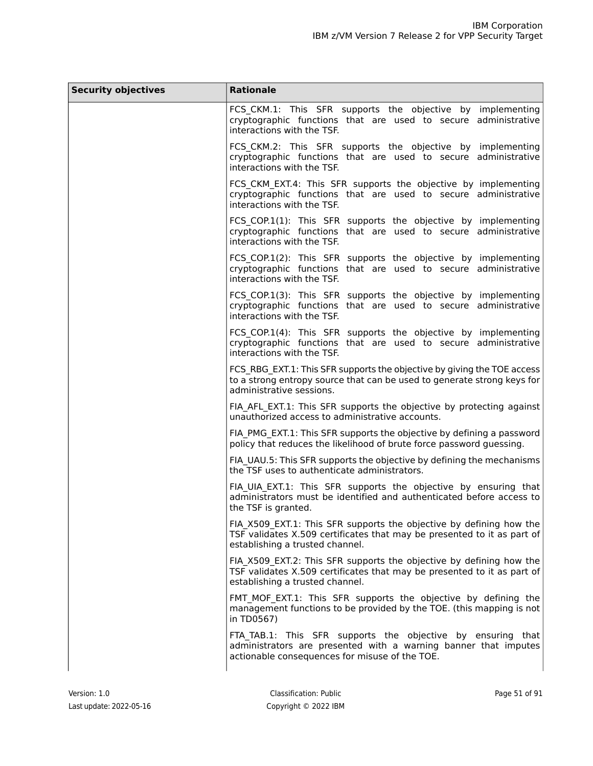| <b>Security objectives</b> | <b>Rationale</b>                                                                                                                                                                  |
|----------------------------|-----------------------------------------------------------------------------------------------------------------------------------------------------------------------------------|
|                            | FCS_CKM.1: This SFR supports the objective by implementing<br>cryptographic functions that are used to secure administrative<br>interactions with the TSF.                        |
|                            | FCS CKM.2: This SFR supports the objective by implementing<br>cryptographic functions that are used to secure administrative<br>interactions with the TSF.                        |
|                            | FCS_CKM_EXT.4: This SFR supports the objective by implementing<br>cryptographic functions that are used to secure administrative<br>interactions with the TSF.                    |
|                            | FCS_COP.1(1): This SFR supports the objective by implementing<br>cryptographic functions that are used to secure administrative<br>interactions with the TSF.                     |
|                            | FCS_COP.1(2): This SFR supports the objective by implementing<br>cryptographic functions that are used to secure administrative<br>interactions with the TSF.                     |
|                            | FCS_COP.1(3): This SFR supports the objective by implementing<br>cryptographic functions that are used to secure administrative<br>interactions with the TSF.                     |
|                            | FCS COP.1(4): This SFR supports the objective by implementing<br>cryptographic functions that are used to secure administrative<br>interactions with the TSF.                     |
|                            | FCS RBG EXT.1: This SFR supports the objective by giving the TOE access<br>to a strong entropy source that can be used to generate strong keys for<br>administrative sessions.    |
|                            | FIA AFL EXT.1: This SFR supports the objective by protecting against<br>unauthorized access to administrative accounts.                                                           |
|                            | FIA PMG EXT.1: This SFR supports the objective by defining a password<br>policy that reduces the likelihood of brute force password guessing.                                     |
|                            | FIA_UAU.5: This SFR supports the objective by defining the mechanisms<br>the TSF uses to authenticate administrators.                                                             |
|                            | FIA UIA EXT.1: This SFR supports the objective by ensuring that<br>administrators must be identified and authenticated before access to<br>the TSF is granted.                    |
|                            | FIA_X509_EXT.1: This SFR supports the objective by defining how the<br>TSF validates X.509 certificates that may be presented to it as part of<br>establishing a trusted channel. |
|                            | FIA_X509_EXT.2: This SFR supports the objective by defining how the<br>TSF validates X.509 certificates that may be presented to it as part of<br>establishing a trusted channel. |
|                            | FMT MOF EXT.1: This SFR supports the objective by defining the<br>management functions to be provided by the TOE. (this mapping is not<br>in TD0567)                              |
|                            | FTA_TAB.1: This SFR supports the objective by ensuring that<br>administrators are presented with a warning banner that imputes<br>actionable consequences for misuse of the TOE.  |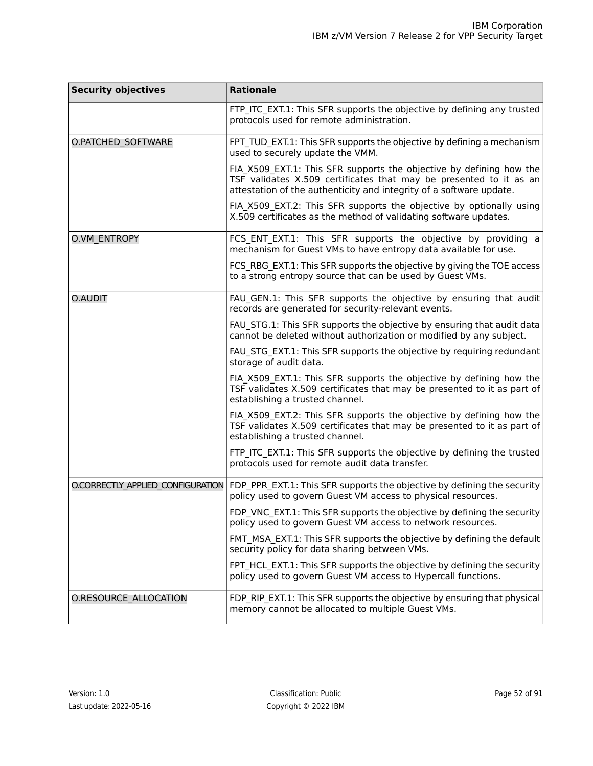| <b>Security objectives</b>        | <b>Rationale</b>                                                                                                                                                                                                 |  |  |
|-----------------------------------|------------------------------------------------------------------------------------------------------------------------------------------------------------------------------------------------------------------|--|--|
|                                   | FTP_ITC_EXT.1: This SFR supports the objective by defining any trusted<br>protocols used for remote administration.                                                                                              |  |  |
| O.PATCHED_SOFTWARE                | FPT TUD EXT.1: This SFR supports the objective by defining a mechanism<br>used to securely update the VMM.                                                                                                       |  |  |
|                                   | FIA_X509_EXT.1: This SFR supports the objective by defining how the<br>TSF validates X.509 certificates that may be presented to it as an<br>attestation of the authenticity and integrity of a software update. |  |  |
|                                   | FIA_X509_EXT.2: This SFR supports the objective by optionally using<br>X.509 certificates as the method of validating software updates.                                                                          |  |  |
| O.VM ENTROPY                      | FCS_ENT_EXT.1: This SFR supports the objective by providing a<br>mechanism for Guest VMs to have entropy data available for use.                                                                                 |  |  |
|                                   | FCS_RBG_EXT.1: This SFR supports the objective by giving the TOE access<br>to a strong entropy source that can be used by Guest VMs.                                                                             |  |  |
| O.AUDIT                           | FAU GEN.1: This SFR supports the objective by ensuring that audit<br>records are generated for security-relevant events.                                                                                         |  |  |
|                                   | FAU_STG.1: This SFR supports the objective by ensuring that audit data<br>cannot be deleted without authorization or modified by any subject.                                                                    |  |  |
|                                   | FAU_STG_EXT.1: This SFR supports the objective by requiring redundant<br>storage of audit data.                                                                                                                  |  |  |
|                                   | FIA_X509_EXT.1: This SFR supports the objective by defining how the<br>TSF validates X.509 certificates that may be presented to it as part of<br>establishing a trusted channel.                                |  |  |
|                                   | FIA_X509_EXT.2: This SFR supports the objective by defining how the<br>TSF validates X.509 certificates that may be presented to it as part of<br>establishing a trusted channel.                                |  |  |
|                                   | FTP_ITC_EXT.1: This SFR supports the objective by defining the trusted<br>protocols used for remote audit data transfer.                                                                                         |  |  |
| O.CORRECTLY APPLIED CONFIGURATION | FDP_PPR_EXT.1: This SFR supports the objective by defining the security<br>policy used to govern Guest VM access to physical resources.                                                                          |  |  |
|                                   | FDP_VNC_EXT.1: This SFR supports the objective by defining the security<br>policy used to govern Guest VM access to network resources.                                                                           |  |  |
|                                   | FMT MSA EXT.1: This SFR supports the objective by defining the default<br>security policy for data sharing between VMs.                                                                                          |  |  |
|                                   | FPT HCL EXT.1: This SFR supports the objective by defining the security<br>policy used to govern Guest VM access to Hypercall functions.                                                                         |  |  |
| O.RESOURCE_ALLOCATION             | FDP_RIP_EXT.1: This SFR supports the objective by ensuring that physical<br>memory cannot be allocated to multiple Guest VMs.                                                                                    |  |  |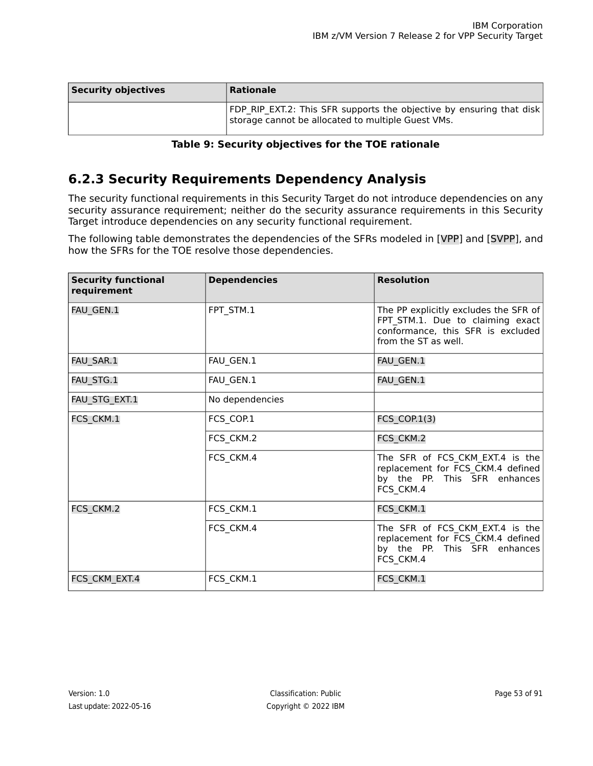| <b>Security objectives</b> | Rationale                                                                                                                  |
|----------------------------|----------------------------------------------------------------------------------------------------------------------------|
|                            | FDP RIP EXT.2: This SFR supports the objective by ensuring that disk<br>storage cannot be allocated to multiple Guest VMs. |

#### **Table 9: Security objectives for the TOE rationale**

## **6.2.3 Security Requirements Dependency Analysis**

The security functional requirements in this Security Target do not introduce dependencies on any security assurance requirement; neither do the security assurance requirements in this Security Target introduce dependencies on any security functional requirement.

The following table demonstrates the dependencies of the SFRs modeled in [\[VPP\]](#page-90-0) and [\[SVPP\],](#page-90-1) and how the SFRs for the TOE resolve those dependencies.

| <b>Security functional</b><br>requirement | <b>Dependencies</b> | <b>Resolution</b>                                                                                                                      |
|-------------------------------------------|---------------------|----------------------------------------------------------------------------------------------------------------------------------------|
| FAU GEN.1                                 | FPT STM.1           | The PP explicitly excludes the SFR of<br>FPT STM.1. Due to claiming exact<br>conformance, this SFR is excluded<br>from the ST as well. |
| FAU_SAR.1                                 | FAU_GEN.1           | FAU_GEN.1                                                                                                                              |
| FAU STG.1                                 | FAU_GEN.1           | FAU GEN.1                                                                                                                              |
| FAU_STG_EXT.1                             | No dependencies     |                                                                                                                                        |
| FCS CKM.1                                 | FCS_COP.1           | <b>FCS COP.1(3)</b>                                                                                                                    |
|                                           | FCS_CKM.2           | FCS_CKM.2                                                                                                                              |
|                                           | FCS_CKM.4           | The SFR of FCS_CKM_EXT.4 is the<br>replacement for FCS_CKM.4 defined<br>by the PP. This SFR enhances<br>FCS_CKM.4                      |
| FCS CKM.2                                 | FCS_CKM.1           | FCS CKM.1                                                                                                                              |
|                                           | FCS CKM.4           | The SFR of FCS CKM EXT.4 is the<br>replacement for FCS_CKM.4 defined<br>by the PP. This SFR enhances<br>FCS CKM.4                      |
| FCS_CKM_EXT.4                             | FCS_CKM.1           | FCS_CKM.1                                                                                                                              |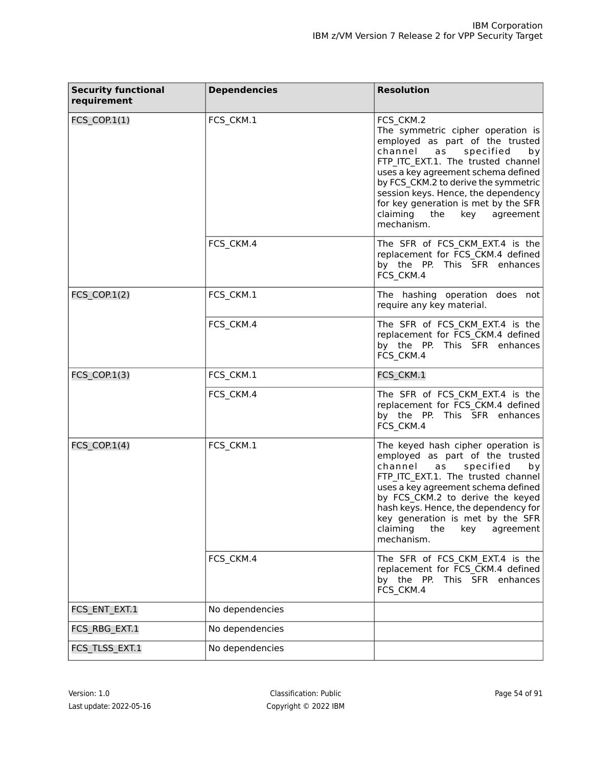| <b>Security functional</b><br>requirement | <b>Dependencies</b> | <b>Resolution</b>                                                                                                                                                                                                                                                                                                                                                              |
|-------------------------------------------|---------------------|--------------------------------------------------------------------------------------------------------------------------------------------------------------------------------------------------------------------------------------------------------------------------------------------------------------------------------------------------------------------------------|
| $FCS$ _ $COP.1(1)$                        | FCS_CKM.1           | FCS CKM.2<br>The symmetric cipher operation is<br>employed as part of the trusted<br>channel<br>specified<br>as<br>by<br>FTP ITC EXT.1. The trusted channel<br>uses a key agreement schema defined<br>by FCS_CKM.2 to derive the symmetric<br>session keys. Hence, the dependency<br>for key generation is met by the SFR<br>claiming<br>the<br>key<br>agreement<br>mechanism. |
|                                           | FCS_CKM.4           | The SFR of FCS_CKM_EXT.4 is the<br>replacement for FCS_CKM.4 defined<br>by the PP. This SFR enhances<br>FCS_CKM.4                                                                                                                                                                                                                                                              |
| FCS_COP.1(2)                              | FCS_CKM.1           | The hashing operation does not<br>require any key material.                                                                                                                                                                                                                                                                                                                    |
|                                           | FCS_CKM.4           | The SFR of FCS_CKM_EXT.4 is the<br>replacement for FCS_CKM.4 defined<br>by the PP. This SFR enhances<br>FCS CKM.4                                                                                                                                                                                                                                                              |
| FCS_COP.1(3)                              | FCS_CKM.1           | FCS_CKM.1                                                                                                                                                                                                                                                                                                                                                                      |
|                                           | FCS_CKM.4           | The SFR of FCS_CKM_EXT.4 is the<br>replacement for FCS_CKM.4 defined<br>by the PP. This SFR enhances<br>FCS_CKM.4                                                                                                                                                                                                                                                              |
| FCS COP. $1(4)$                           | FCS_CKM.1           | The keyed hash cipher operation is<br>employed as part of the trusted<br>channel<br>specified<br>as<br>by<br>FTP_ITC_EXT.1. The trusted channel<br>uses a key agreement schema defined<br>by FCS_CKM.2 to derive the keyed<br>hash keys. Hence, the dependency for<br>key generation is met by the SFR<br>claiming<br>the<br>key<br>agreement<br>mechanism.                    |
|                                           | FCS_CKM.4           | The SFR of FCS CKM EXT.4 is the<br>replacement for FCS CKM.4 defined<br>by the PP. This SFR enhances<br>FCS_CKM.4                                                                                                                                                                                                                                                              |
| FCS_ENT_EXT.1                             | No dependencies     |                                                                                                                                                                                                                                                                                                                                                                                |
| FCS_RBG_EXT.1                             | No dependencies     |                                                                                                                                                                                                                                                                                                                                                                                |
| FCS_TLSS_EXT.1                            | No dependencies     |                                                                                                                                                                                                                                                                                                                                                                                |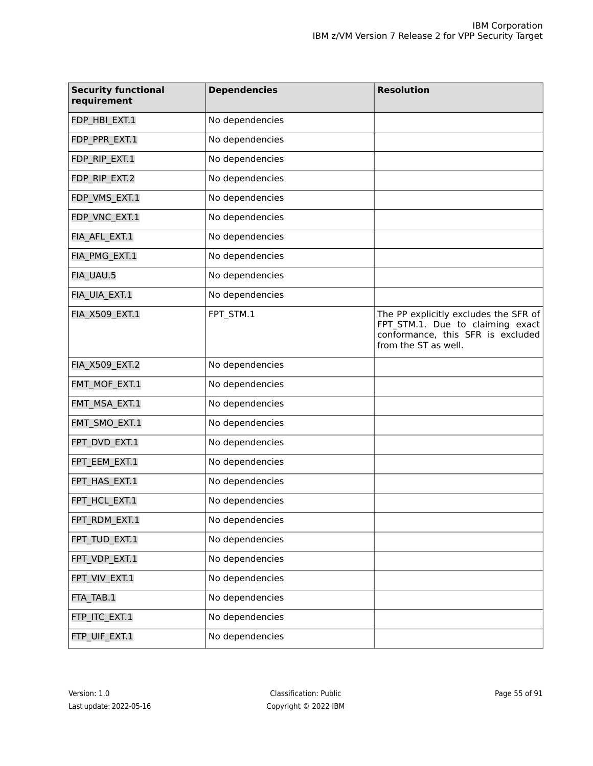| <b>Security functional</b><br>requirement | <b>Dependencies</b> | <b>Resolution</b>                                                                                                                      |
|-------------------------------------------|---------------------|----------------------------------------------------------------------------------------------------------------------------------------|
| FDP_HBI_EXT.1                             | No dependencies     |                                                                                                                                        |
| FDP_PPR_EXT.1                             | No dependencies     |                                                                                                                                        |
| FDP_RIP_EXT.1                             | No dependencies     |                                                                                                                                        |
| FDP_RIP_EXT.2                             | No dependencies     |                                                                                                                                        |
| FDP_VMS_EXT.1                             | No dependencies     |                                                                                                                                        |
| FDP_VNC_EXT.1                             | No dependencies     |                                                                                                                                        |
| FIA_AFL_EXT.1                             | No dependencies     |                                                                                                                                        |
| FIA_PMG_EXT.1                             | No dependencies     |                                                                                                                                        |
| FIA_UAU.5                                 | No dependencies     |                                                                                                                                        |
| FIA_UIA_EXT.1                             | No dependencies     |                                                                                                                                        |
| FIA_X509_EXT.1                            | FPT STM.1           | The PP explicitly excludes the SFR of<br>FPT_STM.1. Due to claiming exact<br>conformance, this SFR is excluded<br>from the ST as well. |
| FIA_X509_EXT.2                            | No dependencies     |                                                                                                                                        |
| FMT_MOF_EXT.1                             | No dependencies     |                                                                                                                                        |
| FMT_MSA_EXT.1                             | No dependencies     |                                                                                                                                        |
| FMT_SMO_EXT.1                             | No dependencies     |                                                                                                                                        |
| FPT_DVD_EXT.1                             | No dependencies     |                                                                                                                                        |
| FPT EEM EXT.1                             | No dependencies     |                                                                                                                                        |
| FPT_HAS_EXT.1                             | No dependencies     |                                                                                                                                        |
| FPT_HCL_EXT.1                             | No dependencies     |                                                                                                                                        |
| FPT_RDM_EXT.1                             | No dependencies     |                                                                                                                                        |
| FPT_TUD_EXT.1                             | No dependencies     |                                                                                                                                        |
| FPT_VDP_EXT.1                             | No dependencies     |                                                                                                                                        |
| FPT_VIV_EXT.1                             | No dependencies     |                                                                                                                                        |
| FTA_TAB.1                                 | No dependencies     |                                                                                                                                        |
| FTP_ITC_EXT.1                             | No dependencies     |                                                                                                                                        |
| FTP_UIF_EXT.1                             | No dependencies     |                                                                                                                                        |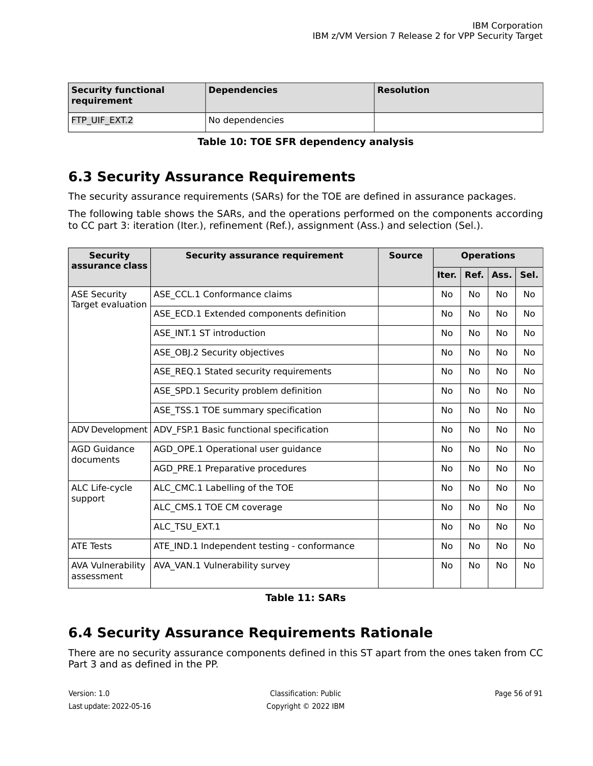| <b>Security functional</b><br>requirement | <b>Dependencies</b> | <b>Resolution</b> |
|-------------------------------------------|---------------------|-------------------|
| FTP UIF EXT.2                             | No dependencies     |                   |

**Table 10: TOE SFR dependency analysis**

## **6.3 Security Assurance Requirements**

The security assurance requirements (SARs) for the TOE are defined in assurance packages.

The following table shows the SARs, and the operations performed on the components according to CC part 3: iteration (Iter.), refinement (Ref.), assignment (Ass.) and selection (Sel.).

| <b>Security</b><br>assurance class       | <b>Security assurance requirement</b>       | <b>Source</b> |           |           | <b>Operations</b> |           |
|------------------------------------------|---------------------------------------------|---------------|-----------|-----------|-------------------|-----------|
|                                          |                                             |               | Iter.     | Ref.      | Ass.              | Sel.      |
| <b>ASE Security</b><br>Target evaluation | ASE_CCL.1 Conformance claims                |               | No        | No        | No                | No.       |
|                                          | ASE_ECD.1 Extended components definition    |               | No        | No        | <b>No</b>         | No        |
|                                          | ASE_INT.1 ST introduction                   |               | No        | No        | <b>No</b>         | No        |
|                                          | ASE_OBJ.2 Security objectives               |               | No        | No        | No                | No        |
|                                          | ASE_REQ.1 Stated security requirements      |               | No        | No        | No                | No        |
|                                          | ASE_SPD.1 Security problem definition       |               | <b>No</b> | <b>No</b> | <b>No</b>         | <b>No</b> |
|                                          | ASE TSS.1 TOE summary specification         |               | No        | No        | No                | No        |
| ADV Development                          | ADV_FSP.1 Basic functional specification    |               | No        | No        | No                | No        |
| AGD Guidance<br>documents                | AGD_OPE.1 Operational user guidance         |               | No        | No        | No                | No        |
|                                          | AGD_PRE.1 Preparative procedures            |               | No        | <b>No</b> | No                | No        |
| ALC Life-cycle<br>support                | ALC_CMC.1 Labelling of the TOE              |               | No        | No        | No                | No        |
|                                          | ALC CMS.1 TOE CM coverage                   |               | <b>No</b> | <b>No</b> | No                | <b>No</b> |
|                                          | ALC TSU EXT.1                               |               | No        | No        | No                | No.       |
| <b>ATE Tests</b>                         | ATE_IND.1 Independent testing - conformance |               | No        | <b>No</b> | No.               | No        |
| <b>AVA Vulnerability</b><br>assessment   | AVA VAN.1 Vulnerability survey              |               | No        | No        | No                | No        |

**Table 11: SARs**

## **6.4 Security Assurance Requirements Rationale**

There are no security assurance components defined in this ST apart from the ones taken from CC Part 3 and as defined in the PP.

Last update: 2022-05-16 Copyright © 2022 IBM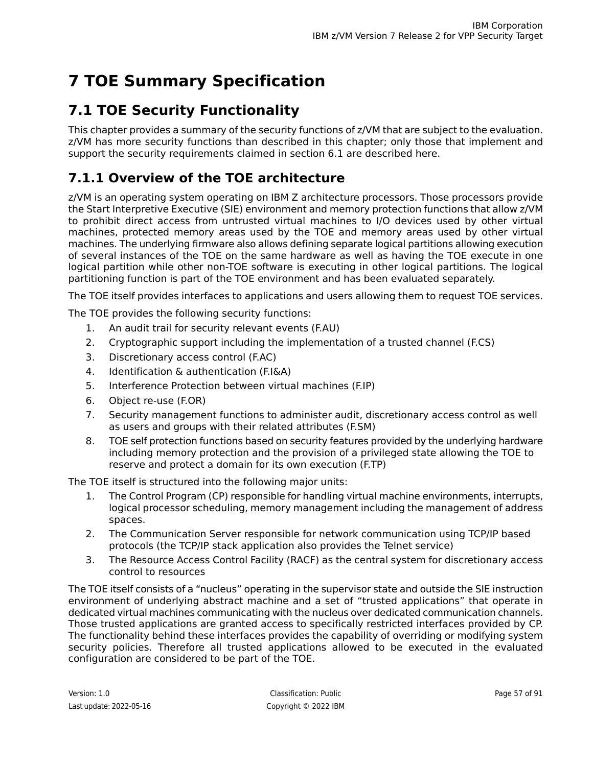# **7 TOE Summary Specification**

## **7.1 TOE Security Functionality**

This chapter provides a summary of the security functions of z/VM that are subject to the evaluation. z/VM has more security functions than described in this chapter; only those that implement and support the security requirements claimed in section 6.1 are described here.

## **7.1.1 Overview of the TOE architecture**

z/VM is an operating system operating on IBM Z architecture processors. Those processors provide the Start Interpretive Executive (SIE) environment and memory protection functions that allow z/VM to prohibit direct access from untrusted virtual machines to I/O devices used by other virtual machines, protected memory areas used by the TOE and memory areas used by other virtual machines. The underlying firmware also allows defining separate logical partitions allowing execution of several instances of the TOE on the same hardware as well as having the TOE execute in one logical partition while other non-TOE software is executing in other logical partitions. The logical partitioning function is part of the TOE environment and has been evaluated separately.

The TOE itself provides interfaces to applications and users allowing them to request TOE services.

The TOE provides the following security functions:

- 1. An audit trail for security relevant events (F.AU)
- 2. Cryptographic support including the implementation of a trusted channel (F.CS)
- 3. Discretionary access control (F.AC)
- 4. Identification & authentication (F.I&A)
- 5. Interference Protection between virtual machines (F.IP)
- 6. Object re-use (F.OR)
- 7. Security management functions to administer audit, discretionary access control as well as users and groups with their related attributes (F.SM)
- 8. TOE self protection functions based on security features provided by the underlying hardware including memory protection and the provision of a privileged state allowing the TOE to reserve and protect a domain for its own execution (F.TP)

The TOE itself is structured into the following major units:

- 1. The Control Program (CP) responsible for handling virtual machine environments, interrupts, logical processor scheduling, memory management including the management of address spaces.
- 2. The Communication Server responsible for network communication using TCP/IP based protocols (the TCP/IP stack application also provides the Telnet service)
- 3. The Resource Access Control Facility (RACF) as the central system for discretionary access control to resources

The TOE itself consists of a "nucleus" operating in the supervisor state and outside the SIE instruction environment of underlying abstract machine and a set of "trusted applications" that operate in dedicated virtual machines communicating with the nucleus over dedicated communication channels. Those trusted applications are granted access to specifically restricted interfaces provided by CP. The functionality behind these interfaces provides the capability of overriding or modifying system security policies. Therefore all trusted applications allowed to be executed in the evaluated configuration are considered to be part of the TOE.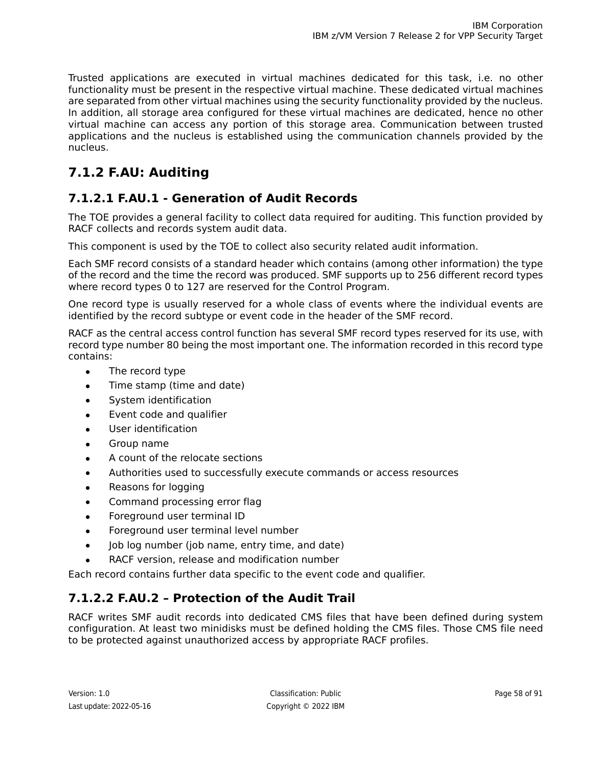Trusted applications are executed in virtual machines dedicated for this task, i.e. no other functionality must be present in the respective virtual machine. These dedicated virtual machines are separated from other virtual machines using the security functionality provided by the nucleus. In addition, all storage area configured for these virtual machines are dedicated, hence no other virtual machine can access any portion of this storage area. Communication between trusted applications and the nucleus is established using the communication channels provided by the nucleus.

## **7.1.2 F.AU: Auditing**

## **7.1.2.1 F.AU.1 - Generation of Audit Records**

The TOE provides a general facility to collect data required for auditing. This function provided by RACF collects and records system audit data.

This component is used by the TOE to collect also security related audit information.

Each SMF record consists of a standard header which contains (among other information) the type of the record and the time the record was produced. SMF supports up to 256 different record types where record types 0 to 127 are reserved for the Control Program.

One record type is usually reserved for a whole class of events where the individual events are identified by the record subtype or event code in the header of the SMF record.

RACF as the central access control function has several SMF record types reserved for its use, with record type number 80 being the most important one. The information recorded in this record type contains:

- The record type
- Time stamp (time and date)
- System identification
- Event code and qualifier
- User identification
- Group name
- A count of the relocate sections
- Authorities used to successfully execute commands or access resources
- Reasons for logging
- Command processing error flag
- Foreground user terminal ID
- Foreground user terminal level number
- (lob log number (job name, entry time, and date)
- RACF version, release and modification number

Each record contains further data specific to the event code and qualifier.

## **7.1.2.2 F.AU.2 – Protection of the Audit Trail**

RACF writes SMF audit records into dedicated CMS files that have been defined during system configuration. At least two minidisks must be defined holding the CMS files. Those CMS file need to be protected against unauthorized access by appropriate RACF profiles.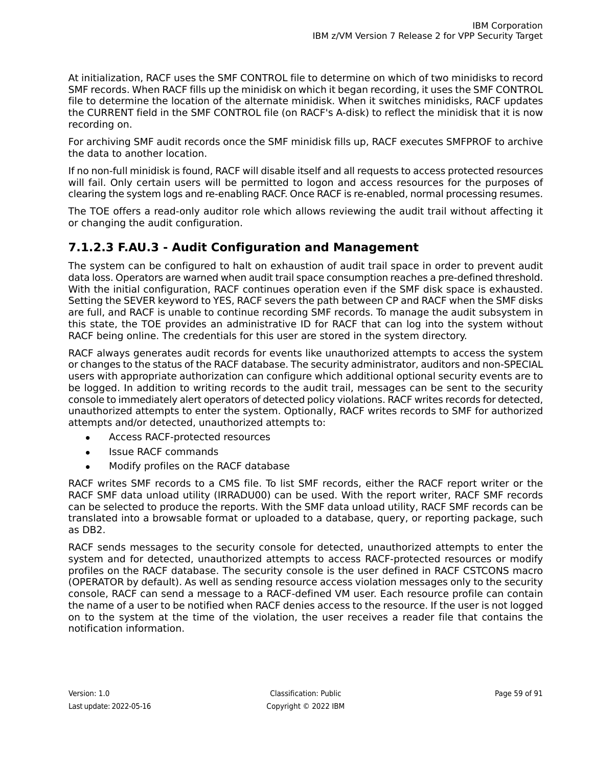At initialization, RACF uses the SMF CONTROL file to determine on which of two minidisks to record SMF records. When RACF fills up the minidisk on which it began recording, it uses the SMF CONTROL file to determine the location of the alternate minidisk. When it switches minidisks, RACF updates the CURRENT field in the SMF CONTROL file (on RACF's A-disk) to reflect the minidisk that it is now recording on.

For archiving SMF audit records once the SMF minidisk fills up, RACF executes SMFPROF to archive the data to another location.

If no non-full minidisk is found, RACF will disable itself and all requests to access protected resources will fail. Only certain users will be permitted to logon and access resources for the purposes of clearing the system logs and re-enabling RACF. Once RACF is re-enabled, normal processing resumes.

The TOE offers a read-only auditor role which allows reviewing the audit trail without affecting it or changing the audit configuration.

### **7.1.2.3 F.AU.3 - Audit Configuration and Management**

The system can be configured to halt on exhaustion of audit trail space in order to prevent audit data loss. Operators are warned when audit trail space consumption reaches a pre-defined threshold. With the initial configuration, RACF continues operation even if the SMF disk space is exhausted. Setting the SEVER keyword to YES, RACF severs the path between CP and RACF when the SMF disks are full, and RACF is unable to continue recording SMF records. To manage the audit subsystem in this state, the TOE provides an administrative ID for RACF that can log into the system without RACF being online. The credentials for this user are stored in the system directory.

RACF always generates audit records for events like unauthorized attempts to access the system or changes to the status of the RACF database. The security administrator, auditors and non-SPECIAL users with appropriate authorization can configure which additional optional security events are to be logged. In addition to writing records to the audit trail, messages can be sent to the security console to immediately alert operators of detected policy violations. RACF writes records for detected, unauthorized attempts to enter the system. Optionally, RACF writes records to SMF for authorized attempts and/or detected, unauthorized attempts to:

- Access RACF-protected resources
- **Issue RACF commands**
- Modify profiles on the RACF database

RACF writes SMF records to a CMS file. To list SMF records, either the RACF report writer or the RACF SMF data unload utility (IRRADU00) can be used. With the report writer, RACF SMF records can be selected to produce the reports. With the SMF data unload utility, RACF SMF records can be translated into a browsable format or uploaded to a database, query, or reporting package, such as DB2.

RACF sends messages to the security console for detected, unauthorized attempts to enter the system and for detected, unauthorized attempts to access RACF-protected resources or modify profiles on the RACF database. The security console is the user defined in RACF CSTCONS macro (OPERATOR by default). As well as sending resource access violation messages only to the security console, RACF can send a message to a RACF-defined VM user. Each resource profile can contain the name of a user to be notified when RACF denies access to the resource. If the user is not logged on to the system at the time of the violation, the user receives a reader file that contains the notification information.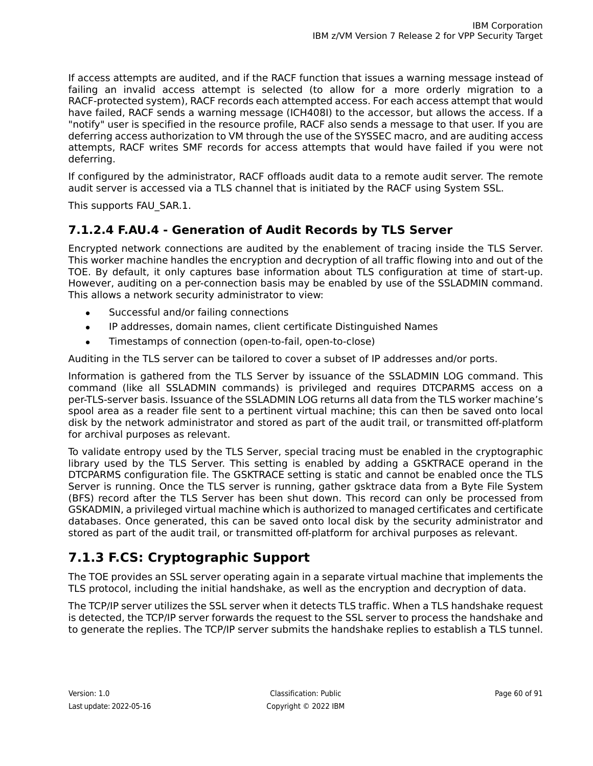If access attempts are audited, and if the RACF function that issues a warning message instead of failing an invalid access attempt is selected (to allow for a more orderly migration to a RACF-protected system), RACF records each attempted access. For each access attempt that would have failed, RACF sends a warning message (ICH408I) to the accessor, but allows the access. If a "notify" user is specified in the resource profile, RACF also sends a message to that user. If you are deferring access authorization to VM through the use of the SYSSEC macro, and are auditing access attempts, RACF writes SMF records for access attempts that would have failed if you were not deferring.

If configured by the administrator, RACF offloads audit data to a remote audit server. The remote audit server is accessed via a TLS channel that is initiated by the RACF using System SSL.

This supports FAU\_SAR.1.

## **7.1.2.4 F.AU.4 - Generation of Audit Records by TLS Server**

Encrypted network connections are audited by the enablement of tracing inside the TLS Server. This worker machine handles the encryption and decryption of all traffic flowing into and out of the TOE. By default, it only captures base information about TLS configuration at time of start-up. However, auditing on a per-connection basis may be enabled by use of the SSLADMIN command. This allows a network security administrator to view:

- Successful and/or failing connections
- IP addresses, domain names, client certificate Distinguished Names
- Timestamps of connection (open-to-fail, open-to-close)

Auditing in the TLS server can be tailored to cover a subset of IP addresses and/or ports.

Information is gathered from the TLS Server by issuance of the SSLADMIN LOG command. This command (like all SSLADMIN commands) is privileged and requires DTCPARMS access on a per-TLS-server basis. Issuance of the SSLADMIN LOG returns all data from the TLS worker machine's spool area as a reader file sent to a pertinent virtual machine; this can then be saved onto local disk by the network administrator and stored as part of the audit trail, or transmitted off-platform for archival purposes as relevant.

To validate entropy used by the TLS Server, special tracing must be enabled in the cryptographic library used by the TLS Server. This setting is enabled by adding a GSKTRACE operand in the DTCPARMS configuration file. The GSKTRACE setting is static and cannot be enabled once the TLS Server is running. Once the TLS server is running, gather gsktrace data from a Byte File System (BFS) record after the TLS Server has been shut down. This record can only be processed from GSKADMIN, a privileged virtual machine which is authorized to managed certificates and certificate databases. Once generated, this can be saved onto local disk by the security administrator and stored as part of the audit trail, or transmitted off-platform for archival purposes as relevant.

## **7.1.3 F.CS: Cryptographic Support**

The TOE provides an SSL server operating again in a separate virtual machine that implements the TLS protocol, including the initial handshake, as well as the encryption and decryption of data.

The TCP/IP server utilizes the SSL server when it detects TLS traffic. When a TLS handshake request is detected, the TCP/IP server forwards the request to the SSL server to process the handshake and to generate the replies. The TCP/IP server submits the handshake replies to establish a TLS tunnel.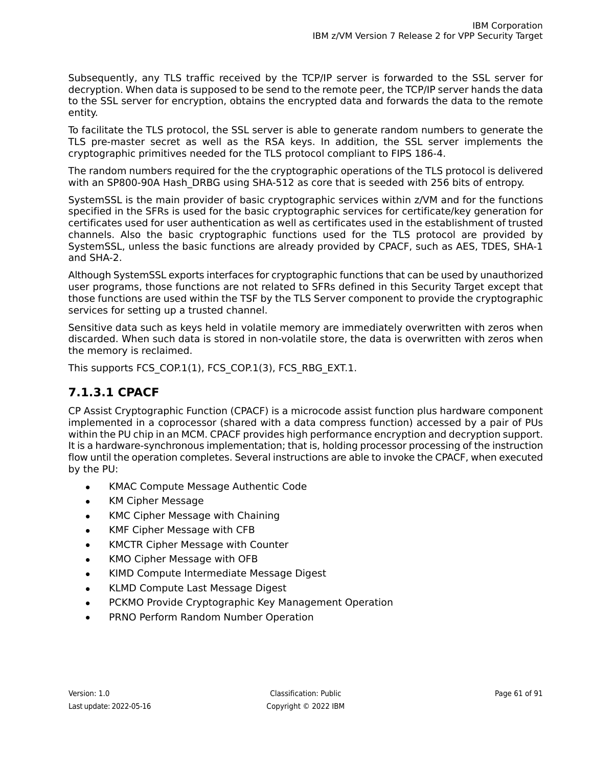Subsequently, any TLS traffic received by the TCP/IP server is forwarded to the SSL server for decryption. When data is supposed to be send to the remote peer, the TCP/IP server hands the data to the SSL server for encryption, obtains the encrypted data and forwards the data to the remote entity.

To facilitate the TLS protocol, the SSL server is able to generate random numbers to generate the TLS pre-master secret as well as the RSA keys. In addition, the SSL server implements the cryptographic primitives needed for the TLS protocol compliant to FIPS 186-4.

The random numbers required for the the cryptographic operations of the TLS protocol is delivered with an SP800-90A Hash DRBG using SHA-512 as core that is seeded with 256 bits of entropy.

SystemSSL is the main provider of basic cryptographic services within z/VM and for the functions specified in the SFRs is used for the basic cryptographic services for certificate/key generation for certificates used for user authentication as well as certificates used in the establishment of trusted channels. Also the basic cryptographic functions used for the TLS protocol are provided by SystemSSL, unless the basic functions are already provided by CPACF, such as AES, TDES, SHA-1 and SHA-2.

Although SystemSSL exports interfaces for cryptographic functions that can be used by unauthorized user programs, those functions are not related to SFRs defined in this Security Target except that those functions are used within the TSF by the TLS Server component to provide the cryptographic services for setting up a trusted channel.

Sensitive data such as keys held in volatile memory are immediately overwritten with zeros when discarded. When such data is stored in non-volatile store, the data is overwritten with zeros when the memory is reclaimed.

This supports FCS\_COP.1(1), FCS\_COP.1(3), FCS\_RBG\_EXT.1.

## **7.1.3.1 CPACF**

CP Assist Cryptographic Function (CPACF) is a microcode assist function plus hardware component implemented in a coprocessor (shared with a data compress function) accessed by a pair of PUs within the PU chip in an MCM. CPACF provides high performance encryption and decryption support. It is a hardware-synchronous implementation; that is, holding processor processing of the instruction flow until the operation completes. Several instructions are able to invoke the CPACF, when executed by the PU:

- KMAC Compute Message Authentic Code
- KM Cipher Message
- KMC Cipher Message with Chaining
- KMF Cipher Message with CFB
- KMCTR Cipher Message with Counter
- KMO Cipher Message with OFB
- KIMD Compute Intermediate Message Digest
- KLMD Compute Last Message Digest
- PCKMO Provide Cryptographic Key Management Operation
- PRNO Perform Random Number Operation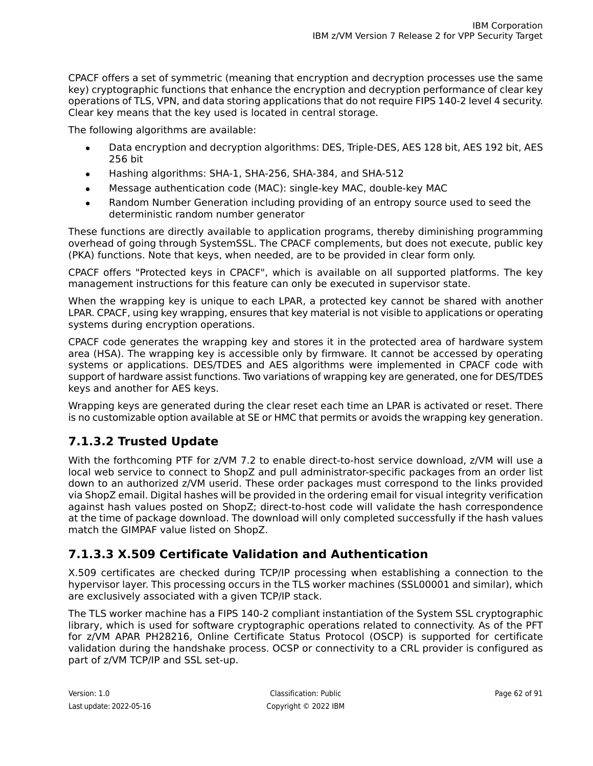CPACF offers a set of symmetric (meaning that encryption and decryption processes use the same key) cryptographic functions that enhance the encryption and decryption performance of clear key operations of TLS, VPN, and data storing applications that do not require FIPS 140-2 level 4 security. Clear key means that the key used is located in central storage.

The following algorithms are available:

- Data encryption and decryption algorithms: DES, Triple-DES, AES 128 bit, AES 192 bit, AES 256 bit
- Hashing algorithms: SHA-1, SHA-256, SHA-384, and SHA-512
- Message authentication code (MAC): single-key MAC, double-key MAC
- Random Number Generation including providing of an entropy source used to seed the deterministic random number generator

These functions are directly available to application programs, thereby diminishing programming overhead of going through SystemSSL. The CPACF complements, but does not execute, public key (PKA) functions. Note that keys, when needed, are to be provided in clear form only.

CPACF offers "Protected keys in CPACF", which is available on all supported platforms. The key management instructions for this feature can only be executed in supervisor state.

When the wrapping key is unique to each LPAR, a protected key cannot be shared with another LPAR. CPACF, using key wrapping, ensures that key material is not visible to applications or operating systems during encryption operations.

CPACF code generates the wrapping key and stores it in the protected area of hardware system area (HSA). The wrapping key is accessible only by firmware. It cannot be accessed by operating systems or applications. DES/TDES and AES algorithms were implemented in CPACF code with support of hardware assist functions. Two variations of wrapping key are generated, one for DES/TDES keys and another for AES keys.

Wrapping keys are generated during the clear reset each time an LPAR is activated or reset. There is no customizable option available at SE or HMC that permits or avoids the wrapping key generation.

## **7.1.3.2 Trusted Update**

With the forthcoming PTF for z/VM 7.2 to enable direct-to-host service download, z/VM will use a local web service to connect to ShopZ and pull administrator-specific packages from an order list down to an authorized z/VM userid. These order packages must correspond to the links provided via ShopZ email. Digital hashes will be provided in the ordering email for visual integrity verification against hash values posted on ShopZ; direct-to-host code will validate the hash correspondence at the time of package download. The download will only completed successfully if the hash values match the GIMPAF value listed on ShopZ.

## **7.1.3.3 X.509 Certificate Validation and Authentication**

X.509 certificates are checked during TCP/IP processing when establishing a connection to the hypervisor layer. This processing occurs in the TLS worker machines (SSL00001 and similar), which are exclusively associated with a given TCP/IP stack.

The TLS worker machine has a FIPS 140-2 compliant instantiation of the System SSL cryptographic library, which is used for software cryptographic operations related to connectivity. As of the PFT for z/VM APAR PH28216, Online Certificate Status Protocol (OSCP) is supported for certificate validation during the handshake process. OCSP or connectivity to a CRL provider is configured as part of z/VM TCP/IP and SSL set-up.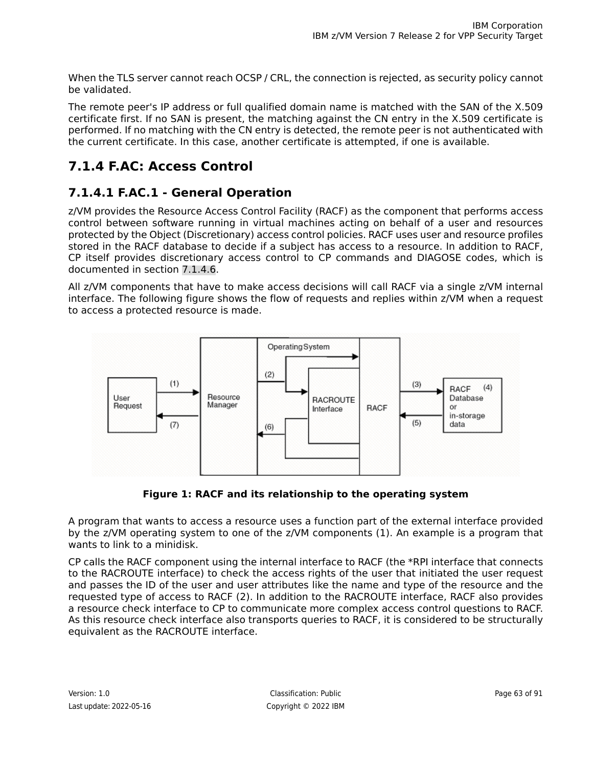When the TLS server cannot reach OCSP / CRL, the connection is rejected, as security policy cannot be validated.

The remote peer's IP address or full qualified domain name is matched with the SAN of the X.509 certificate first. If no SAN is present, the matching against the CN entry in the X.509 certificate is performed. If no matching with the CN entry is detected, the remote peer is not authenticated with the current certificate. In this case, another certificate is attempted, if one is available.

## **7.1.4 F.AC: Access Control**

## **7.1.4.1 F.AC.1 - General Operation**

z/VM provides the Resource Access Control Facility (RACF) as the component that performs access control between software running in virtual machines acting on behalf of a user and resources protected by the Object (Discretionary) access control policies. RACF uses user and resource profiles stored in the RACF database to decide if a subject has access to a resource. In addition to RACF, CP itself provides discretionary access control to CP commands and DIAGOSE codes, which is documented in section [7.1.4.6.](#page-69-0)

All z/VM components that have to make access decisions will call RACF via a single z/VM internal interface. The following figure shows the flow of requests and replies within z/VM when a request to access a protected resource is made.



**Figure 1: RACF and its relationship to the operating system**

A program that wants to access a resource uses a function part of the external interface provided by the z/VM operating system to one of the z/VM components (1). An example is a program that wants to link to a minidisk.

CP calls the RACF component using the internal interface to RACF (the \*RPI interface that connects to the RACROUTE interface) to check the access rights of the user that initiated the user request and passes the ID of the user and user attributes like the name and type of the resource and the requested type of access to RACF (2). In addition to the RACROUTE interface, RACF also provides a resource check interface to CP to communicate more complex access control questions to RACF. As this resource check interface also transports queries to RACF, it is considered to be structurally equivalent as the RACROUTE interface.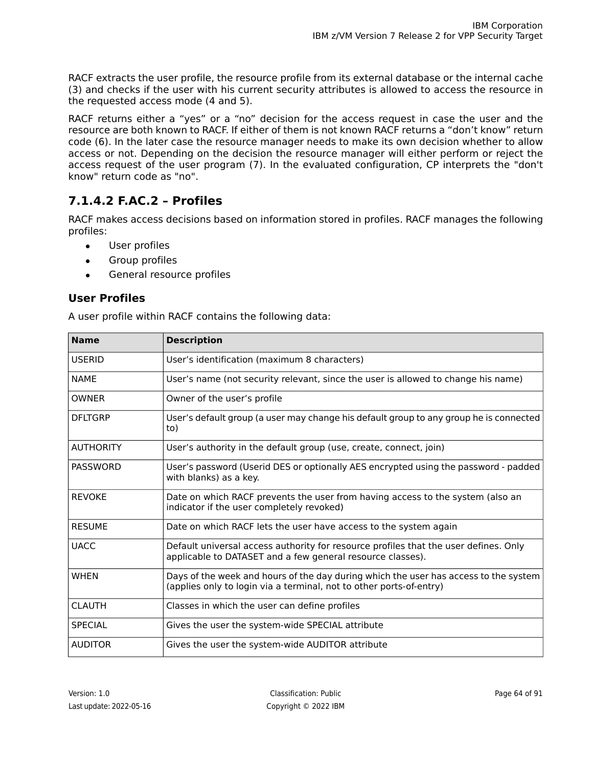RACF extracts the user profile, the resource profile from its external database or the internal cache (3) and checks if the user with his current security attributes is allowed to access the resource in the requested access mode (4 and 5).

RACF returns either a "yes" or a "no" decision for the access request in case the user and the resource are both known to RACF. If either of them is not known RACF returns a "don't know" return code (6). In the later case the resource manager needs to make its own decision whether to allow access or not. Depending on the decision the resource manager will either perform or reject the access request of the user program (7). In the evaluated configuration, CP interprets the "don't know" return code as "no".

## **7.1.4.2 F.AC.2 – Profiles**

RACF makes access decisions based on information stored in profiles. RACF manages the following profiles:

- User profiles
- Group profiles
- General resource profiles

### **User Profiles**

A user profile within RACF contains the following data:

| <b>Name</b>      | <b>Description</b>                                                                                                                                          |
|------------------|-------------------------------------------------------------------------------------------------------------------------------------------------------------|
| <b>USERID</b>    | User's identification (maximum 8 characters)                                                                                                                |
| <b>NAME</b>      | User's name (not security relevant, since the user is allowed to change his name)                                                                           |
| <b>OWNFR</b>     | Owner of the user's profile                                                                                                                                 |
| <b>DFLTGRP</b>   | User's default group (a user may change his default group to any group he is connected<br>to)                                                               |
| <b>AUTHORITY</b> | User's authority in the default group (use, create, connect, join)                                                                                          |
| <b>PASSWORD</b>  | User's password (Userid DES or optionally AES encrypted using the password - padded<br>with blanks) as a key.                                               |
| <b>REVOKE</b>    | Date on which RACF prevents the user from having access to the system (also an<br>indicator if the user completely revoked)                                 |
| <b>RESUME</b>    | Date on which RACF lets the user have access to the system again                                                                                            |
| <b>UACC</b>      | Default universal access authority for resource profiles that the user defines. Only<br>applicable to DATASET and a few general resource classes).          |
| <b>WHEN</b>      | Days of the week and hours of the day during which the user has access to the system<br>(applies only to login via a terminal, not to other ports-of-entry) |
| <b>CLAUTH</b>    | Classes in which the user can define profiles                                                                                                               |
| <b>SPECIAL</b>   | Gives the user the system-wide SPECIAL attribute                                                                                                            |
| <b>AUDITOR</b>   | Gives the user the system-wide AUDITOR attribute                                                                                                            |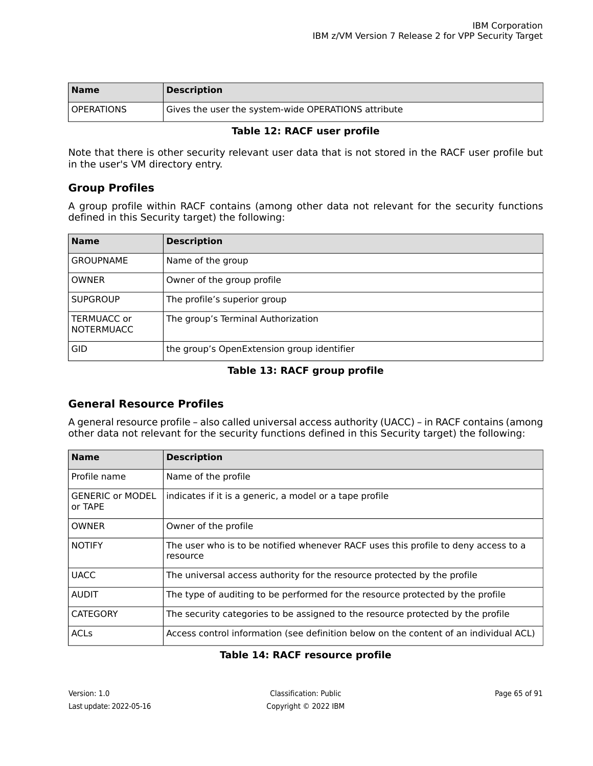| <b>Name</b>       | <b>Description</b>                                  |
|-------------------|-----------------------------------------------------|
| <b>OPERATIONS</b> | Gives the user the system-wide OPERATIONS attribute |

#### **Table 12: RACF user profile**

Note that there is other security relevant user data that is not stored in the RACF user profile but in the user's VM directory entry.

#### **Group Profiles**

A group profile within RACF contains (among other data not relevant for the security functions defined in this Security target) the following:

| <b>Name</b>                      | <b>Description</b>                         |
|----------------------------------|--------------------------------------------|
| <b>GROUPNAME</b>                 | Name of the group                          |
| <b>OWNER</b>                     | Owner of the group profile                 |
| <b>SUPGROUP</b>                  | The profile's superior group               |
| TERMUACC or<br><b>NOTERMUACC</b> | The group's Terminal Authorization         |
| <b>GID</b>                       | the group's OpenExtension group identifier |

#### **Table 13: RACF group profile**

### **General Resource Profiles**

A general resource profile – also called universal access authority (UACC) – in RACF contains (among other data not relevant for the security functions defined in this Security target) the following:

| <b>Name</b>                        | <b>Description</b>                                                                             |
|------------------------------------|------------------------------------------------------------------------------------------------|
| Profile name                       | Name of the profile                                                                            |
| <b>GENERIC or MODEL</b><br>or TAPE | indicates if it is a generic, a model or a tape profile                                        |
| <b>OWNER</b>                       | Owner of the profile                                                                           |
| <b>NOTIFY</b>                      | The user who is to be notified whenever RACF uses this profile to deny access to a<br>resource |
| <b>UACC</b>                        | The universal access authority for the resource protected by the profile                       |
| <b>AUDIT</b>                       | The type of auditing to be performed for the resource protected by the profile                 |
| <b>CATEGORY</b>                    | The security categories to be assigned to the resource protected by the profile                |
| <b>ACLs</b>                        | Access control information (see definition below on the content of an individual ACL)          |

#### **Table 14: RACF resource profile**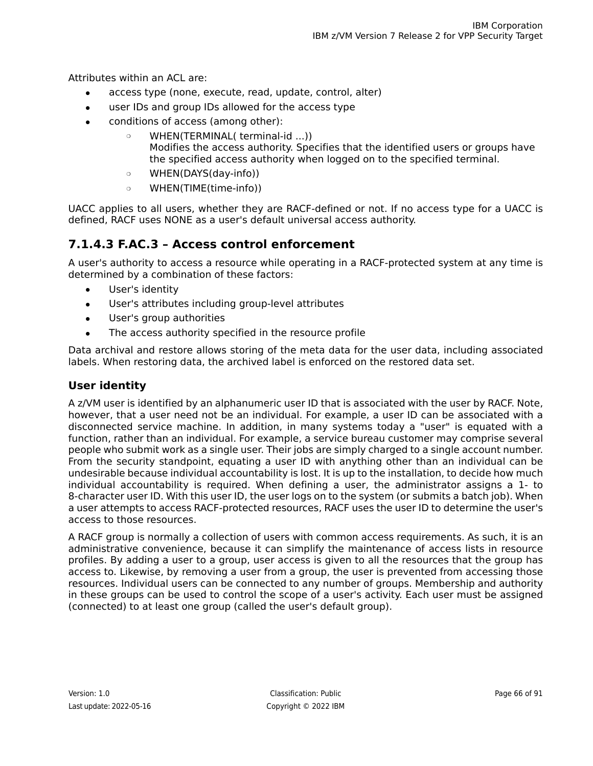Attributes within an ACL are:

- access type (none, execute, read, update, control, alter)
- user IDs and group IDs allowed for the access type
- conditions of access (among other):
	- ❍ WHEN(TERMINAL( terminal-id ...)) Modifies the access authority. Specifies that the identified users or groups have the specified access authority when logged on to the specified terminal.
	- ❍ WHEN(DAYS(day-info))
	- ❍ WHEN(TIME(time-info))

UACC applies to all users, whether they are RACF-defined or not. If no access type for a UACC is defined, RACF uses NONE as a user's default universal access authority.

### **7.1.4.3 F.AC.3 – Access control enforcement**

A user's authority to access a resource while operating in a RACF-protected system at any time is determined by a combination of these factors:

- User's identity
- User's attributes including group-level attributes
- User's group authorities
- The access authority specified in the resource profile

Data archival and restore allows storing of the meta data for the user data, including associated labels. When restoring data, the archived label is enforced on the restored data set.

### **User identity**

A z/VM user is identified by an alphanumeric user ID that is associated with the user by RACF. Note, however, that a user need not be an individual. For example, a user ID can be associated with a disconnected service machine. In addition, in many systems today a "user" is equated with a function, rather than an individual. For example, a service bureau customer may comprise several people who submit work as a single user. Their jobs are simply charged to a single account number. From the security standpoint, equating a user ID with anything other than an individual can be undesirable because individual accountability is lost. It is up to the installation, to decide how much individual accountability is required. When defining a user, the administrator assigns a 1- to 8-character user ID. With this user ID, the user logs on to the system (or submits a batch job). When a user attempts to access RACF-protected resources, RACF uses the user ID to determine the user's access to those resources.

A RACF group is normally a collection of users with common access requirements. As such, it is an administrative convenience, because it can simplify the maintenance of access lists in resource profiles. By adding a user to a group, user access is given to all the resources that the group has access to. Likewise, by removing a user from a group, the user is prevented from accessing those resources. Individual users can be connected to any number of groups. Membership and authority in these groups can be used to control the scope of a user's activity. Each user must be assigned (connected) to at least one group (called the user's default group).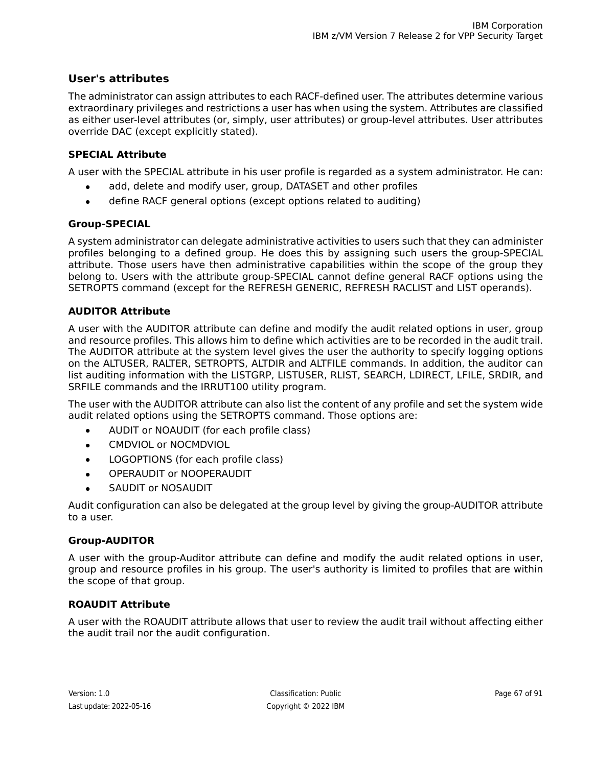### **User's attributes**

The administrator can assign attributes to each RACF-defined user. The attributes determine various extraordinary privileges and restrictions a user has when using the system. Attributes are classified as either user-level attributes (or, simply, user attributes) or group-level attributes. User attributes override DAC (except explicitly stated).

#### **SPECIAL Attribute**

A user with the SPECIAL attribute in his user profile is regarded as a system administrator. He can:

- add, delete and modify user, group, DATASET and other profiles
- define RACF general options (except options related to auditing)

#### **Group-SPECIAL**

A system administrator can delegate administrative activities to users such that they can administer profiles belonging to a defined group. He does this by assigning such users the group-SPECIAL attribute. Those users have then administrative capabilities within the scope of the group they belong to. Users with the attribute group-SPECIAL cannot define general RACF options using the SETROPTS command (except for the REFRESH GENERIC, REFRESH RACLIST and LIST operands).

### **AUDITOR Attribute**

A user with the AUDITOR attribute can define and modify the audit related options in user, group and resource profiles. This allows him to define which activities are to be recorded in the audit trail. The AUDITOR attribute at the system level gives the user the authority to specify logging options on the ALTUSER, RALTER, SETROPTS, ALTDIR and ALTFILE commands. In addition, the auditor can list auditing information with the LISTGRP, LISTUSER, RLIST, SEARCH, LDIRECT, LFILE, SRDIR, and SRFILE commands and the IRRUT100 utility program.

The user with the AUDITOR attribute can also list the content of any profile and set the system wide audit related options using the SETROPTS command. Those options are:

- AUDIT or NOAUDIT (for each profile class)
- CMDVIOL or NOCMDVIOL
- LOGOPTIONS (for each profile class)
- **OPERAUDIT or NOOPERAUDIT**
- SAUDIT or NOSAUDIT

Audit configuration can also be delegated at the group level by giving the group-AUDITOR attribute to a user.

### **Group-AUDITOR**

A user with the group-Auditor attribute can define and modify the audit related options in user, group and resource profiles in his group. The user's authority is limited to profiles that are within the scope of that group.

#### **ROAUDIT Attribute**

A user with the ROAUDIT attribute allows that user to review the audit trail without affecting either the audit trail nor the audit configuration.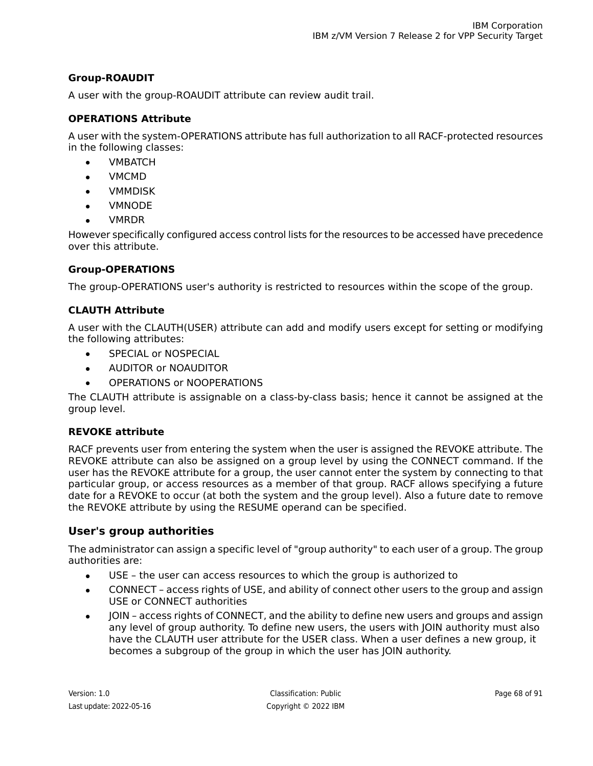### **Group-ROAUDIT**

A user with the group-ROAUDIT attribute can review audit trail.

#### **OPERATIONS Attribute**

A user with the system-OPERATIONS attribute has full authorization to all RACF-protected resources in the following classes:

- **VMBATCH**
- **VMCMD**
- **VMMDISK**
- **VMNODE**
- **VMRDR**

However specifically configured access control lists for the resources to be accessed have precedence over this attribute.

#### **Group-OPERATIONS**

The group-OPERATIONS user's authority is restricted to resources within the scope of the group.

#### **CLAUTH Attribute**

A user with the CLAUTH(USER) attribute can add and modify users except for setting or modifying the following attributes:

- SPECIAL or NOSPECIAL
- AUDITOR or NOAUDITOR
- OPERATIONS or NOOPERATIONS

The CLAUTH attribute is assignable on a class-by-class basis; hence it cannot be assigned at the group level.

#### **REVOKE attribute**

RACF prevents user from entering the system when the user is assigned the REVOKE attribute. The REVOKE attribute can also be assigned on a group level by using the CONNECT command. If the user has the REVOKE attribute for a group, the user cannot enter the system by connecting to that particular group, or access resources as a member of that group. RACF allows specifying a future date for a REVOKE to occur (at both the system and the group level). Also a future date to remove the REVOKE attribute by using the RESUME operand can be specified.

### **User's group authorities**

The administrator can assign a specific level of "group authority" to each user of a group. The group authorities are:

- USE the user can access resources to which the group is authorized to
- CONNECT access rights of USE, and ability of connect other users to the group and assign USE or CONNECT authorities
- JOIN access rights of CONNECT, and the ability to define new users and groups and assign any level of group authority. To define new users, the users with JOIN authority must also have the CLAUTH user attribute for the USER class. When a user defines a new group, it becomes a subgroup of the group in which the user has JOIN authority.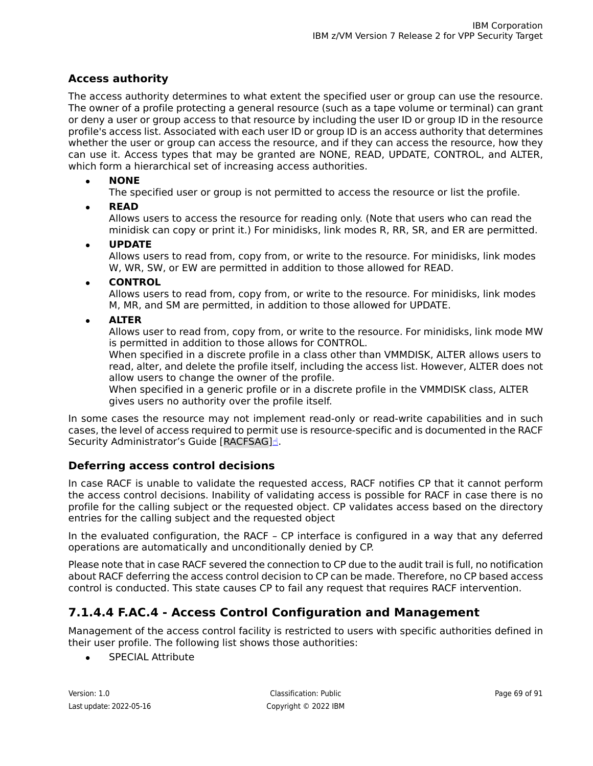### **Access authority**

The access authority determines to what extent the specified user or group can use the resource. The owner of a profile protecting a general resource (such as a tape volume or terminal) can grant or deny a user or group access to that resource by including the user ID or group ID in the resource profile's access list. Associated with each user ID or group ID is an access authority that determines whether the user or group can access the resource, and if they can access the resource, how they can use it. Access types that may be granted are NONE, READ, UPDATE, CONTROL, and ALTER, which form a hierarchical set of increasing access authorities.

● **NONE**

The specified user or group is not permitted to access the resource or list the profile.

● **READ**

Allows users to access the resource for reading only. (Note that users who can read the minidisk can copy or print it.) For minidisks, link modes R, RR, SR, and ER are permitted.

### ● **UPDATE**

Allows users to read from, copy from, or write to the resource. For minidisks, link modes W, WR, SW, or EW are permitted in addition to those allowed for READ.

#### ● **CONTROL**

Allows users to read from, copy from, or write to the resource. For minidisks, link modes M, MR, and SM are permitted, in addition to those allowed for UPDATE.

### ● **ALTER**

Allows user to read from, copy from, or write to the resource. For minidisks, link mode MW is permitted in addition to those allows for CONTROL.

When specified in a discrete profile in a class other than VMMDISK, ALTER allows users to read, alter, and delete the profile itself, including the access list. However, ALTER does not allow users to change the owner of the profile.

When specified in a generic profile or in a discrete profile in the VMMDISK class, ALTER gives users no authority over the profile itself.

In some cases the resource may not implement read-only or read-write capabilities and in such cases, the level of access required to permit use is resource-specific and is documented in the RACF Security Administrator's Guide [\[RACFSAG\]](#page-90-2)[☝](https://www-01.ibm.com/servers/resourcelink/svc0302a.nsf/pages/zVMV7R1sc246308/$file/icha1_v7r1.pdf).

### **Deferring access control decisions**

In case RACF is unable to validate the requested access, RACF notifies CP that it cannot perform the access control decisions. Inability of validating access is possible for RACF in case there is no profile for the calling subject or the requested object. CP validates access based on the directory entries for the calling subject and the requested object

In the evaluated configuration, the RACF – CP interface is configured in a way that any deferred operations are automatically and unconditionally denied by CP.

Please note that in case RACF severed the connection to CP due to the audit trail is full, no notification about RACF deferring the access control decision to CP can be made. Therefore, no CP based access control is conducted. This state causes CP to fail any request that requires RACF intervention.

## **7.1.4.4 F.AC.4 - Access Control Configuration and Management**

Management of the access control facility is restricted to users with specific authorities defined in their user profile. The following list shows those authorities:

• SPECIAL Attribute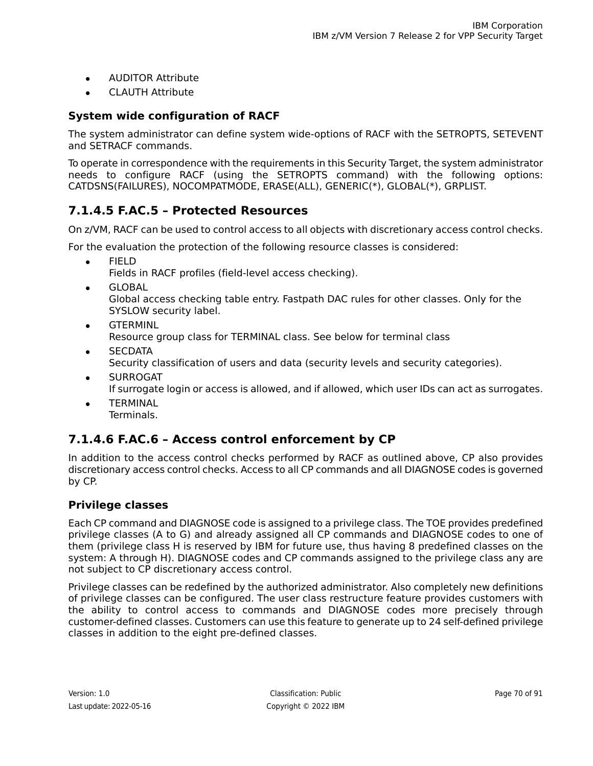- AUDITOR Attribute
- CLAUTH Attribute

### **System wide configuration of RACF**

The system administrator can define system wide-options of RACF with the SETROPTS, SETEVENT and SETRACF commands.

To operate in correspondence with the requirements in this Security Target, the system administrator needs to configure RACF (using the SETROPTS command) with the following options: CATDSNS(FAILURES), NOCOMPATMODE, ERASE(ALL), GENERIC(\*), GLOBAL(\*), GRPLIST.

### **7.1.4.5 F.AC.5 – Protected Resources**

On z/VM, RACF can be used to control access to all objects with discretionary access control checks.

For the evaluation the protection of the following resource classes is considered:

● FIELD

Fields in RACF profiles (field-level access checking).

● GLOBAL

Global access checking table entry. Fastpath DAC rules for other classes. Only for the SYSLOW security label.

- **•** GTERMINL Resource group class for TERMINAL class. See below for terminal class
- **SECDATA** Security classification of users and data (security levels and security categories).
- **SURROGAT** If surrogate login or access is allowed, and if allowed, which user IDs can act as surrogates.
- <span id="page-69-0"></span>**TERMINAL** Terminals.

### **7.1.4.6 F.AC.6 – Access control enforcement by CP**

In addition to the access control checks performed by RACF as outlined above, CP also provides discretionary access control checks. Access to all CP commands and all DIAGNOSE codes is governed by CP.

### **Privilege classes**

Each CP command and DIAGNOSE code is assigned to a privilege class. The TOE provides predefined privilege classes (A to G) and already assigned all CP commands and DIAGNOSE codes to one of them (privilege class H is reserved by IBM for future use, thus having 8 predefined classes on the system: A through H). DIAGNOSE codes and CP commands assigned to the privilege class any are not subject to CP discretionary access control.

Privilege classes can be redefined by the authorized administrator. Also completely new definitions of privilege classes can be configured. The user class restructure feature provides customers with the ability to control access to commands and DIAGNOSE codes more precisely through customer-defined classes. Customers can use this feature to generate up to 24 self-defined privilege classes in addition to the eight pre-defined classes.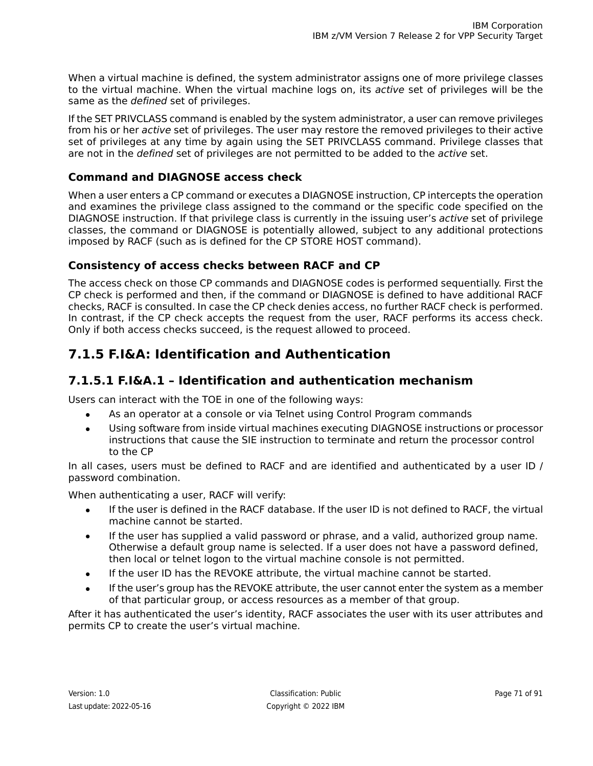When a virtual machine is defined, the system administrator assigns one of more privilege classes to the virtual machine. When the virtual machine logs on, its *active* set of privileges will be the same as the *defined* set of privileges.

If the SET PRIVCLASS command is enabled by the system administrator, a user can remove privileges from his or her active set of privileges. The user may restore the removed privileges to their active set of privileges at any time by again using the SET PRIVCLASS command. Privilege classes that are not in the *defined* set of privileges are not permitted to be added to the *active* set.

### **Command and DIAGNOSE access check**

When a user enters a CP command or executes a DIAGNOSE instruction, CP intercepts the operation and examines the privilege class assigned to the command or the specific code specified on the DIAGNOSE instruction. If that privilege class is currently in the issuing user's active set of privilege classes, the command or DIAGNOSE is potentially allowed, subject to any additional protections imposed by RACF (such as is defined for the CP STORE HOST command).

### **Consistency of access checks between RACF and CP**

The access check on those CP commands and DIAGNOSE codes is performed sequentially. First the CP check is performed and then, if the command or DIAGNOSE is defined to have additional RACF checks, RACF is consulted. In case the CP check denies access, no further RACF check is performed. In contrast, if the CP check accepts the request from the user, RACF performs its access check. Only if both access checks succeed, is the request allowed to proceed.

## **7.1.5 F.I&A: Identification and Authentication**

### **7.1.5.1 F.I&A.1 – Identification and authentication mechanism**

Users can interact with the TOE in one of the following ways:

- As an operator at a console or via Telnet using Control Program commands
- Using software from inside virtual machines executing DIAGNOSE instructions or processor instructions that cause the SIE instruction to terminate and return the processor control to the CP

In all cases, users must be defined to RACF and are identified and authenticated by a user ID / password combination.

When authenticating a user, RACF will verify:

- If the user is defined in the RACF database. If the user ID is not defined to RACF, the virtual machine cannot be started.
- If the user has supplied a valid password or phrase, and a valid, authorized group name. Otherwise a default group name is selected. If a user does not have a password defined, then local or telnet logon to the virtual machine console is not permitted.
- If the user ID has the REVOKE attribute, the virtual machine cannot be started.
- If the user's group has the REVOKE attribute, the user cannot enter the system as a member of that particular group, or access resources as a member of that group.

After it has authenticated the user's identity, RACF associates the user with its user attributes and permits CP to create the user's virtual machine.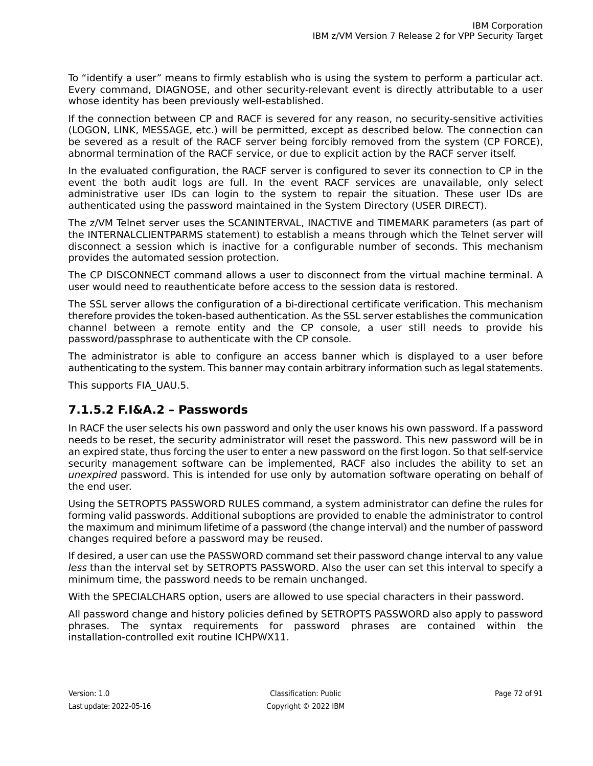To "identify a user" means to firmly establish who is using the system to perform a particular act. Every command, DIAGNOSE, and other security-relevant event is directly attributable to a user whose identity has been previously well-established.

If the connection between CP and RACF is severed for any reason, no security-sensitive activities (LOGON, LINK, MESSAGE, etc.) will be permitted, except as described below. The connection can be severed as a result of the RACF server being forcibly removed from the system (CP FORCE), abnormal termination of the RACF service, or due to explicit action by the RACF server itself.

In the evaluated configuration, the RACF server is configured to sever its connection to CP in the event the both audit logs are full. In the event RACF services are unavailable, only select administrative user IDs can login to the system to repair the situation. These user IDs are authenticated using the password maintained in the System Directory (USER DIRECT).

The z/VM Telnet server uses the SCANINTERVAL, INACTIVE and TIMEMARK parameters (as part of the INTERNALCLIENTPARMS statement) to establish a means through which the Telnet server will disconnect a session which is inactive for a configurable number of seconds. This mechanism provides the automated session protection.

The CP DISCONNECT command allows a user to disconnect from the virtual machine terminal. A user would need to reauthenticate before access to the session data is restored.

The SSL server allows the configuration of a bi-directional certificate verification. This mechanism therefore provides the token-based authentication. As the SSL server establishes the communication channel between a remote entity and the CP console, a user still needs to provide his password/passphrase to authenticate with the CP console.

The administrator is able to configure an access banner which is displayed to a user before authenticating to the system. This banner may contain arbitrary information such as legal statements.

This supports FIA\_UAU.5.

### **7.1.5.2 F.I&A.2 – Passwords**

In RACF the user selects his own password and only the user knows his own password. If a password needs to be reset, the security administrator will reset the password. This new password will be in an expired state, thus forcing the user to enter a new password on the first logon. So that self-service security management software can be implemented, RACF also includes the ability to set an unexpired password. This is intended for use only by automation software operating on behalf of the end user.

Using the SETROPTS PASSWORD RULES command, a system administrator can define the rules for forming valid passwords. Additional suboptions are provided to enable the administrator to control the maximum and minimum lifetime of a password (the change interval) and the number of password changes required before a password may be reused.

If desired, a user can use the PASSWORD command set their password change interval to any value less than the interval set by SETROPTS PASSWORD. Also the user can set this interval to specify a minimum time, the password needs to be remain unchanged.

With the SPECIALCHARS option, users are allowed to use special characters in their password.

All password change and history policies defined by SETROPTS PASSWORD also apply to password phrases. The syntax requirements for password phrases are contained within the installation-controlled exit routine ICHPWX11.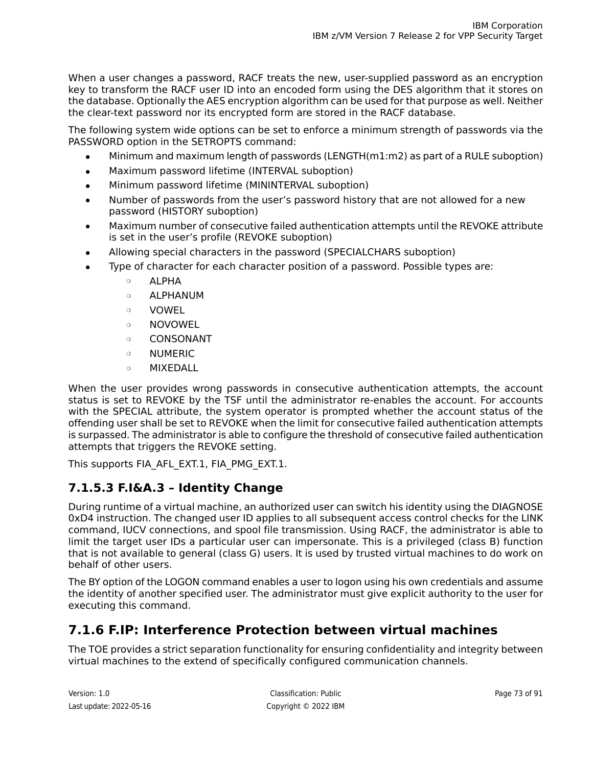When a user changes a password, RACF treats the new, user-supplied password as an encryption key to transform the RACF user ID into an encoded form using the DES algorithm that it stores on the database. Optionally the AES encryption algorithm can be used for that purpose as well. Neither the clear-text password nor its encrypted form are stored in the RACF database.

The following system wide options can be set to enforce a minimum strength of passwords via the PASSWORD option in the SETROPTS command:

- Minimum and maximum length of passwords (LENGTH $(m1:m2)$  as part of a RULE suboption)
- Maximum password lifetime (INTERVAL suboption)
- Minimum password lifetime (MININTERVAL suboption)
- Number of passwords from the user's password history that are not allowed for a new password (HISTORY suboption)
- Maximum number of consecutive failed authentication attempts until the REVOKE attribute is set in the user's profile (REVOKE suboption)
- Allowing special characters in the password (SPECIALCHARS suboption)
- Type of character for each character position of a password. Possible types are:
	- ❍ ALPHA
	- ❍ ALPHANUM
	- ❍ VOWEL
	- ❍ NOVOWEL
	- ❍ CONSONANT
	- ❍ NUMERIC
	- ❍ MIXEDALL

When the user provides wrong passwords in consecutive authentication attempts, the account status is set to REVOKE by the TSF until the administrator re-enables the account. For accounts with the SPECIAL attribute, the system operator is prompted whether the account status of the offending user shall be set to REVOKE when the limit for consecutive failed authentication attempts is surpassed. The administrator is able to configure the threshold of consecutive failed authentication attempts that triggers the REVOKE setting.

This supports FIA\_AFL\_EXT.1, FIA\_PMG\_EXT.1.

### **7.1.5.3 F.I&A.3 – Identity Change**

During runtime of a virtual machine, an authorized user can switch his identity using the DIAGNOSE 0xD4 instruction. The changed user ID applies to all subsequent access control checks for the LINK command, IUCV connections, and spool file transmission. Using RACF, the administrator is able to limit the target user IDs a particular user can impersonate. This is a privileged (class B) function that is not available to general (class G) users. It is used by trusted virtual machines to do work on behalf of other users.

<span id="page-72-0"></span>The BY option of the LOGON command enables a user to logon using his own credentials and assume the identity of another specified user. The administrator must give explicit authority to the user for executing this command.

## **7.1.6 F.IP: Interference Protection between virtual machines**

The TOE provides a strict separation functionality for ensuring confidentiality and integrity between virtual machines to the extend of specifically configured communication channels.

Last update: 2022-05-16 Copyright © 2022 IBM

Version: 1.0 Page 73 of 91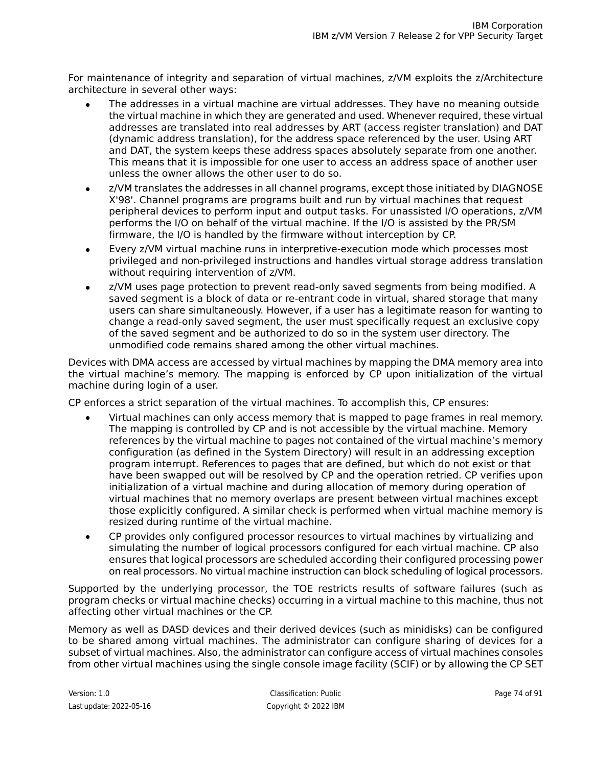For maintenance of integrity and separation of virtual machines, z/VM exploits the z/Architecture architecture in several other ways:

- The addresses in a virtual machine are virtual addresses. They have no meaning outside the virtual machine in which they are generated and used. Whenever required, these virtual addresses are translated into real addresses by ART (access register translation) and DAT (dynamic address translation), for the address space referenced by the user. Using ART and DAT, the system keeps these address spaces absolutely separate from one another. This means that it is impossible for one user to access an address space of another user unless the owner allows the other user to do so.
- z/VM translates the addresses in all channel programs, except those initiated by DIAGNOSE X'98'. Channel programs are programs built and run by virtual machines that request peripheral devices to perform input and output tasks. For unassisted I/O operations, z/VM performs the I/O on behalf of the virtual machine. If the I/O is assisted by the PR/SM firmware, the I/O is handled by the firmware without interception by CP.
- Every z/VM virtual machine runs in interpretive-execution mode which processes most privileged and non-privileged instructions and handles virtual storage address translation without requiring intervention of z/VM.
- z/VM uses page protection to prevent read-only saved segments from being modified. A saved segment is a block of data or re-entrant code in virtual, shared storage that many users can share simultaneously. However, if a user has a legitimate reason for wanting to change a read-only saved segment, the user must specifically request an exclusive copy of the saved segment and be authorized to do so in the system user directory. The unmodified code remains shared among the other virtual machines.

Devices with DMA access are accessed by virtual machines by mapping the DMA memory area into the virtual machine's memory. The mapping is enforced by CP upon initialization of the virtual machine during login of a user.

CP enforces a strict separation of the virtual machines. To accomplish this, CP ensures:

- Virtual machines can only access memory that is mapped to page frames in real memory. The mapping is controlled by CP and is not accessible by the virtual machine. Memory references by the virtual machine to pages not contained of the virtual machine's memory configuration (as defined in the System Directory) will result in an addressing exception program interrupt. References to pages that are defined, but which do not exist or that have been swapped out will be resolved by CP and the operation retried. CP verifies upon initialization of a virtual machine and during allocation of memory during operation of virtual machines that no memory overlaps are present between virtual machines except those explicitly configured. A similar check is performed when virtual machine memory is resized during runtime of the virtual machine.
- CP provides only configured processor resources to virtual machines by virtualizing and simulating the number of logical processors configured for each virtual machine. CP also ensures that logical processors are scheduled according their configured processing power on real processors. No virtual machine instruction can block scheduling of logical processors.

Supported by the underlying processor, the TOE restricts results of software failures (such as program checks or virtual machine checks) occurring in a virtual machine to this machine, thus not affecting other virtual machines or the CP.

Memory as well as DASD devices and their derived devices (such as minidisks) can be configured to be shared among virtual machines. The administrator can configure sharing of devices for a subset of virtual machines. Also, the administrator can configure access of virtual machines consoles from other virtual machines using the single console image facility (SCIF) or by allowing the CP SET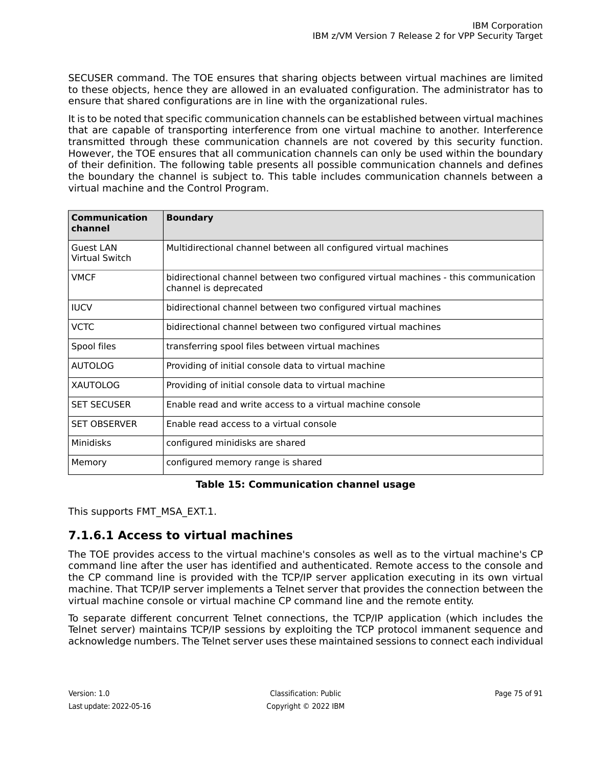SECUSER command. The TOE ensures that sharing objects between virtual machines are limited to these objects, hence they are allowed in an evaluated configuration. The administrator has to ensure that shared configurations are in line with the organizational rules.

It is to be noted that specific communication channels can be established between virtual machines that are capable of transporting interference from one virtual machine to another. Interference transmitted through these communication channels are not covered by this security function. However, the TOE ensures that all communication channels can only be used within the boundary of their definition. The following table presents all possible communication channels and defines the boundary the channel is subject to. This table includes communication channels between a virtual machine and the Control Program.

| Communication<br>channel                  | <b>Boundary</b>                                                                                             |  |
|-------------------------------------------|-------------------------------------------------------------------------------------------------------------|--|
| <b>Guest LAN</b><br><b>Virtual Switch</b> | Multidirectional channel between all configured virtual machines                                            |  |
| <b>VMCF</b>                               | bidirectional channel between two configured virtual machines - this communication<br>channel is deprecated |  |
| <b>IUCV</b>                               | bidirectional channel between two configured virtual machines                                               |  |
| <b>VCTC</b>                               | bidirectional channel between two configured virtual machines                                               |  |
| Spool files                               | transferring spool files between virtual machines                                                           |  |
| <b>AUTOLOG</b>                            | Providing of initial console data to virtual machine                                                        |  |
| <b>XAUTOLOG</b>                           | Providing of initial console data to virtual machine                                                        |  |
| <b>SET SECUSER</b>                        | Enable read and write access to a virtual machine console                                                   |  |
| <b>SET OBSERVER</b>                       | Enable read access to a virtual console                                                                     |  |
| Minidisks                                 | configured minidisks are shared                                                                             |  |
| Memory                                    | configured memory range is shared                                                                           |  |

#### **Table 15: Communication channel usage**

<span id="page-74-0"></span>This supports FMT\_MSA\_EXT.1.

#### **7.1.6.1 Access to virtual machines**

The TOE provides access to the virtual machine's consoles as well as to the virtual machine's CP command line after the user has identified and authenticated. Remote access to the console and the CP command line is provided with the TCP/IP server application executing in its own virtual machine. That TCP/IP server implements a Telnet server that provides the connection between the virtual machine console or virtual machine CP command line and the remote entity.

To separate different concurrent Telnet connections, the TCP/IP application (which includes the Telnet server) maintains TCP/IP sessions by exploiting the TCP protocol immanent sequence and acknowledge numbers. The Telnet server uses these maintained sessions to connect each individual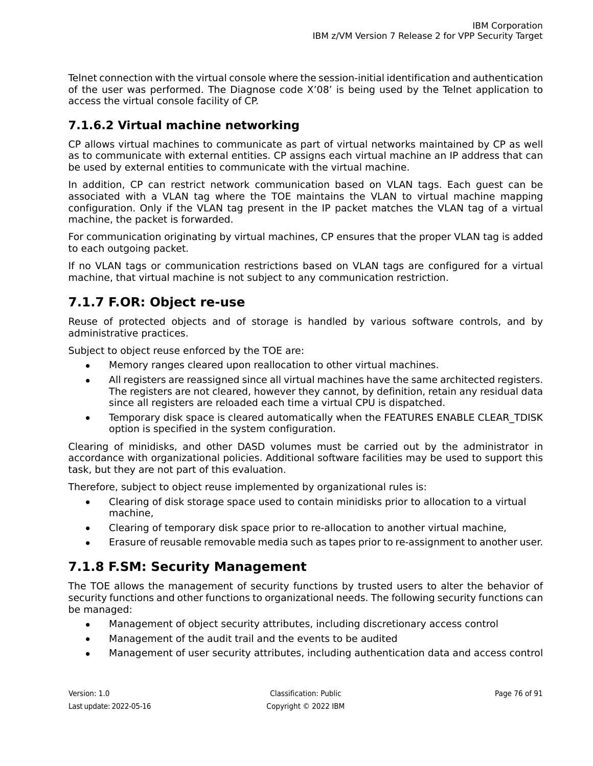Telnet connection with the virtual console where the session-initial identification and authentication of the user was performed. The Diagnose code X'08' is being used by the Telnet application to access the virtual console facility of CP.

#### **7.1.6.2 Virtual machine networking**

CP allows virtual machines to communicate as part of virtual networks maintained by CP as well as to communicate with external entities. CP assigns each virtual machine an IP address that can be used by external entities to communicate with the virtual machine.

In addition, CP can restrict network communication based on VLAN tags. Each guest can be associated with a VLAN tag where the TOE maintains the VLAN to virtual machine mapping configuration. Only if the VLAN tag present in the IP packet matches the VLAN tag of a virtual machine, the packet is forwarded.

For communication originating by virtual machines, CP ensures that the proper VLAN tag is added to each outgoing packet.

<span id="page-75-0"></span>If no VLAN tags or communication restrictions based on VLAN tags are configured for a virtual machine, that virtual machine is not subject to any communication restriction.

### **7.1.7 F.OR: Object re-use**

Reuse of protected objects and of storage is handled by various software controls, and by administrative practices.

Subject to object reuse enforced by the TOE are:

- Memory ranges cleared upon reallocation to other virtual machines.
- All registers are reassigned since all virtual machines have the same architected registers. The registers are not cleared, however they cannot, by definition, retain any residual data since all registers are reloaded each time a virtual CPU is dispatched.
- Temporary disk space is cleared automatically when the FEATURES ENABLE CLEAR TDISK option is specified in the system configuration.

Clearing of minidisks, and other DASD volumes must be carried out by the administrator in accordance with organizational policies. Additional software facilities may be used to support this task, but they are not part of this evaluation.

<span id="page-75-1"></span>Therefore, subject to object reuse implemented by organizational rules is:

- Clearing of disk storage space used to contain minidisks prior to allocation to a virtual machine,
- Clearing of temporary disk space prior to re-allocation to another virtual machine,
- Erasure of reusable removable media such as tapes prior to re-assignment to another user.

### **7.1.8 F.SM: Security Management**

The TOE allows the management of security functions by trusted users to alter the behavior of security functions and other functions to organizational needs. The following security functions can be managed:

- Management of object security attributes, including discretionary access control
- Management of the audit trail and the events to be audited
- Management of user security attributes, including authentication data and access control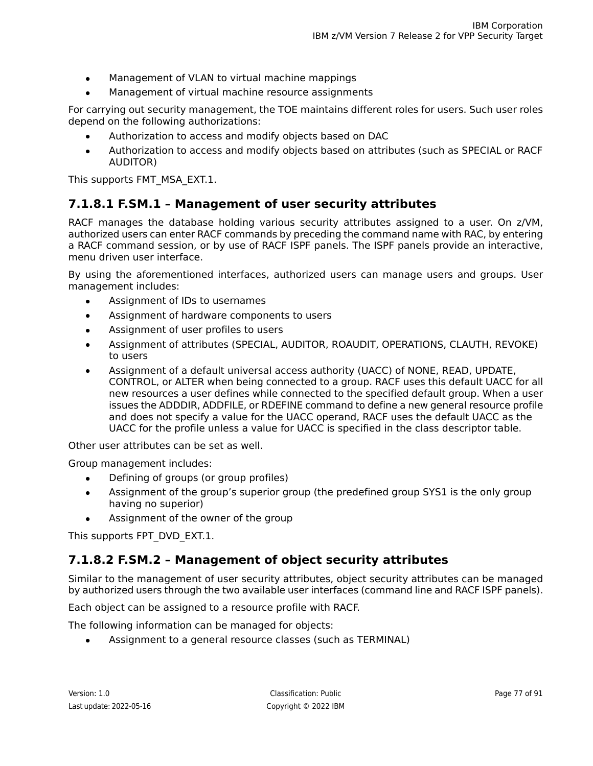- Management of VLAN to virtual machine mappings
- Management of virtual machine resource assignments

For carrying out security management, the TOE maintains different roles for users. Such user roles depend on the following authorizations:

- Authorization to access and modify objects based on DAC
- Authorization to access and modify objects based on attributes (such as SPECIAL or RACF AUDITOR)

This supports FMT\_MSA\_EXT.1.

#### **7.1.8.1 F.SM.1 – Management of user security attributes**

RACF manages the database holding various security attributes assigned to a user. On z/VM, authorized users can enter RACF commands by preceding the command name with RAC, by entering a RACF command session, or by use of RACF ISPF panels. The ISPF panels provide an interactive, menu driven user interface.

By using the aforementioned interfaces, authorized users can manage users and groups. User management includes:

- Assignment of IDs to usernames
- Assignment of hardware components to users
- Assignment of user profiles to users
- Assignment of attributes (SPECIAL, AUDITOR, ROAUDIT, OPERATIONS, CLAUTH, REVOKE) to users
- Assignment of a default universal access authority (UACC) of NONE, READ, UPDATE, CONTROL, or ALTER when being connected to a group. RACF uses this default UACC for all new resources a user defines while connected to the specified default group. When a user issues the ADDDIR, ADDFILE, or RDEFINE command to define a new general resource profile and does not specify a value for the UACC operand, RACF uses the default UACC as the UACC for the profile unless a value for UACC is specified in the class descriptor table.

Other user attributes can be set as well.

Group management includes:

- Defining of groups (or group profiles)
- Assignment of the group's superior group (the predefined group SYS1 is the only group having no superior)
- Assignment of the owner of the group

This supports FPT\_DVD\_EXT.1.

#### **7.1.8.2 F.SM.2 – Management of object security attributes**

Similar to the management of user security attributes, object security attributes can be managed by authorized users through the two available user interfaces (command line and RACF ISPF panels).

Each object can be assigned to a resource profile with RACF.

The following information can be managed for objects:

● Assignment to a general resource classes (such as TERMINAL)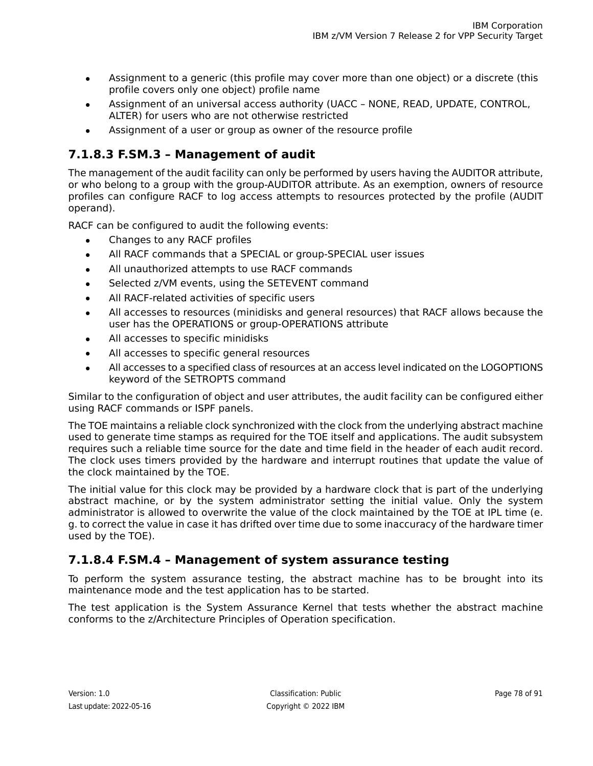- Assignment to a generic (this profile may cover more than one object) or a discrete (this profile covers only one object) profile name
- Assignment of an universal access authority (UACC NONE, READ, UPDATE, CONTROL, ALTER) for users who are not otherwise restricted
- Assignment of a user or group as owner of the resource profile

#### **7.1.8.3 F.SM.3 – Management of audit**

The management of the audit facility can only be performed by users having the AUDITOR attribute, or who belong to a group with the group-AUDITOR attribute. As an exemption, owners of resource profiles can configure RACF to log access attempts to resources protected by the profile (AUDIT operand).

RACF can be configured to audit the following events:

- Changes to any RACF profiles
- All RACF commands that a SPECIAL or group-SPECIAL user issues
- All unauthorized attempts to use RACF commands
- Selected z/VM events, using the SETEVENT command
- All RACF-related activities of specific users
- All accesses to resources (minidisks and general resources) that RACF allows because the user has the OPERATIONS or group-OPERATIONS attribute
- All accesses to specific minidisks
- All accesses to specific general resources
- All accesses to a specified class of resources at an access level indicated on the LOGOPTIONS keyword of the SETROPTS command

Similar to the configuration of object and user attributes, the audit facility can be configured either using RACF commands or ISPF panels.

The TOE maintains a reliable clock synchronized with the clock from the underlying abstract machine used to generate time stamps as required for the TOE itself and applications. The audit subsystem requires such a reliable time source for the date and time field in the header of each audit record. The clock uses timers provided by the hardware and interrupt routines that update the value of the clock maintained by the TOE.

The initial value for this clock may be provided by a hardware clock that is part of the underlying abstract machine, or by the system administrator setting the initial value. Only the system administrator is allowed to overwrite the value of the clock maintained by the TOE at IPL time (e. g. to correct the value in case it has drifted over time due to some inaccuracy of the hardware timer used by the TOE).

#### **7.1.8.4 F.SM.4 – Management of system assurance testing**

To perform the system assurance testing, the abstract machine has to be brought into its maintenance mode and the test application has to be started.

The test application is the System Assurance Kernel that tests whether the abstract machine conforms to the z/Architecture Principles of Operation specification.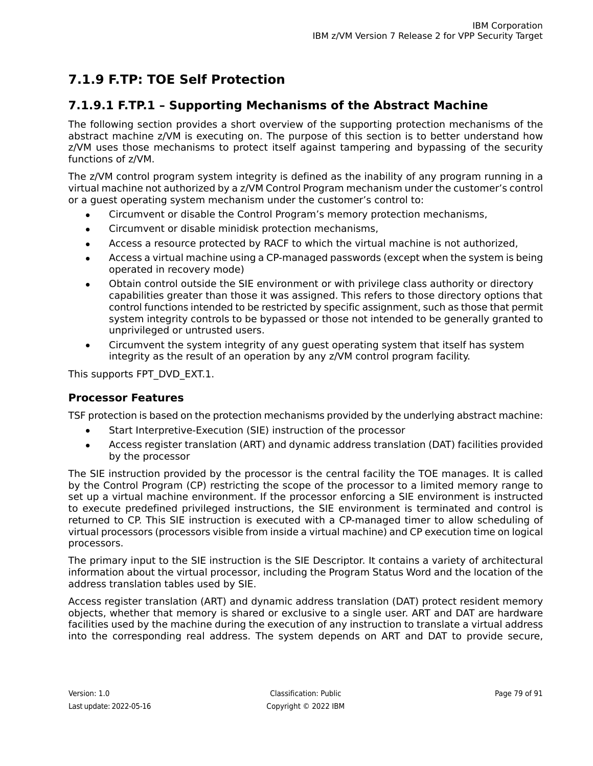# <span id="page-78-1"></span>**7.1.9 F.TP: TOE Self Protection**

#### <span id="page-78-0"></span>**7.1.9.1 F.TP.1 – Supporting Mechanisms of the Abstract Machine**

The following section provides a short overview of the supporting protection mechanisms of the abstract machine z/VM is executing on. The purpose of this section is to better understand how z/VM uses those mechanisms to protect itself against tampering and bypassing of the security functions of z/VM.

The z/VM control program system integrity is defined as the inability of any program running in a virtual machine not authorized by a z/VM Control Program mechanism under the customer's control or a guest operating system mechanism under the customer's control to:

- Circumvent or disable the Control Program's memory protection mechanisms,
- Circumvent or disable minidisk protection mechanisms,
- Access a resource protected by RACF to which the virtual machine is not authorized,
- Access a virtual machine using a CP-managed passwords (except when the system is being operated in recovery mode)
- Obtain control outside the SIE environment or with privilege class authority or directory capabilities greater than those it was assigned. This refers to those directory options that control functions intended to be restricted by specific assignment, such as those that permit system integrity controls to be bypassed or those not intended to be generally granted to unprivileged or untrusted users.
- Circumvent the system integrity of any quest operating system that itself has system integrity as the result of an operation by any z/VM control program facility.

This supports FPT\_DVD\_EXT.1.

#### **Processor Features**

TSF protection is based on the protection mechanisms provided by the underlying abstract machine:

- Start Interpretive-Execution (SIE) instruction of the processor
- Access register translation (ART) and dynamic address translation (DAT) facilities provided by the processor

The SIE instruction provided by the processor is the central facility the TOE manages. It is called by the Control Program (CP) restricting the scope of the processor to a limited memory range to set up a virtual machine environment. If the processor enforcing a SIE environment is instructed to execute predefined privileged instructions, the SIE environment is terminated and control is returned to CP. This SIE instruction is executed with a CP-managed timer to allow scheduling of virtual processors (processors visible from inside a virtual machine) and CP execution time on logical processors.

The primary input to the SIE instruction is the SIE Descriptor. It contains a variety of architectural information about the virtual processor, including the Program Status Word and the location of the address translation tables used by SIE.

Access register translation (ART) and dynamic address translation (DAT) protect resident memory objects, whether that memory is shared or exclusive to a single user. ART and DAT are hardware facilities used by the machine during the execution of any instruction to translate a virtual address into the corresponding real address. The system depends on ART and DAT to provide secure,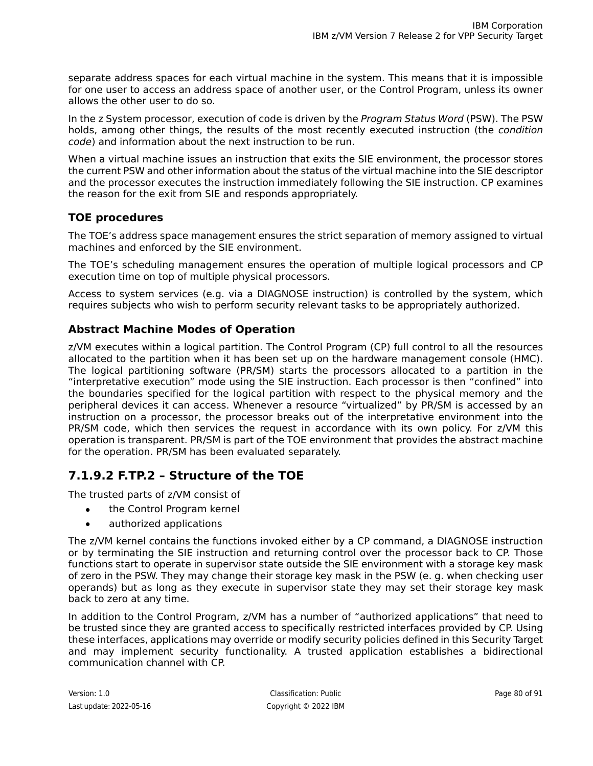separate address spaces for each virtual machine in the system. This means that it is impossible for one user to access an address space of another user, or the Control Program, unless its owner allows the other user to do so.

In the z System processor, execution of code is driven by the Program Status Word (PSW). The PSW holds, among other things, the results of the most recently executed instruction (the *condition* code) and information about the next instruction to be run.

When a virtual machine issues an instruction that exits the SIE environment, the processor stores the current PSW and other information about the status of the virtual machine into the SIE descriptor and the processor executes the instruction immediately following the SIE instruction. CP examines the reason for the exit from SIE and responds appropriately.

#### **TOE procedures**

The TOE's address space management ensures the strict separation of memory assigned to virtual machines and enforced by the SIE environment.

The TOE's scheduling management ensures the operation of multiple logical processors and CP execution time on top of multiple physical processors.

Access to system services (e.g. via a DIAGNOSE instruction) is controlled by the system, which requires subjects who wish to perform security relevant tasks to be appropriately authorized.

#### **Abstract Machine Modes of Operation**

z/VM executes within a logical partition. The Control Program (CP) full control to all the resources allocated to the partition when it has been set up on the hardware management console (HMC). The logical partitioning software (PR/SM) starts the processors allocated to a partition in the "interpretative execution" mode using the SIE instruction. Each processor is then "confined" into the boundaries specified for the logical partition with respect to the physical memory and the peripheral devices it can access. Whenever a resource "virtualized" by PR/SM is accessed by an instruction on a processor, the processor breaks out of the interpretative environment into the PR/SM code, which then services the request in accordance with its own policy. For z/VM this operation is transparent. PR/SM is part of the TOE environment that provides the abstract machine for the operation. PR/SM has been evaluated separately.

#### **7.1.9.2 F.TP.2 – Structure of the TOE**

The trusted parts of z/VM consist of

- the Control Program kernel
- authorized applications

The z/VM kernel contains the functions invoked either by a CP command, a DIAGNOSE instruction or by terminating the SIE instruction and returning control over the processor back to CP. Those functions start to operate in supervisor state outside the SIE environment with a storage key mask of zero in the PSW. They may change their storage key mask in the PSW (e. g. when checking user operands) but as long as they execute in supervisor state they may set their storage key mask back to zero at any time.

In addition to the Control Program, z/VM has a number of "authorized applications" that need to be trusted since they are granted access to specifically restricted interfaces provided by CP. Using these interfaces, applications may override or modify security policies defined in this Security Target and may implement security functionality. A trusted application establishes a bidirectional communication channel with CP.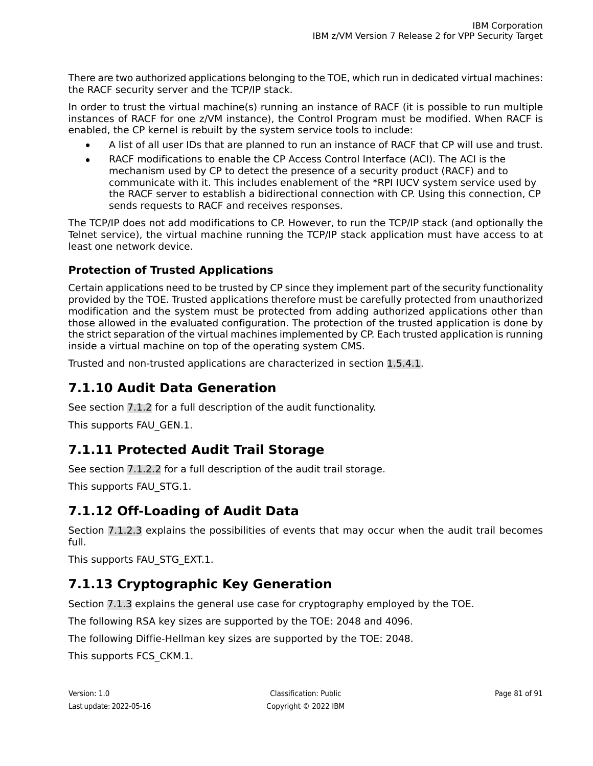There are two authorized applications belonging to the TOE, which run in dedicated virtual machines: the RACF security server and the TCP/IP stack.

In order to trust the virtual machine(s) running an instance of RACF (it is possible to run multiple instances of RACF for one z/VM instance), the Control Program must be modified. When RACF is enabled, the CP kernel is rebuilt by the system service tools to include:

- A list of all user IDs that are planned to run an instance of RACF that CP will use and trust.
- RACF modifications to enable the CP Access Control Interface (ACI). The ACI is the mechanism used by CP to detect the presence of a security product (RACF) and to communicate with it. This includes enablement of the \*RPI IUCV system service used by the RACF server to establish a bidirectional connection with CP. Using this connection, CP sends requests to RACF and receives responses.

The TCP/IP does not add modifications to CP. However, to run the TCP/IP stack (and optionally the Telnet service), the virtual machine running the TCP/IP stack application must have access to at least one network device.

#### **Protection of Trusted Applications**

Certain applications need to be trusted by CP since they implement part of the security functionality provided by the TOE. Trusted applications therefore must be carefully protected from unauthorized modification and the system must be protected from adding authorized applications other than those allowed in the evaluated configuration. The protection of the trusted application is done by the strict separation of the virtual machines implemented by CP. Each trusted application is running inside a virtual machine on top of the operating system CMS.

Trusted and non-trusted applications are characterized in section [1.5.4.1.](#page-17-0)

## **7.1.10 Audit Data Generation**

See section [7.1.2](#page-57-0) for a full description of the audit functionality.

This supports FAU\_GEN.1.

#### **7.1.11 Protected Audit Trail Storage**

See section [7.1.2.2](#page-57-1) for a full description of the audit trail storage.

This supports FAU\_STG.1.

#### **7.1.12 Off-Loading of Audit Data**

Section [7.1.2.3](#page-58-0) explains the possibilities of events that may occur when the audit trail becomes full.

This supports FAU\_STG\_EXT.1.

## **7.1.13 Cryptographic Key Generation**

Section [7.1.3](#page-59-0) explains the general use case for cryptography employed by the TOE.

The following RSA key sizes are supported by the TOE: 2048 and 4096.

The following Diffie-Hellman key sizes are supported by the TOE: 2048.

This supports FCS\_CKM.1.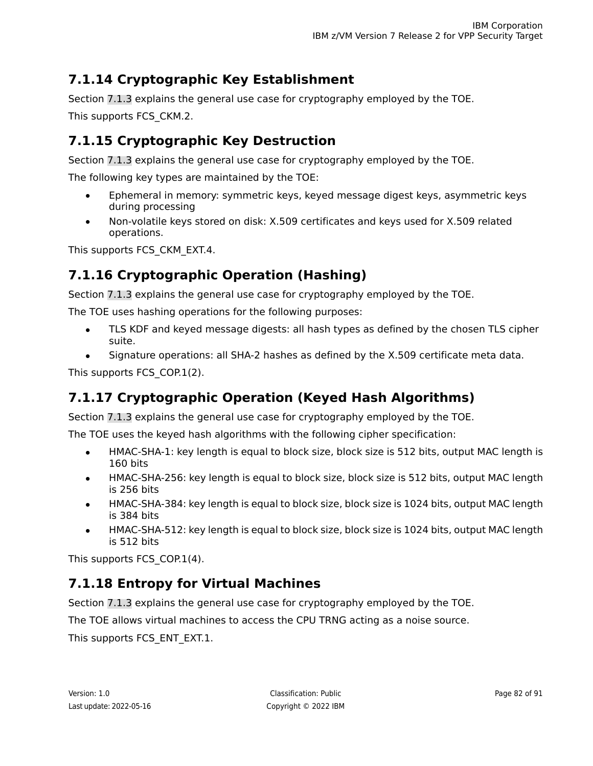# **7.1.14 Cryptographic Key Establishment**

Section [7.1.3](#page-59-0) explains the general use case for cryptography employed by the TOE. This supports FCS\_CKM.2.

# **7.1.15 Cryptographic Key Destruction**

Section [7.1.3](#page-59-0) explains the general use case for cryptography employed by the TOE.

The following key types are maintained by the TOE:

- Ephemeral in memory: symmetric keys, keyed message digest keys, asymmetric keys during processing
- Non-volatile keys stored on disk: X.509 certificates and keys used for X.509 related operations.

This supports FCS\_CKM\_EXT.4.

# **7.1.16 Cryptographic Operation (Hashing)**

Section [7.1.3](#page-59-0) explains the general use case for cryptography employed by the TOE.

The TOE uses hashing operations for the following purposes:

- TLS KDF and keyed message digests: all hash types as defined by the chosen TLS cipher suite.
- Signature operations: all SHA-2 hashes as defined by the X.509 certificate meta data.

This supports FCS\_COP.1(2).

# **7.1.17 Cryptographic Operation (Keyed Hash Algorithms)**

Section [7.1.3](#page-59-0) explains the general use case for cryptography employed by the TOE.

The TOE uses the keyed hash algorithms with the following cipher specification:

- HMAC-SHA-1: key length is equal to block size, block size is 512 bits, output MAC length is 160 bits
- HMAC-SHA-256: key length is equal to block size, block size is 512 bits, output MAC length is 256 bits
- HMAC-SHA-384: key length is equal to block size, block size is 1024 bits, output MAC length is 384 bits
- HMAC-SHA-512: key length is equal to block size, block size is 1024 bits, output MAC length is 512 bits

This supports FCS\_COP.1(4).

# **7.1.18 Entropy for Virtual Machines**

Section [7.1.3](#page-59-0) explains the general use case for cryptography employed by the TOE.

The TOE allows virtual machines to access the CPU TRNG acting as a noise source.

This supports FCS\_ENT\_EXT.1.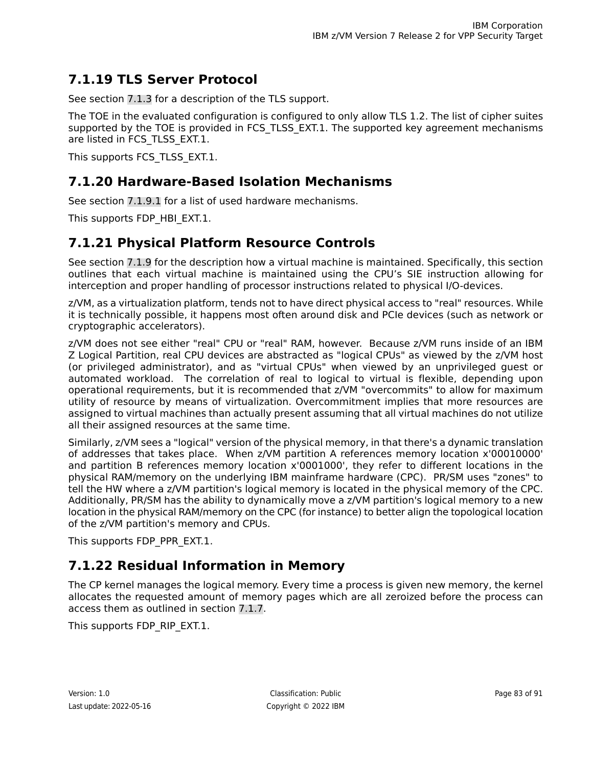## **7.1.19 TLS Server Protocol**

See section [7.1.3](#page-59-0) for a description of the TLS support.

The TOE in the evaluated configuration is configured to only allow TLS 1.2. The list of cipher suites supported by the TOE is provided in FCS TLSS EXT.1. The supported key agreement mechanisms are listed in FCS\_TLSS\_EXT.1.

This supports FCS\_TLSS\_EXT.1.

### **7.1.20 Hardware-Based Isolation Mechanisms**

See section [7.1.9.1](#page-78-0) for a list of used hardware mechanisms.

This supports FDP HBI EXT.1.

### **7.1.21 Physical Platform Resource Controls**

See section [7.1.9](#page-78-1) for the description how a virtual machine is maintained. Specifically, this section outlines that each virtual machine is maintained using the CPU's SIE instruction allowing for interception and proper handling of processor instructions related to physical I/O-devices.

z/VM, as a virtualization platform, tends not to have direct physical access to "real" resources. While it is technically possible, it happens most often around disk and PCIe devices (such as network or cryptographic accelerators).

z/VM does not see either "real" CPU or "real" RAM, however. Because z/VM runs inside of an IBM Z Logical Partition, real CPU devices are abstracted as "logical CPUs" as viewed by the z/VM host (or privileged administrator), and as "virtual CPUs" when viewed by an unprivileged guest or automated workload. The correlation of real to logical to virtual is flexible, depending upon operational requirements, but it is recommended that z/VM "overcommits" to allow for maximum utility of resource by means of virtualization. Overcommitment implies that more resources are assigned to virtual machines than actually present assuming that all virtual machines do not utilize all their assigned resources at the same time.

Similarly, z/VM sees a "logical" version of the physical memory, in that there's a dynamic translation of addresses that takes place. When z/VM partition A references memory location x'00010000' and partition B references memory location x'0001000', they refer to different locations in the physical RAM/memory on the underlying IBM mainframe hardware (CPC). PR/SM uses "zones" to tell the HW where a z/VM partition's logical memory is located in the physical memory of the CPC. Additionally, PR/SM has the ability to dynamically move a z/VM partition's logical memory to a new location in the physical RAM/memory on the CPC (for instance) to better align the topological location of the z/VM partition's memory and CPUs.

This supports FDP\_PPR\_EXT.1.

## **7.1.22 Residual Information in Memory**

The CP kernel manages the logical memory. Every time a process is given new memory, the kernel allocates the requested amount of memory pages which are all zeroized before the process can access them as outlined in section [7.1.7.](#page-75-0)

This supports FDP\_RIP\_EXT.1.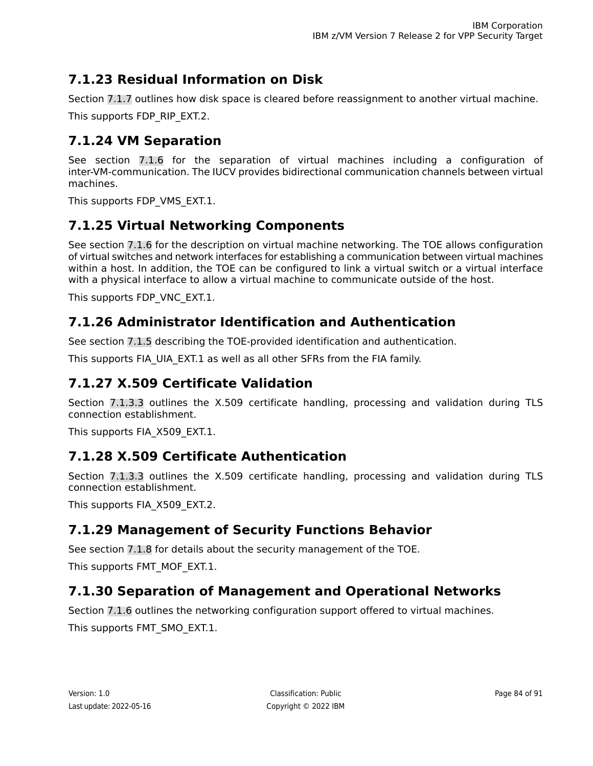# **7.1.23 Residual Information on Disk**

Section [7.1.7](#page-75-0) outlines how disk space is cleared before reassignment to another virtual machine.

This supports FDP\_RIP\_EXT.2.

# **7.1.24 VM Separation**

See section [7.1.6](#page-72-0) for the separation of virtual machines including a configuration of inter-VM-communication. The IUCV provides bidirectional communication channels between virtual machines.

This supports FDP\_VMS\_EXT.1.

# **7.1.25 Virtual Networking Components**

See section [7.1.6](#page-72-0) for the description on virtual machine networking. The TOE allows configuration of virtual switches and network interfaces for establishing a communication between virtual machines within a host. In addition, the TOE can be configured to link a virtual switch or a virtual interface with a physical interface to allow a virtual machine to communicate outside of the host.

This supports FDP\_VNC\_EXT.1.

## **7.1.26 Administrator Identification and Authentication**

See section [7.1.5](#page-70-0) describing the TOE-provided identification and authentication.

This supports FIA\_UIA\_EXT.1 as well as all other SFRs from the FIA family.

## **7.1.27 X.509 Certificate Validation**

Section [7.1.3.3](#page-61-0) outlines the X.509 certificate handling, processing and validation during TLS connection establishment.

This supports FIA\_X509\_EXT.1.

## **7.1.28 X.509 Certificate Authentication**

Section [7.1.3.3](#page-61-0) outlines the X.509 certificate handling, processing and validation during TLS connection establishment.

This supports FIA\_X509\_EXT.2.

## **7.1.29 Management of Security Functions Behavior**

See section [7.1.8](#page-75-1) for details about the security management of the TOE.

This supports FMT\_MOF\_EXT.1.

## **7.1.30 Separation of Management and Operational Networks**

Section [7.1.6](#page-72-0) outlines the networking configuration support offered to virtual machines. This supports FMT\_SMO\_EXT.1.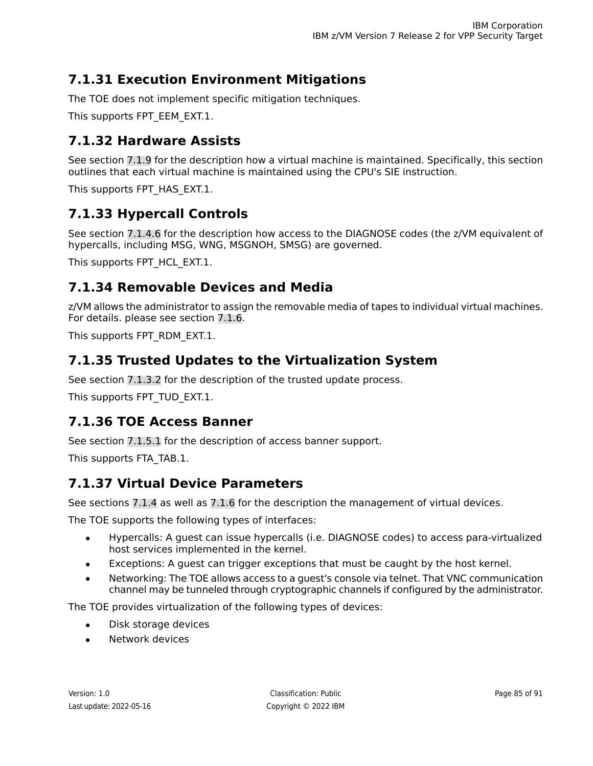# **7.1.31 Execution Environment Mitigations**

The TOE does not implement specific mitigation techniques.

This supports FPT\_EEM\_EXT.1.

## **7.1.32 Hardware Assists**

See section [7.1.9](#page-78-1) for the description how a virtual machine is maintained. Specifically, this section outlines that each virtual machine is maintained using the CPU's SIE instruction.

This supports FPT HAS EXT.1.

## **7.1.33 Hypercall Controls**

See section [7.1.4.6](#page-69-0) for the description how access to the DIAGNOSE codes (the z/VM equivalent of hypercalls, including MSG, WNG, MSGNOH, SMSG) are governed.

This supports FPT HCL EXT.1.

### **7.1.34 Removable Devices and Media**

z/VM allows the administrator to assign the removable media of tapes to individual virtual machines. For details. please see section [7.1.6](#page-72-0).

This supports FPT\_RDM\_EXT.1.

### **7.1.35 Trusted Updates to the Virtualization System**

See section [7.1.3.2](#page-61-1) for the description of the trusted update process.

This supports FPT\_TUD\_EXT.1.

### **7.1.36 TOE Access Banner**

See section [7.1.5.1](#page-70-1) for the description of access banner support.

This supports FTA\_TAB.1.

### **7.1.37 Virtual Device Parameters**

See sections [7.1.4](#page-62-0) as well as [7.1.6](#page-72-0) for the description the management of virtual devices.

The TOE supports the following types of interfaces:

- Hypercalls: A guest can issue hypercalls (i.e. DIAGNOSE codes) to access para-virtualized host services implemented in the kernel.
- Exceptions: A guest can trigger exceptions that must be caught by the host kernel.
- Networking: The TOE allows access to a quest's console via telnet. That VNC communication channel may be tunneled through cryptographic channels if configured by the administrator.

The TOE provides virtualization of the following types of devices:

- Disk storage devices
- Network devices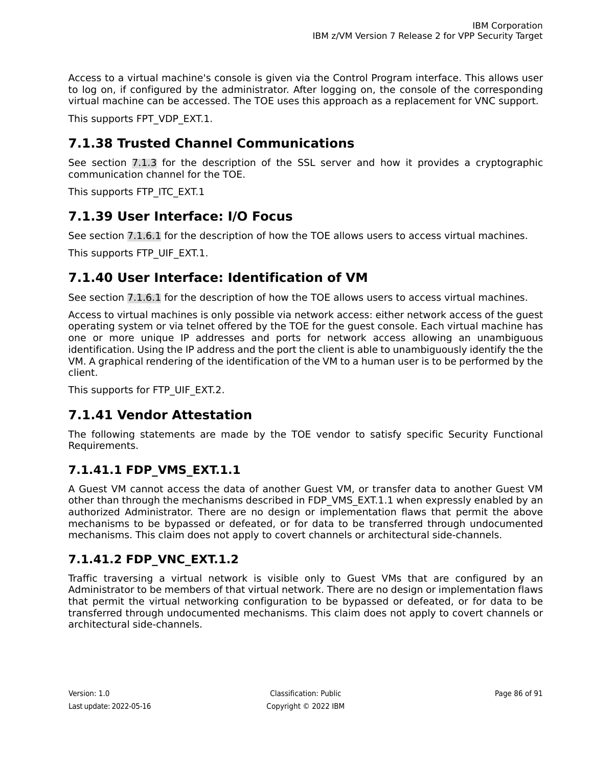Access to a virtual machine's console is given via the Control Program interface. This allows user to log on, if configured by the administrator. After logging on, the console of the corresponding virtual machine can be accessed. The TOE uses this approach as a replacement for VNC support.

This supports FPT\_VDP\_EXT.1.

## **7.1.38 Trusted Channel Communications**

See section [7.1.3](#page-59-0) for the description of the SSL server and how it provides a cryptographic communication channel for the TOE.

This supports FTP\_ITC\_EXT.1

### **7.1.39 User Interface: I/O Focus**

See section [7.1.6.1](#page-74-0) for the description of how the TOE allows users to access virtual machines.

This supports FTP\_UIF\_EXT.1.

### **7.1.40 User Interface: Identification of VM**

See section [7.1.6.1](#page-74-0) for the description of how the TOE allows users to access virtual machines.

Access to virtual machines is only possible via network access: either network access of the guest operating system or via telnet offered by the TOE for the guest console. Each virtual machine has one or more unique IP addresses and ports for network access allowing an unambiguous identification. Using the IP address and the port the client is able to unambiguously identify the the VM. A graphical rendering of the identification of the VM to a human user is to be performed by the client.

This supports for FTP UIF EXT.2.

#### **7.1.41 Vendor Attestation**

The following statements are made by the TOE vendor to satisfy specific Security Functional Requirements.

#### **7.1.41.1 FDP\_VMS\_EXT.1.1**

A Guest VM cannot access the data of another Guest VM, or transfer data to another Guest VM other than through the mechanisms described in FDP\_VMS\_EXT.1.1 when expressly enabled by an authorized Administrator. There are no design or implementation flaws that permit the above mechanisms to be bypassed or defeated, or for data to be transferred through undocumented mechanisms. This claim does not apply to covert channels or architectural side-channels.

#### **7.1.41.2 FDP\_VNC\_EXT.1.2**

Traffic traversing a virtual network is visible only to Guest VMs that are configured by an Administrator to be members of that virtual network. There are no design or implementation flaws that permit the virtual networking configuration to be bypassed or defeated, or for data to be transferred through undocumented mechanisms. This claim does not apply to covert channels or architectural side-channels.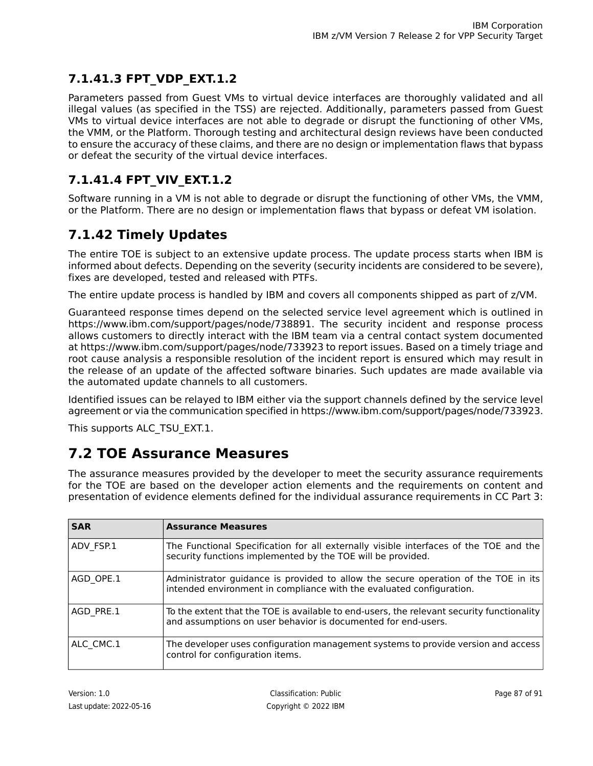## **7.1.41.3 FPT\_VDP\_EXT.1.2**

Parameters passed from Guest VMs to virtual device interfaces are thoroughly validated and all illegal values (as specified in the TSS) are rejected. Additionally, parameters passed from Guest VMs to virtual device interfaces are not able to degrade or disrupt the functioning of other VMs, the VMM, or the Platform. Thorough testing and architectural design reviews have been conducted to ensure the accuracy of these claims, and there are no design or implementation flaws that bypass or defeat the security of the virtual device interfaces.

## **7.1.41.4 FPT\_VIV\_EXT.1.2**

Software running in a VM is not able to degrade or disrupt the functioning of other VMs, the VMM, or the Platform. There are no design or implementation flaws that bypass or defeat VM isolation.

# **7.1.42 Timely Updates**

The entire TOE is subject to an extensive update process. The update process starts when IBM is informed about defects. Depending on the severity (security incidents are considered to be severe), fixes are developed, tested and released with PTFs.

The entire update process is handled by IBM and covers all components shipped as part of z/VM.

Guaranteed response times depend on the selected service level agreement which is outlined in https://www.ibm.com/support/pages/node/738891. The security incident and response process allows customers to directly interact with the IBM team via a central contact system documented at https://www.ibm.com/support/pages/node/733923 to report issues. Based on a timely triage and root cause analysis a responsible resolution of the incident report is ensured which may result in the release of an update of the affected software binaries. Such updates are made available via the automated update channels to all customers.

Identified issues can be relayed to IBM either via the support channels defined by the service level agreement or via the communication specified in https://www.ibm.com/support/pages/node/733923.

This supports ALC\_TSU\_EXT.1.

# **7.2 TOE Assurance Measures**

The assurance measures provided by the developer to meet the security assurance requirements for the TOE are based on the developer action elements and the requirements on content and presentation of evidence elements defined for the individual assurance requirements in CC Part 3:

| <b>SAR</b> | <b>Assurance Measures</b>                                                                                                                                  |  |
|------------|------------------------------------------------------------------------------------------------------------------------------------------------------------|--|
| ADV FSP.1  | The Functional Specification for all externally visible interfaces of the TOE and the<br>security functions implemented by the TOE will be provided.       |  |
| AGD OPE.1  | Administrator guidance is provided to allow the secure operation of the TOE in its<br>intended environment in compliance with the evaluated configuration. |  |
| AGD PRE.1  | To the extent that the TOE is available to end-users, the relevant security functionality<br>and assumptions on user behavior is documented for end-users. |  |
| ALC CMC.1  | The developer uses configuration management systems to provide version and access<br>control for configuration items.                                      |  |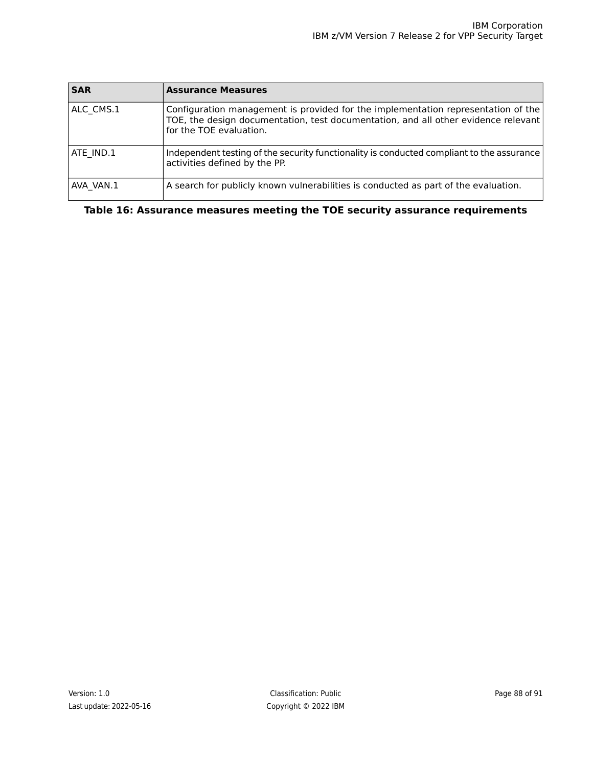| <b>SAR</b> | <b>Assurance Measures</b>                                                                                                                                                                          |  |
|------------|----------------------------------------------------------------------------------------------------------------------------------------------------------------------------------------------------|--|
| ALC CMS.1  | Configuration management is provided for the implementation representation of the<br>TOE, the design documentation, test documentation, and all other evidence relevant<br>for the TOE evaluation. |  |
| ATE IND.1  | Independent testing of the security functionality is conducted compliant to the assurance<br>activities defined by the PP.                                                                         |  |
| AVA VAN.1  | A search for publicly known vulnerabilities is conducted as part of the evaluation.                                                                                                                |  |

**Table 16: Assurance measures meeting the TOE security assurance requirements**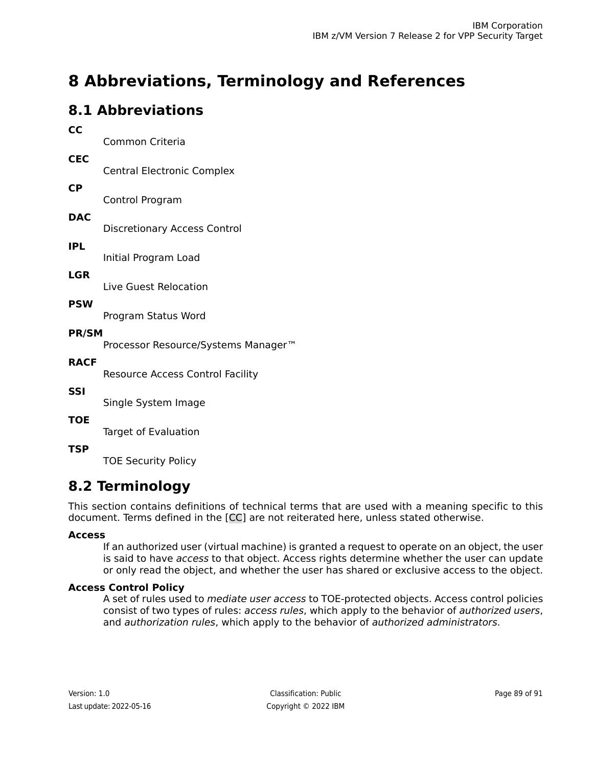# **8 Abbreviations, Terminology and References**

# **8.1 Abbreviations**

| cc           | Common Criteria                                 |  |  |
|--------------|-------------------------------------------------|--|--|
| <b>CEC</b>   | <b>Central Electronic Complex</b>               |  |  |
| <b>CP</b>    | Control Program                                 |  |  |
| <b>DAC</b>   |                                                 |  |  |
| <b>IPL</b>   | <b>Discretionary Access Control</b>             |  |  |
| <b>LGR</b>   | Initial Program Load                            |  |  |
| <b>PSW</b>   | Live Guest Relocation                           |  |  |
| <b>PR/SM</b> | Program Status Word                             |  |  |
| <b>RACF</b>  | Processor Resource/Systems Manager <sup>™</sup> |  |  |
| <b>SSI</b>   | <b>Resource Access Control Facility</b>         |  |  |
|              | Single System Image                             |  |  |
| <b>TOE</b>   | Target of Evaluation                            |  |  |
| TSP          |                                                 |  |  |

TOE Security Policy

# **8.2 Terminology**

This section contains definitions of technical terms that are used with a meaning specific to this document. Terms defined in the [\[CC\]](#page-90-0) are not reiterated here, unless stated otherwise.

#### **Access**

If an authorized user (virtual machine) is granted a request to operate on an object, the user is said to have access to that object. Access rights determine whether the user can update or only read the object, and whether the user has shared or exclusive access to the object.

#### **Access Control Policy**

A set of rules used to *mediate user access* to TOE-protected objects. Access control policies consist of two types of rules: access rules, which apply to the behavior of authorized users, and authorization rules, which apply to the behavior of authorized administrators.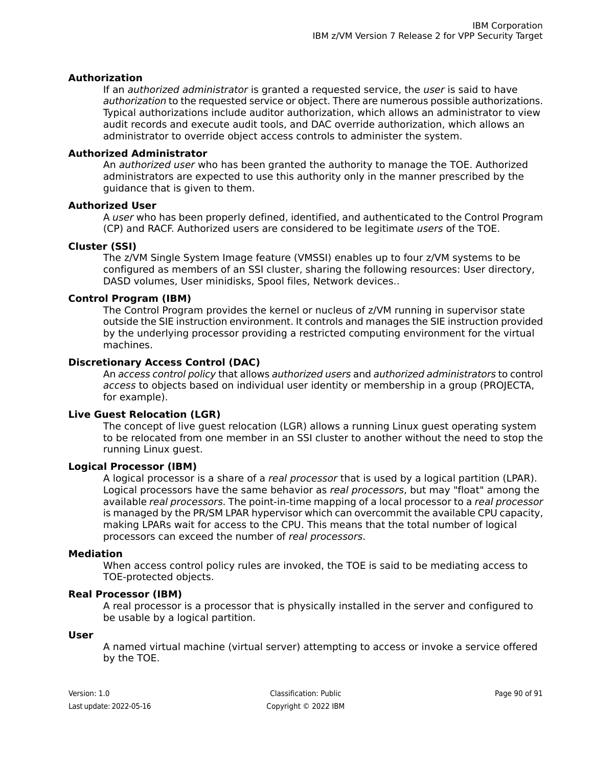#### **Authorization**

If an *authorized administrator* is granted a requested service, the *user* is said to have authorization to the requested service or object. There are numerous possible authorizations. Typical authorizations include auditor authorization, which allows an administrator to view audit records and execute audit tools, and DAC override authorization, which allows an administrator to override object access controls to administer the system.

#### **Authorized Administrator**

An *authorized user* who has been granted the authority to manage the TOE. Authorized administrators are expected to use this authority only in the manner prescribed by the guidance that is given to them.

#### **Authorized User**

A user who has been properly defined, identified, and authenticated to the Control Program (CP) and RACF. Authorized users are considered to be legitimate users of the TOE.

#### **Cluster (SSI)**

The z/VM Single System Image feature (VMSSI) enables up to four z/VM systems to be configured as members of an SSI cluster, sharing the following resources: User directory, DASD volumes, User minidisks, Spool files, Network devices..

#### **Control Program (IBM)**

The Control Program provides the kernel or nucleus of z/VM running in supervisor state outside the SIE instruction environment. It controls and manages the SIE instruction provided by the underlying processor providing a restricted computing environment for the virtual machines.

#### **Discretionary Access Control (DAC)**

An access control policy that allows authorized users and authorized administrators to control access to objects based on individual user identity or membership in a group (PROJECTA, for example).

#### **Live Guest Relocation (LGR)**

The concept of live guest relocation (LGR) allows a running Linux guest operating system to be relocated from one member in an SSI cluster to another without the need to stop the running Linux guest.

#### **Logical Processor (IBM)**

A logical processor is a share of a real processor that is used by a logical partition (LPAR). Logical processors have the same behavior as real processors, but may "float" among the available real processors. The point-in-time mapping of a local processor to a real processor is managed by the PR/SM LPAR hypervisor which can overcommit the available CPU capacity, making LPARs wait for access to the CPU. This means that the total number of logical processors can exceed the number of real processors.

#### **Mediation**

When access control policy rules are invoked, the TOE is said to be mediating access to TOE-protected objects.

#### **Real Processor (IBM)**

A real processor is a processor that is physically installed in the server and configured to be usable by a logical partition.

#### **User**

A named virtual machine (virtual server) attempting to access or invoke a service offered by the TOE.